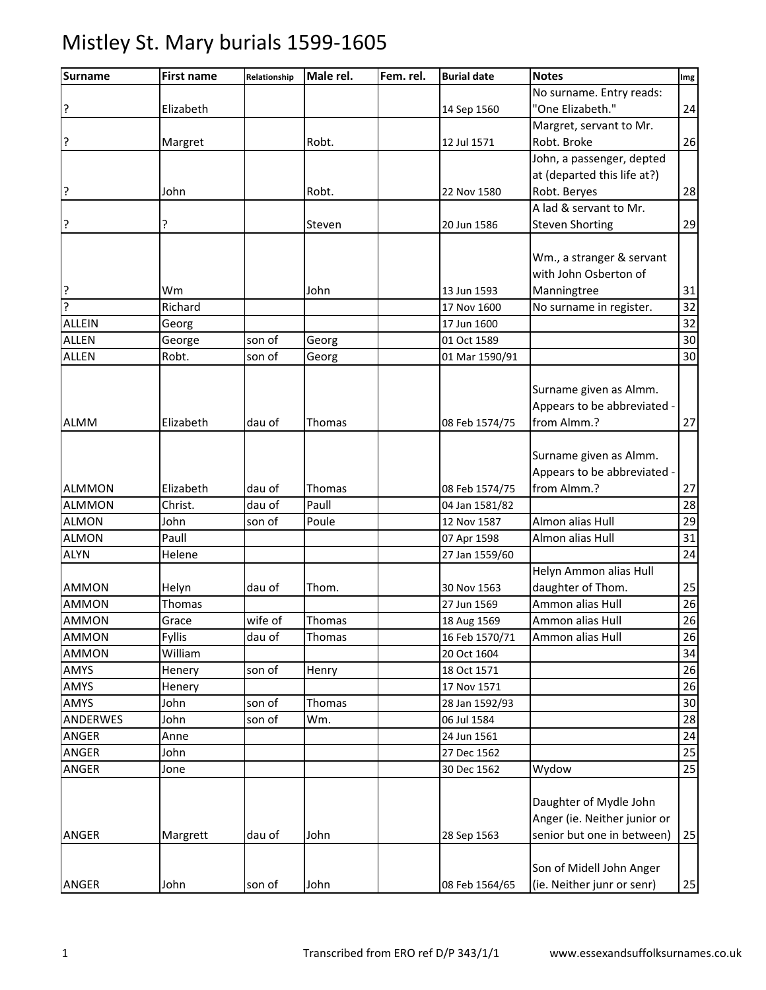| <b>Surname</b> | <b>First name</b> | Relationship | Male rel. | Fem. rel. | <b>Burial date</b> | <b>Notes</b>                 | Img |
|----------------|-------------------|--------------|-----------|-----------|--------------------|------------------------------|-----|
|                |                   |              |           |           |                    | No surname. Entry reads:     |     |
| l,             | Elizabeth         |              |           |           | 14 Sep 1560        | "One Elizabeth."             | 24  |
|                |                   |              |           |           |                    | Margret, servant to Mr.      |     |
| l5             | Margret           |              | Robt.     |           | 12 Jul 1571        | Robt. Broke                  | 26  |
|                |                   |              |           |           |                    | John, a passenger, depted    |     |
|                |                   |              |           |           |                    | at (departed this life at?)  |     |
| ļ?             | John              |              | Robt.     |           | 22 Nov 1580        | Robt. Beryes                 | 28  |
|                |                   |              |           |           |                    | A lad & servant to Mr.       |     |
| ?              | ŗ                 |              | Steven    |           | 20 Jun 1586        | <b>Steven Shorting</b>       | 29  |
|                |                   |              |           |           |                    |                              |     |
|                |                   |              |           |           |                    | Wm., a stranger & servant    |     |
|                |                   |              |           |           |                    | with John Osberton of        |     |
| ?              | Wm                |              | John      |           | 13 Jun 1593        | Manningtree                  | 31  |
| ?              | Richard           |              |           |           | 17 Nov 1600        | No surname in register.      | 32  |
| <b>ALLEIN</b>  | Georg             |              |           |           | 17 Jun 1600        |                              | 32  |
| <b>ALLEN</b>   | George            | son of       | Georg     |           | 01 Oct 1589        |                              | 30  |
| <b>ALLEN</b>   | Robt.             | son of       | Georg     |           | 01 Mar 1590/91     |                              | 30  |
|                |                   |              |           |           |                    |                              |     |
|                |                   |              |           |           |                    | Surname given as Almm.       |     |
|                |                   |              |           |           |                    | Appears to be abbreviated -  |     |
| <b>ALMM</b>    | Elizabeth         | dau of       | Thomas    |           | 08 Feb 1574/75     | from Almm.?                  | 27  |
|                |                   |              |           |           |                    |                              |     |
|                |                   |              |           |           |                    | Surname given as Almm.       |     |
|                |                   |              |           |           |                    | Appears to be abbreviated -  |     |
| <b>ALMMON</b>  | Elizabeth         | dau of       | Thomas    |           | 08 Feb 1574/75     | from Almm.?                  | 27  |
| <b>ALMMON</b>  | Christ.           | dau of       | Paull     |           | 04 Jan 1581/82     |                              | 28  |
| <b>ALMON</b>   | John              | son of       | Poule     |           | 12 Nov 1587        | Almon alias Hull             | 29  |
| <b>ALMON</b>   | Paull             |              |           |           | 07 Apr 1598        | Almon alias Hull             | 31  |
| <b>ALYN</b>    | Helene            |              |           |           | 27 Jan 1559/60     |                              | 24  |
|                |                   |              |           |           |                    | Helyn Ammon alias Hull       |     |
| <b>AMMON</b>   | Helyn             | dau of       | Thom.     |           | 30 Nov 1563        | daughter of Thom.            | 25  |
| <b>AMMON</b>   | Thomas            |              |           |           | 27 Jun 1569        | Ammon alias Hull             | 26  |
| <b>AMMON</b>   | Grace             | wife of      | Thomas    |           | 18 Aug 1569        | Ammon alias Hull             | 26  |
| <b>AMMON</b>   | <b>Fyllis</b>     | dau of       | Thomas    |           | 16 Feb 1570/71     | Ammon alias Hull             | 26  |
| <b>AMMON</b>   | William           |              |           |           | 20 Oct 1604        |                              | 34  |
| AMYS           | Henery            | son of       | Henry     |           | 18 Oct 1571        |                              | 26  |
| AMYS           | Henery            |              |           |           | 17 Nov 1571        |                              | 26  |
| AMYS           | John              | son of       | Thomas    |           | 28 Jan 1592/93     |                              | 30  |
| ANDERWES       | John              | son of       | Wm.       |           | 06 Jul 1584        |                              | 28  |
| ANGER          | Anne              |              |           |           | 24 Jun 1561        |                              | 24  |
| ANGER          | John              |              |           |           | 27 Dec 1562        |                              | 25  |
| ANGER          | Jone              |              |           |           | 30 Dec 1562        | Wydow                        | 25  |
|                |                   |              |           |           |                    |                              |     |
|                |                   |              |           |           |                    | Daughter of Mydle John       |     |
|                |                   |              |           |           |                    | Anger (ie. Neither junior or |     |
| ANGER          | Margrett          | dau of       | John      |           | 28 Sep 1563        | senior but one in between)   | 25  |
|                |                   |              |           |           |                    |                              |     |
|                |                   |              |           |           |                    | Son of Midell John Anger     |     |
| ANGER          | John              | son of       | John      |           | 08 Feb 1564/65     | (ie. Neither junr or senr)   | 25  |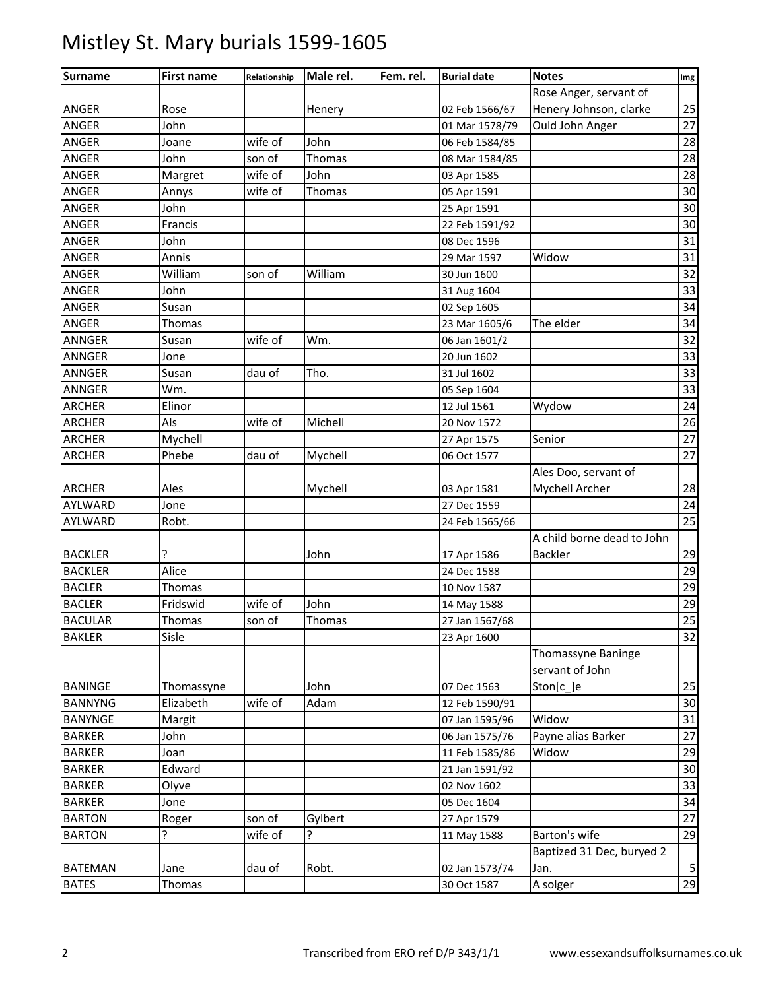| Surname        | <b>First name</b> | Relationship | Male rel. | Fem. rel. | <b>Burial date</b> | <b>Notes</b>               | Img |
|----------------|-------------------|--------------|-----------|-----------|--------------------|----------------------------|-----|
|                |                   |              |           |           |                    | Rose Anger, servant of     |     |
| <b>ANGER</b>   | Rose              |              | Henery    |           | 02 Feb 1566/67     | Henery Johnson, clarke     | 25  |
| <b>ANGER</b>   | John              |              |           |           | 01 Mar 1578/79     | Ould John Anger            | 27  |
| <b>ANGER</b>   | Joane             | wife of      | John      |           | 06 Feb 1584/85     |                            | 28  |
| ANGER          | John              | son of       | Thomas    |           | 08 Mar 1584/85     |                            | 28  |
| ANGER          | Margret           | wife of      | John      |           | 03 Apr 1585        |                            | 28  |
| ANGER          | Annys             | wife of      | Thomas    |           | 05 Apr 1591        |                            | 30  |
| <b>ANGER</b>   | John              |              |           |           | 25 Apr 1591        |                            | 30  |
| ANGER          | Francis           |              |           |           | 22 Feb 1591/92     |                            | 30  |
| ANGER          | John              |              |           |           | 08 Dec 1596        |                            | 31  |
| ANGER          | Annis             |              |           |           | 29 Mar 1597        | Widow                      | 31  |
| ANGER          | William           | son of       | William   |           | 30 Jun 1600        |                            | 32  |
| <b>ANGER</b>   | John              |              |           |           | 31 Aug 1604        |                            | 33  |
| <b>ANGER</b>   | Susan             |              |           |           | 02 Sep 1605        |                            | 34  |
| ANGER          | Thomas            |              |           |           | 23 Mar 1605/6      | The elder                  | 34  |
| ANNGER         | Susan             | wife of      | Wm.       |           | 06 Jan 1601/2      |                            | 32  |
| <b>ANNGER</b>  | Jone              |              |           |           | 20 Jun 1602        |                            | 33  |
| <b>ANNGER</b>  | Susan             | dau of       | Tho.      |           | 31 Jul 1602        |                            | 33  |
| <b>ANNGER</b>  | Wm.               |              |           |           | 05 Sep 1604        |                            | 33  |
| <b>ARCHER</b>  | Elinor            |              |           |           | 12 Jul 1561        | Wydow                      | 24  |
| <b>ARCHER</b>  | Als               | wife of      | Michell   |           | 20 Nov 1572        |                            | 26  |
| <b>ARCHER</b>  | Mychell           |              |           |           | 27 Apr 1575        | Senior                     | 27  |
| <b>ARCHER</b>  | Phebe             | dau of       | Mychell   |           | 06 Oct 1577        |                            | 27  |
|                |                   |              |           |           |                    | Ales Doo, servant of       |     |
| <b>ARCHER</b>  | Ales              |              | Mychell   |           | 03 Apr 1581        | Mychell Archer             | 28  |
| AYLWARD        | Jone              |              |           |           | 27 Dec 1559        |                            | 24  |
| AYLWARD        | Robt.             |              |           |           | 24 Feb 1565/66     |                            | 25  |
|                |                   |              |           |           |                    | A child borne dead to John |     |
| <b>BACKLER</b> | ?                 |              | John      |           | 17 Apr 1586        | <b>Backler</b>             | 29  |
| <b>BACKLER</b> | Alice             |              |           |           | 24 Dec 1588        |                            | 29  |
| <b>BACLER</b>  | Thomas            |              |           |           | 10 Nov 1587        |                            | 29  |
| <b>BACLER</b>  | Fridswid          | wife of      | John      |           | 14 May 1588        |                            | 29  |
| <b>BACULAR</b> | Thomas            | son of       | Thomas    |           | 27 Jan 1567/68     |                            | 25  |
| <b>BAKLER</b>  | Sisle             |              |           |           | 23 Apr 1600        |                            | 32  |
|                |                   |              |           |           |                    | Thomassyne Baninge         |     |
|                |                   |              |           |           |                    | servant of John            |     |
| <b>BANINGE</b> | Thomassyne        |              | John      |           | 07 Dec 1563        | Ston[c_]e                  | 25  |
| <b>BANNYNG</b> | Elizabeth         | wife of      | Adam      |           | 12 Feb 1590/91     |                            | 30  |
| <b>BANYNGE</b> | Margit            |              |           |           | 07 Jan 1595/96     | Widow                      | 31  |
| <b>BARKER</b>  | John              |              |           |           | 06 Jan 1575/76     | Payne alias Barker         | 27  |
| <b>BARKER</b>  | Joan              |              |           |           | 11 Feb 1585/86     | Widow                      | 29  |
| <b>BARKER</b>  | Edward            |              |           |           | 21 Jan 1591/92     |                            | 30  |
| <b>BARKER</b>  | Olyve             |              |           |           | 02 Nov 1602        |                            | 33  |
| <b>BARKER</b>  | Jone              |              |           |           | 05 Dec 1604        |                            | 34  |
| <b>BARTON</b>  | Roger             | son of       | Gylbert   |           | 27 Apr 1579        |                            | 27  |
| <b>BARTON</b>  | ?                 | wife of      | 5.        |           | 11 May 1588        | Barton's wife              | 29  |
|                |                   |              |           |           |                    | Baptized 31 Dec, buryed 2  |     |
| <b>BATEMAN</b> | Jane              | dau of       | Robt.     |           | 02 Jan 1573/74     | Jan.                       | 5   |
| <b>BATES</b>   | Thomas            |              |           |           | 30 Oct 1587        | A solger                   | 29  |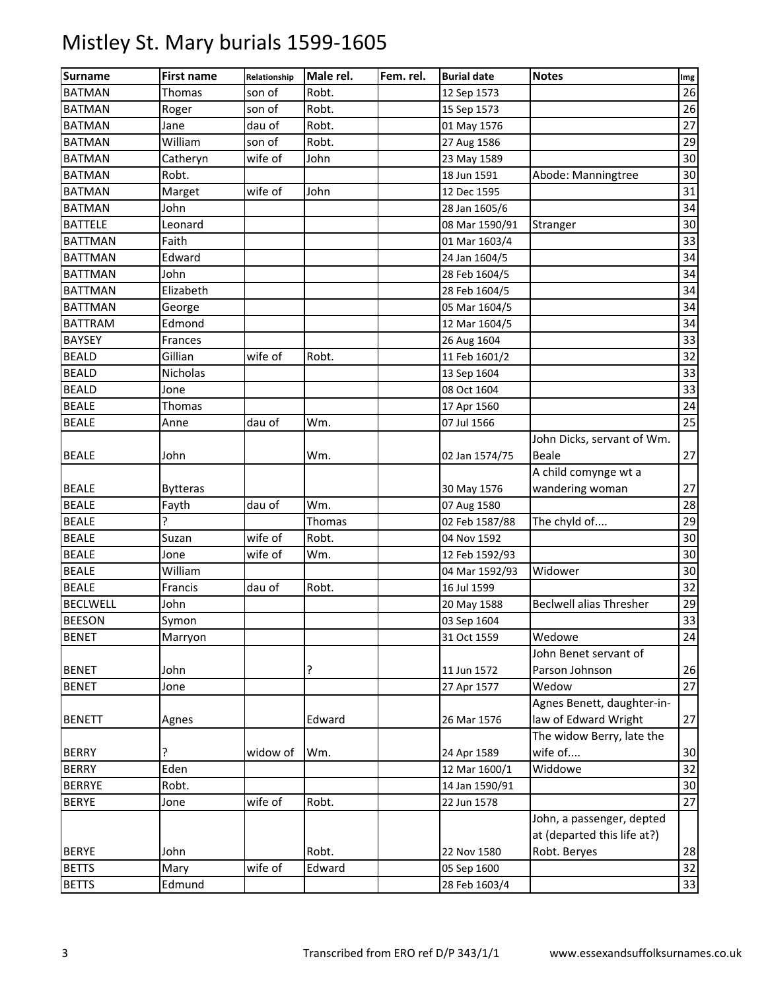| <b>Surname</b>  | <b>First name</b> | Relationship | Male rel. | Fem. rel. | <b>Burial date</b> | <b>Notes</b>                   | Img |
|-----------------|-------------------|--------------|-----------|-----------|--------------------|--------------------------------|-----|
| <b>BATMAN</b>   | <b>Thomas</b>     | son of       | Robt.     |           | 12 Sep 1573        |                                | 26  |
| <b>BATMAN</b>   | Roger             | son of       | Robt.     |           | 15 Sep 1573        |                                | 26  |
| <b>BATMAN</b>   | Jane              | dau of       | Robt.     |           | 01 May 1576        |                                | 27  |
| <b>BATMAN</b>   | William           | son of       | Robt.     |           | 27 Aug 1586        |                                | 29  |
| <b>BATMAN</b>   | Catheryn          | wife of      | John      |           | 23 May 1589        |                                | 30  |
| <b>BATMAN</b>   | Robt.             |              |           |           | 18 Jun 1591        | Abode: Manningtree             | 30  |
| <b>BATMAN</b>   | Marget            | wife of      | John      |           | 12 Dec 1595        |                                | 31  |
| <b>BATMAN</b>   | John              |              |           |           | 28 Jan 1605/6      |                                | 34  |
| <b>BATTELE</b>  | Leonard           |              |           |           | 08 Mar 1590/91     | Stranger                       | 30  |
| <b>BATTMAN</b>  | Faith             |              |           |           | 01 Mar 1603/4      |                                | 33  |
| <b>BATTMAN</b>  | Edward            |              |           |           | 24 Jan 1604/5      |                                | 34  |
| <b>BATTMAN</b>  | John              |              |           |           | 28 Feb 1604/5      |                                | 34  |
| <b>BATTMAN</b>  | Elizabeth         |              |           |           | 28 Feb 1604/5      |                                | 34  |
| <b>BATTMAN</b>  | George            |              |           |           | 05 Mar 1604/5      |                                | 34  |
| <b>BATTRAM</b>  | Edmond            |              |           |           | 12 Mar 1604/5      |                                | 34  |
| <b>BAYSEY</b>   | Frances           |              |           |           | 26 Aug 1604        |                                | 33  |
| <b>BEALD</b>    | Gillian           | wife of      | Robt.     |           | 11 Feb 1601/2      |                                | 32  |
| <b>BEALD</b>    | Nicholas          |              |           |           | 13 Sep 1604        |                                | 33  |
| <b>BEALD</b>    | Jone              |              |           |           | 08 Oct 1604        |                                | 33  |
| <b>BEALE</b>    | Thomas            |              |           |           | 17 Apr 1560        |                                | 24  |
| <b>BEALE</b>    | Anne              | dau of       | Wm.       |           | 07 Jul 1566        |                                | 25  |
|                 |                   |              |           |           |                    | John Dicks, servant of Wm.     |     |
| <b>BEALE</b>    | John              |              | Wm.       |           | 02 Jan 1574/75     | <b>Beale</b>                   | 27  |
|                 |                   |              |           |           |                    | A child comynge wt a           |     |
| <b>BEALE</b>    | <b>Bytteras</b>   |              |           |           | 30 May 1576        | wandering woman                | 27  |
| <b>BEALE</b>    | Fayth             | dau of       | Wm.       |           | 07 Aug 1580        |                                | 28  |
| <b>BEALE</b>    | Ç                 |              | Thomas    |           | 02 Feb 1587/88     | The chyld of                   | 29  |
| <b>BEALE</b>    | Suzan             | wife of      | Robt.     |           | 04 Nov 1592        |                                | 30  |
| <b>BEALE</b>    | Jone              | wife of      | Wm.       |           | 12 Feb 1592/93     |                                | 30  |
| <b>BEALE</b>    | William           |              |           |           | 04 Mar 1592/93     | Widower                        | 30  |
| <b>BEALE</b>    | Francis           | dau of       | Robt.     |           | 16 Jul 1599        |                                | 32  |
| <b>BECLWELL</b> | John              |              |           |           | 20 May 1588        | <b>Beclwell alias Thresher</b> | 29  |
| <b>BEESON</b>   | Symon             |              |           |           | 03 Sep 1604        |                                | 33  |
| <b>BENET</b>    | Marryon           |              |           |           | 31 Oct 1559        | Wedowe                         | 24  |
|                 |                   |              |           |           |                    | John Benet servant of          |     |
| <b>BENET</b>    | John              |              | ?         |           | 11 Jun 1572        | Parson Johnson                 | 26  |
| <b>BENET</b>    | Jone              |              |           |           | 27 Apr 1577        | Wedow                          | 27  |
|                 |                   |              |           |           |                    | Agnes Benett, daughter-in-     |     |
| <b>BENETT</b>   | Agnes             |              | Edward    |           | 26 Mar 1576        | law of Edward Wright           | 27  |
|                 |                   |              |           |           |                    | The widow Berry, late the      |     |
| <b>BERRY</b>    | 5.                | widow of     | Wm.       |           | 24 Apr 1589        | wife of                        | 30  |
| <b>BERRY</b>    | Eden              |              |           |           | 12 Mar 1600/1      | Widdowe                        | 32  |
| <b>BERRYE</b>   | Robt.             |              |           |           | 14 Jan 1590/91     |                                | 30  |
| <b>BERYE</b>    | Jone              | wife of      | Robt.     |           | 22 Jun 1578        |                                | 27  |
|                 |                   |              |           |           |                    | John, a passenger, depted      |     |
|                 |                   |              |           |           |                    | at (departed this life at?)    |     |
| <b>BERYE</b>    | John              |              | Robt.     |           | 22 Nov 1580        | Robt. Beryes                   | 28  |
| <b>BETTS</b>    | Mary              | wife of      | Edward    |           | 05 Sep 1600        |                                | 32  |
| <b>BETTS</b>    | Edmund            |              |           |           | 28 Feb 1603/4      |                                | 33  |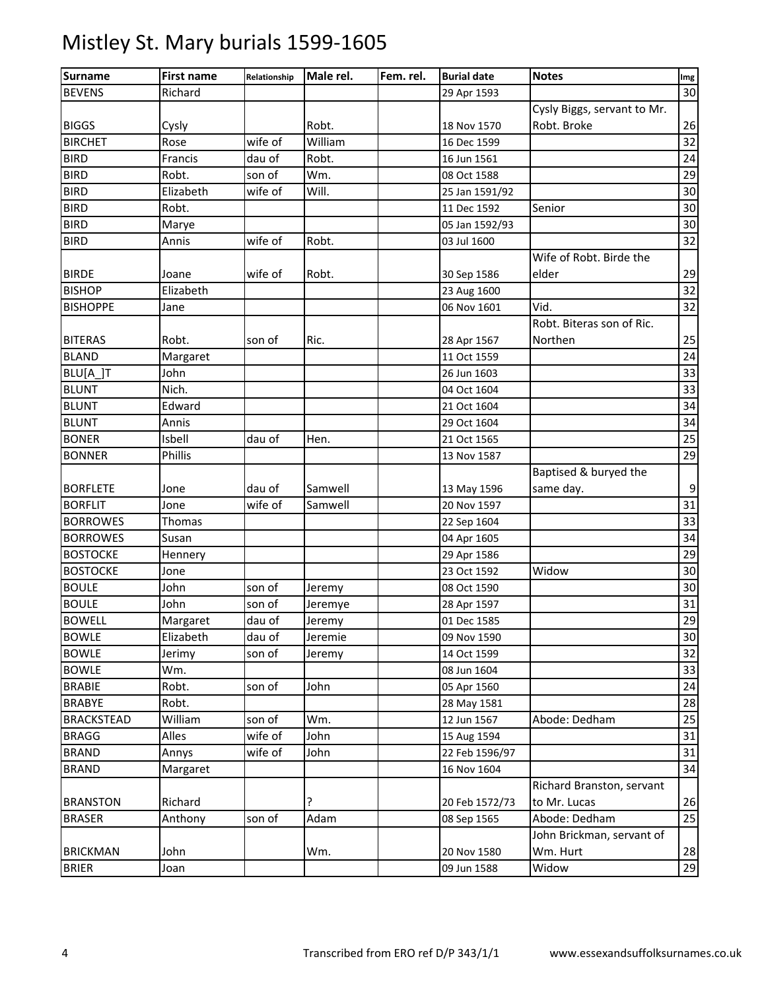| <b>Surname</b>    | <b>First name</b> | Relationship | Male rel. | Fem. rel. | <b>Burial date</b> | <b>Notes</b>                | Img |
|-------------------|-------------------|--------------|-----------|-----------|--------------------|-----------------------------|-----|
| <b>BEVENS</b>     | Richard           |              |           |           | 29 Apr 1593        |                             | 30  |
|                   |                   |              |           |           |                    | Cysly Biggs, servant to Mr. |     |
| <b>BIGGS</b>      | Cysly             |              | Robt.     |           | 18 Nov 1570        | Robt. Broke                 | 26  |
| <b>BIRCHET</b>    | Rose              | wife of      | William   |           | 16 Dec 1599        |                             | 32  |
| <b>BIRD</b>       | Francis           | dau of       | Robt.     |           | 16 Jun 1561        |                             | 24  |
| <b>BIRD</b>       | Robt.             | son of       | Wm.       |           | 08 Oct 1588        |                             | 29  |
| <b>BIRD</b>       | Elizabeth         | wife of      | Will.     |           | 25 Jan 1591/92     |                             | 30  |
| <b>BIRD</b>       | Robt.             |              |           |           | 11 Dec 1592        | Senior                      | 30  |
| <b>BIRD</b>       | Marye             |              |           |           | 05 Jan 1592/93     |                             | 30  |
| <b>BIRD</b>       | Annis             | wife of      | Robt.     |           | 03 Jul 1600        |                             | 32  |
|                   |                   |              |           |           |                    | Wife of Robt. Birde the     |     |
| <b>BIRDE</b>      | Joane             | wife of      | Robt.     |           | 30 Sep 1586        | elder                       | 29  |
| <b>BISHOP</b>     | Elizabeth         |              |           |           | 23 Aug 1600        |                             | 32  |
| <b>BISHOPPE</b>   | Jane              |              |           |           | 06 Nov 1601        | Vid.                        | 32  |
|                   |                   |              |           |           |                    | Robt. Biteras son of Ric.   |     |
| <b>BITERAS</b>    | Robt.             | son of       | Ric.      |           | 28 Apr 1567        | Northen                     | 25  |
| <b>BLAND</b>      | Margaret          |              |           |           | 11 Oct 1559        |                             | 24  |
| BLU[A_]T          | John              |              |           |           | 26 Jun 1603        |                             | 33  |
| <b>BLUNT</b>      | Nich.             |              |           |           | 04 Oct 1604        |                             | 33  |
| <b>BLUNT</b>      | Edward            |              |           |           | 21 Oct 1604        |                             | 34  |
| <b>BLUNT</b>      | Annis             |              |           |           | 29 Oct 1604        |                             | 34  |
| <b>BONER</b>      | Isbell            | dau of       | Hen.      |           | 21 Oct 1565        |                             | 25  |
| <b>BONNER</b>     | Phillis           |              |           |           | 13 Nov 1587        |                             | 29  |
|                   |                   |              |           |           |                    | Baptised & buryed the       |     |
| <b>BORFLETE</b>   | Jone              | dau of       | Samwell   |           | 13 May 1596        | same day.                   | 9   |
| <b>BORFLIT</b>    | Jone              | wife of      | Samwell   |           | 20 Nov 1597        |                             | 31  |
| <b>BORROWES</b>   | Thomas            |              |           |           | 22 Sep 1604        |                             | 33  |
| <b>BORROWES</b>   | Susan             |              |           |           | 04 Apr 1605        |                             | 34  |
| <b>BOSTOCKE</b>   | Hennery           |              |           |           | 29 Apr 1586        |                             | 29  |
| <b>BOSTOCKE</b>   | Jone              |              |           |           | 23 Oct 1592        | Widow                       | 30  |
| <b>BOULE</b>      | John              | son of       | Jeremy    |           | 08 Oct 1590        |                             | 30  |
| <b>BOULE</b>      | John              | son of       | Jeremye   |           | 28 Apr 1597        |                             | 31  |
| <b>BOWELL</b>     | Margaret          | dau of       | Jeremy    |           | 01 Dec 1585        |                             | 29  |
| <b>BOWLE</b>      | Elizabeth         | dau of       | Jeremie   |           | 09 Nov 1590        |                             | 30  |
| <b>BOWLE</b>      | Jerimy            | son of       | Jeremy    |           | 14 Oct 1599        |                             | 32  |
| <b>BOWLE</b>      | Wm.               |              |           |           | 08 Jun 1604        |                             | 33  |
| <b>BRABIE</b>     | Robt.             | son of       | John      |           | 05 Apr 1560        |                             | 24  |
| <b>BRABYE</b>     | Robt.             |              |           |           | 28 May 1581        |                             | 28  |
| <b>BRACKSTEAD</b> | William           | son of       | Wm.       |           | 12 Jun 1567        | Abode: Dedham               | 25  |
| <b>BRAGG</b>      | Alles             | wife of      | John      |           | 15 Aug 1594        |                             | 31  |
| <b>BRAND</b>      | Annys             | wife of      | John      |           | 22 Feb 1596/97     |                             | 31  |
| <b>BRAND</b>      | Margaret          |              |           |           | 16 Nov 1604        |                             | 34  |
|                   |                   |              |           |           |                    | Richard Branston, servant   |     |
| <b>BRANSTON</b>   | Richard           |              | ?         |           | 20 Feb 1572/73     | to Mr. Lucas                | 26  |
| <b>BRASER</b>     | Anthony           | son of       | Adam      |           | 08 Sep 1565        | Abode: Dedham               | 25  |
|                   |                   |              |           |           |                    | John Brickman, servant of   |     |
| <b>BRICKMAN</b>   | John              |              | Wm.       |           | 20 Nov 1580        | Wm. Hurt                    | 28  |
| <b>BRIER</b>      | Joan              |              |           |           | 09 Jun 1588        | Widow                       | 29  |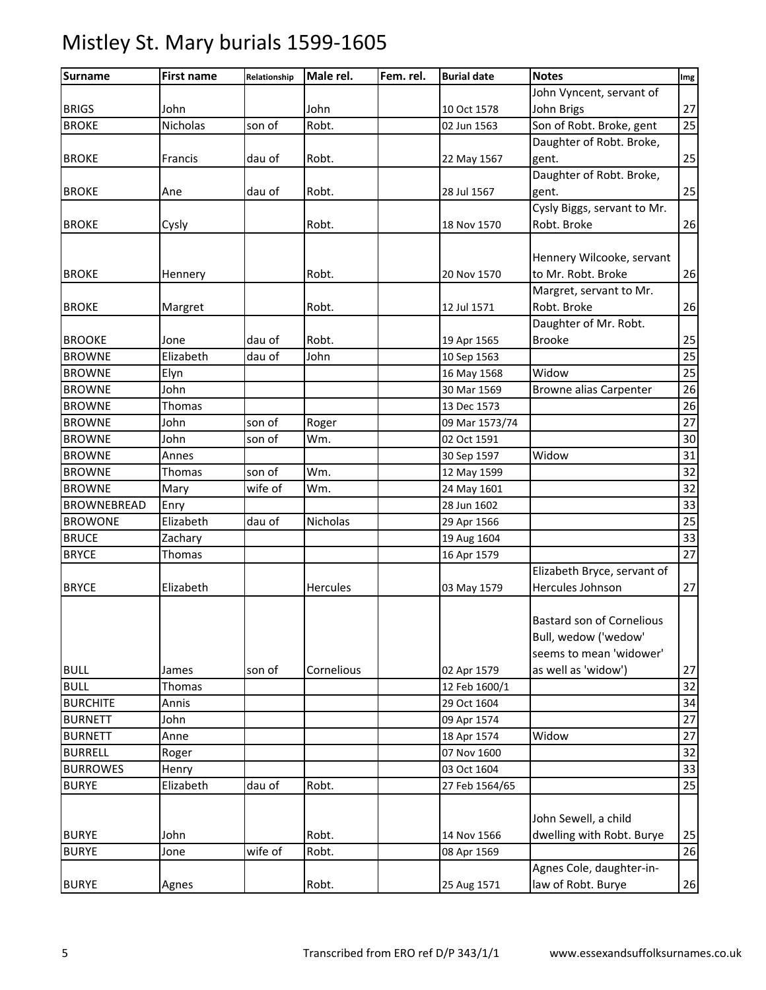| <b>Surname</b>     | <b>First name</b> | Relationship | Male rel.       | Fem. rel. | <b>Burial date</b> | <b>Notes</b>                     | Img |
|--------------------|-------------------|--------------|-----------------|-----------|--------------------|----------------------------------|-----|
|                    |                   |              |                 |           |                    | John Vyncent, servant of         |     |
| <b>BRIGS</b>       | John              |              | John            |           | 10 Oct 1578        | John Brigs                       | 27  |
| <b>BROKE</b>       | Nicholas          | son of       | Robt.           |           | 02 Jun 1563        | Son of Robt. Broke, gent         | 25  |
|                    |                   |              |                 |           |                    | Daughter of Robt. Broke,         |     |
| <b>BROKE</b>       | Francis           | dau of       | Robt.           |           | 22 May 1567        | gent.                            | 25  |
|                    |                   |              |                 |           |                    | Daughter of Robt. Broke,         |     |
| <b>BROKE</b>       | Ane               | dau of       | Robt.           |           | 28 Jul 1567        | gent.                            | 25  |
|                    |                   |              |                 |           |                    | Cysly Biggs, servant to Mr.      |     |
| <b>BROKE</b>       | Cysly             |              | Robt.           |           | 18 Nov 1570        | Robt. Broke                      | 26  |
|                    |                   |              |                 |           |                    |                                  |     |
|                    |                   |              |                 |           |                    | Hennery Wilcooke, servant        |     |
| <b>BROKE</b>       | Hennery           |              | Robt.           |           | 20 Nov 1570        | to Mr. Robt. Broke               | 26  |
|                    |                   |              |                 |           |                    | Margret, servant to Mr.          |     |
| <b>BROKE</b>       | Margret           |              | Robt.           |           | 12 Jul 1571        | Robt. Broke                      | 26  |
|                    |                   |              |                 |           |                    | Daughter of Mr. Robt.            |     |
| <b>BROOKE</b>      | Jone              | dau of       | Robt.           |           | 19 Apr 1565        | <b>Brooke</b>                    | 25  |
| <b>BROWNE</b>      | Elizabeth         | dau of       | John            |           | 10 Sep 1563        |                                  | 25  |
| <b>BROWNE</b>      | Elyn              |              |                 |           | 16 May 1568        | Widow                            | 25  |
| <b>BROWNE</b>      | John              |              |                 |           | 30 Mar 1569        | <b>Browne alias Carpenter</b>    | 26  |
| <b>BROWNE</b>      | Thomas            |              |                 |           | 13 Dec 1573        |                                  | 26  |
| <b>BROWNE</b>      | John              | son of       | Roger           |           | 09 Mar 1573/74     |                                  | 27  |
| <b>BROWNE</b>      | John              | son of       | Wm.             |           | 02 Oct 1591        |                                  | 30  |
| <b>BROWNE</b>      | Annes             |              |                 |           | 30 Sep 1597        | Widow                            | 31  |
| <b>BROWNE</b>      | Thomas            | son of       | Wm.             |           | 12 May 1599        |                                  | 32  |
| <b>BROWNE</b>      | Mary              | wife of      | Wm.             |           | 24 May 1601        |                                  | 32  |
| <b>BROWNEBREAD</b> | Enry              |              |                 |           | 28 Jun 1602        |                                  | 33  |
| <b>BROWONE</b>     | Elizabeth         | dau of       | Nicholas        |           | 29 Apr 1566        |                                  | 25  |
| <b>BRUCE</b>       | Zachary           |              |                 |           | 19 Aug 1604        |                                  | 33  |
| <b>BRYCE</b>       | Thomas            |              |                 |           | 16 Apr 1579        |                                  | 27  |
|                    |                   |              |                 |           |                    | Elizabeth Bryce, servant of      |     |
| <b>BRYCE</b>       | Elizabeth         |              | <b>Hercules</b> |           | 03 May 1579        | Hercules Johnson                 | 27  |
|                    |                   |              |                 |           |                    |                                  |     |
|                    |                   |              |                 |           |                    | <b>Bastard son of Cornelious</b> |     |
|                    |                   |              |                 |           |                    | Bull, wedow ('wedow'             |     |
|                    |                   |              |                 |           |                    | seems to mean 'widower'          |     |
| <b>BULL</b>        | James             | son of       | Cornelious      |           | 02 Apr 1579        | as well as 'widow')              | 27  |
| <b>BULL</b>        | Thomas            |              |                 |           | 12 Feb 1600/1      |                                  | 32  |
| <b>BURCHITE</b>    | Annis             |              |                 |           | 29 Oct 1604        |                                  | 34  |
| <b>BURNETT</b>     | John              |              |                 |           | 09 Apr 1574        |                                  | 27  |
| <b>BURNETT</b>     | Anne              |              |                 |           | 18 Apr 1574        | Widow                            | 27  |
| <b>BURRELL</b>     | Roger             |              |                 |           | 07 Nov 1600        |                                  | 32  |
| <b>BURROWES</b>    | Henry             |              |                 |           | 03 Oct 1604        |                                  | 33  |
| <b>BURYE</b>       | Elizabeth         | dau of       | Robt.           |           | 27 Feb 1564/65     |                                  | 25  |
|                    |                   |              |                 |           |                    |                                  |     |
|                    |                   |              |                 |           |                    | John Sewell, a child             |     |
| <b>BURYE</b>       | John              |              | Robt.           |           | 14 Nov 1566        | dwelling with Robt. Burye        | 25  |
| <b>BURYE</b>       | Jone              | wife of      | Robt.           |           | 08 Apr 1569        |                                  | 26  |
|                    |                   |              |                 |           |                    | Agnes Cole, daughter-in-         |     |
| <b>BURYE</b>       | Agnes             |              | Robt.           |           | 25 Aug 1571        | law of Robt. Burye               | 26  |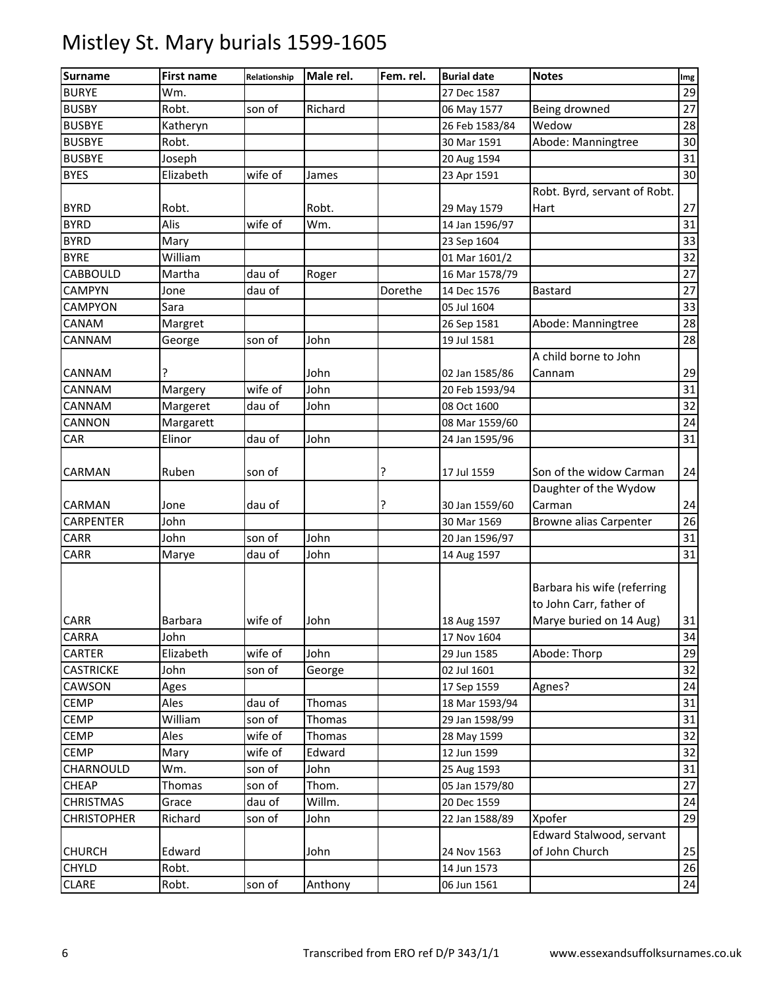| <b>Surname</b>     | <b>First name</b> | Relationship | Male rel. | Fem. rel. | <b>Burial date</b> | <b>Notes</b>                                                                      | Img |
|--------------------|-------------------|--------------|-----------|-----------|--------------------|-----------------------------------------------------------------------------------|-----|
| <b>BURYE</b>       | Wm.               |              |           |           | 27 Dec 1587        |                                                                                   | 29  |
| <b>BUSBY</b>       | Robt.             | son of       | Richard   |           | 06 May 1577        | Being drowned                                                                     | 27  |
| <b>BUSBYE</b>      | Katheryn          |              |           |           | 26 Feb 1583/84     | Wedow                                                                             | 28  |
| <b>BUSBYE</b>      | Robt.             |              |           |           | 30 Mar 1591        | Abode: Manningtree                                                                | 30  |
| <b>BUSBYE</b>      | Joseph            |              |           |           | 20 Aug 1594        |                                                                                   | 31  |
| <b>BYES</b>        | Elizabeth         | wife of      | James     |           | 23 Apr 1591        |                                                                                   | 30  |
|                    |                   |              |           |           |                    | Robt. Byrd, servant of Robt.                                                      |     |
| <b>BYRD</b>        | Robt.             |              | Robt.     |           | 29 May 1579        | Hart                                                                              | 27  |
| <b>BYRD</b>        | Alis              | wife of      | Wm.       |           | 14 Jan 1596/97     |                                                                                   | 31  |
| <b>BYRD</b>        | Mary              |              |           |           | 23 Sep 1604        |                                                                                   | 33  |
| <b>BYRE</b>        | William           |              |           |           | 01 Mar 1601/2      |                                                                                   | 32  |
| CABBOULD           | Martha            | dau of       | Roger     |           | 16 Mar 1578/79     |                                                                                   | 27  |
| <b>CAMPYN</b>      | Jone              | dau of       |           | Dorethe   | 14 Dec 1576        | <b>Bastard</b>                                                                    | 27  |
| CAMPYON            | Sara              |              |           |           | 05 Jul 1604        |                                                                                   | 33  |
| CANAM              | Margret           |              |           |           | 26 Sep 1581        | Abode: Manningtree                                                                | 28  |
| CANNAM             | George            | son of       | John      |           | 19 Jul 1581        |                                                                                   | 28  |
|                    |                   |              |           |           |                    | A child borne to John                                                             |     |
| CANNAM             | ?                 |              | John      |           | 02 Jan 1585/86     | Cannam                                                                            | 29  |
| CANNAM             | Margery           | wife of      | John      |           | 20 Feb 1593/94     |                                                                                   | 31  |
| CANNAM             | Margeret          | dau of       | John      |           | 08 Oct 1600        |                                                                                   | 32  |
| CANNON             | Margarett         |              |           |           | 08 Mar 1559/60     |                                                                                   | 24  |
| CAR                | Elinor            | dau of       | John      |           | 24 Jan 1595/96     |                                                                                   | 31  |
|                    |                   |              |           |           |                    |                                                                                   |     |
| CARMAN             | Ruben             | son of       |           | ?         | 17 Jul 1559        | Son of the widow Carman                                                           | 24  |
|                    |                   |              |           |           |                    | Daughter of the Wydow                                                             |     |
| CARMAN             | Jone              | dau of       |           | ?         | 30 Jan 1559/60     | Carman                                                                            | 24  |
| CARPENTER          | John              |              |           |           | 30 Mar 1569        | <b>Browne alias Carpenter</b>                                                     | 26  |
| CARR               | John              | son of       | John      |           | 20 Jan 1596/97     |                                                                                   | 31  |
| <b>CARR</b>        | Marye             | dau of       | John      |           | 14 Aug 1597        |                                                                                   | 31  |
| <b>CARR</b>        | Barbara           | wife of      | John      |           | 18 Aug 1597        | Barbara his wife (referring<br>to John Carr, father of<br>Marye buried on 14 Aug) | 31  |
| CARRA              | John              |              |           |           | 17 Nov 1604        |                                                                                   | 34  |
| CARTER             | Elizabeth         | wife of      | John      |           | 29 Jun 1585        | Abode: Thorp                                                                      | 29  |
| <b>CASTRICKE</b>   | John              | son of       | George    |           | 02 Jul 1601        |                                                                                   | 32  |
| CAWSON             | Ages              |              |           |           | 17 Sep 1559        | Agnes?                                                                            | 24  |
| <b>CEMP</b>        | Ales              | dau of       | Thomas    |           | 18 Mar 1593/94     |                                                                                   | 31  |
| <b>CEMP</b>        | William           | son of       | Thomas    |           | 29 Jan 1598/99     |                                                                                   | 31  |
| <b>CEMP</b>        | Ales              | wife of      | Thomas    |           | 28 May 1599        |                                                                                   | 32  |
| <b>CEMP</b>        | Mary              | wife of      | Edward    |           | 12 Jun 1599        |                                                                                   | 32  |
| CHARNOULD          | Wm.               | son of       | John      |           | 25 Aug 1593        |                                                                                   | 31  |
| CHEAP              | Thomas            | son of       | Thom.     |           | 05 Jan 1579/80     |                                                                                   | 27  |
| <b>CHRISTMAS</b>   | Grace             | dau of       | Willm.    |           | 20 Dec 1559        |                                                                                   | 24  |
| <b>CHRISTOPHER</b> | Richard           | son of       | John      |           | 22 Jan 1588/89     | Xpofer                                                                            | 29  |
|                    |                   |              |           |           |                    | Edward Stalwood, servant                                                          |     |
| <b>CHURCH</b>      | Edward            |              | John      |           | 24 Nov 1563        | of John Church                                                                    | 25  |
| <b>CHYLD</b>       | Robt.             |              |           |           | 14 Jun 1573        |                                                                                   | 26  |
| <b>CLARE</b>       | Robt.             | son of       | Anthony   |           | 06 Jun 1561        |                                                                                   | 24  |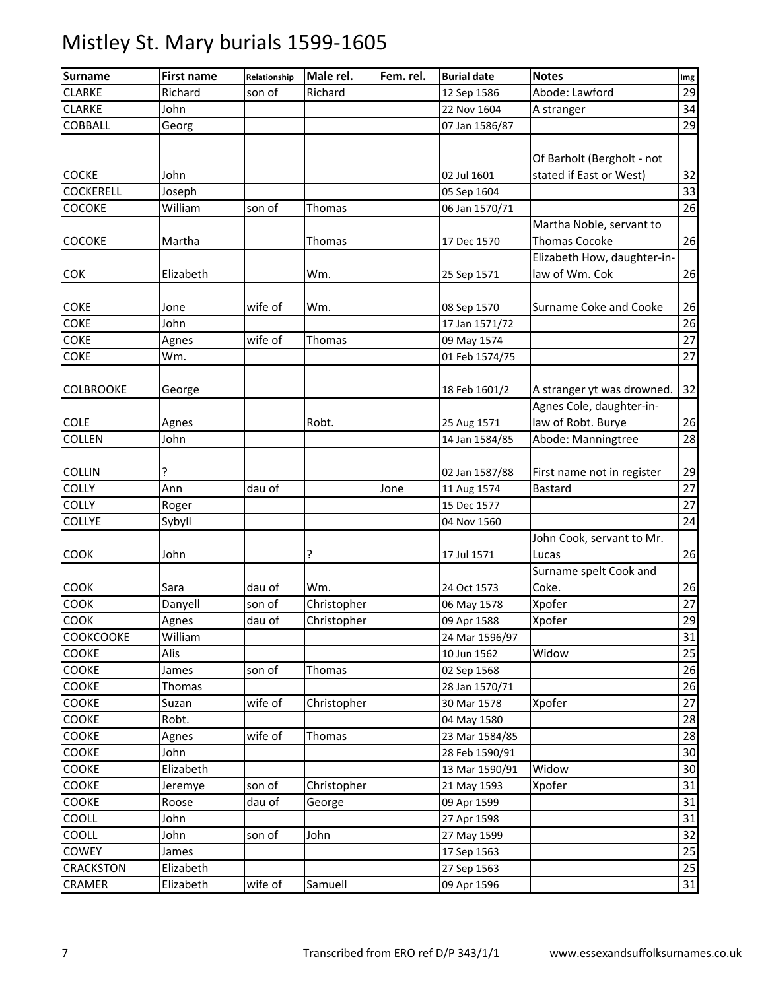| <b>Surname</b>   | <b>First name</b> | Relationship | Male rel.     | Fem. rel. | <b>Burial date</b> | <b>Notes</b>                | Img |
|------------------|-------------------|--------------|---------------|-----------|--------------------|-----------------------------|-----|
| <b>CLARKE</b>    | Richard           | son of       | Richard       |           | 12 Sep 1586        | Abode: Lawford              | 29  |
| <b>CLARKE</b>    | John              |              |               |           | 22 Nov 1604        | A stranger                  | 34  |
| <b>COBBALL</b>   | Georg             |              |               |           | 07 Jan 1586/87     |                             | 29  |
|                  |                   |              |               |           |                    |                             |     |
|                  |                   |              |               |           |                    | Of Barholt (Bergholt - not  |     |
| <b>COCKE</b>     | John              |              |               |           | 02 Jul 1601        | stated if East or West)     | 32  |
| <b>COCKERELL</b> | Joseph            |              |               |           | 05 Sep 1604        |                             | 33  |
| COCOKE           | William           | son of       | <b>Thomas</b> |           | 06 Jan 1570/71     |                             | 26  |
|                  |                   |              |               |           |                    | Martha Noble, servant to    |     |
| COCOKE           | Martha            |              | Thomas        |           | 17 Dec 1570        | <b>Thomas Cocoke</b>        | 26  |
|                  |                   |              |               |           |                    | Elizabeth How, daughter-in- |     |
| <b>COK</b>       | Elizabeth         |              | Wm.           |           | 25 Sep 1571        | law of Wm. Cok              | 26  |
|                  |                   |              |               |           |                    |                             |     |
| <b>COKE</b>      | Jone              | wife of      | Wm.           |           | 08 Sep 1570        | Surname Coke and Cooke      | 26  |
| <b>COKE</b>      | John              |              |               |           | 17 Jan 1571/72     |                             | 26  |
| <b>COKE</b>      | Agnes             | wife of      | Thomas        |           | 09 May 1574        |                             | 27  |
| <b>COKE</b>      | Wm.               |              |               |           | 01 Feb 1574/75     |                             | 27  |
|                  |                   |              |               |           |                    |                             |     |
| <b>COLBROOKE</b> | George            |              |               |           | 18 Feb 1601/2      | A stranger yt was drowned.  | 32  |
|                  |                   |              |               |           |                    | Agnes Cole, daughter-in-    |     |
| <b>COLE</b>      | Agnes             |              | Robt.         |           | 25 Aug 1571        | law of Robt. Burye          | 26  |
| COLLEN           | John              |              |               |           | 14 Jan 1584/85     | Abode: Manningtree          | 28  |
|                  |                   |              |               |           |                    |                             |     |
| <b>COLLIN</b>    | ?                 |              |               |           | 02 Jan 1587/88     | First name not in register  | 29  |
| <b>COLLY</b>     | Ann               | dau of       |               | Jone      | 11 Aug 1574        | <b>Bastard</b>              | 27  |
| <b>COLLY</b>     | Roger             |              |               |           | 15 Dec 1577        |                             | 27  |
| <b>COLLYE</b>    | Sybyll            |              |               |           | 04 Nov 1560        |                             | 24  |
|                  |                   |              |               |           |                    | John Cook, servant to Mr.   |     |
| <b>COOK</b>      | John              |              | ?             |           | 17 Jul 1571        | Lucas                       | 26  |
|                  |                   |              |               |           |                    | Surname spelt Cook and      |     |
| <b>COOK</b>      | Sara              | dau of       | Wm.           |           | 24 Oct 1573        | Coke.                       | 26  |
| COOK             | Danyell           | son of       | Christopher   |           | 06 May 1578        | Xpofer                      | 27  |
| COOK             | Agnes             | dau of       | Christopher   |           | 09 Apr 1588        | Xpofer                      | 29  |
| <b>COOKCOOKE</b> | William           |              |               |           | 24 Mar 1596/97     |                             | 31  |
| COOKE            | Alis              |              |               |           | 10 Jun 1562        | Widow                       | 25  |
| <b>COOKE</b>     | James             | son of       | Thomas        |           | 02 Sep 1568        |                             | 26  |
| <b>COOKE</b>     | Thomas            |              |               |           |                    |                             | 26  |
| COOKE            |                   | wife of      |               |           | 28 Jan 1570/71     |                             | 27  |
|                  | Suzan             |              | Christopher   |           | 30 Mar 1578        | Xpofer                      |     |
| <b>COOKE</b>     | Robt.             |              |               |           | 04 May 1580        |                             | 28  |
| COOKE            | Agnes             | wife of      | Thomas        |           | 23 Mar 1584/85     |                             | 28  |
| COOKE            | John              |              |               |           | 28 Feb 1590/91     |                             | 30  |
| COOKE            | Elizabeth         |              |               |           | 13 Mar 1590/91     | Widow                       | 30  |
| COOKE            | Jeremye           | son of       | Christopher   |           | 21 May 1593        | Xpofer                      | 31  |
| COOKE            | Roose             | dau of       | George        |           | 09 Apr 1599        |                             | 31  |
| COOLL            | John              |              |               |           | 27 Apr 1598        |                             | 31  |
| COOLL            | John              | son of       | John          |           | 27 May 1599        |                             | 32  |
| COWEY            | James             |              |               |           | 17 Sep 1563        |                             | 25  |
| CRACKSTON        | Elizabeth         |              |               |           | 27 Sep 1563        |                             | 25  |
| CRAMER           | Elizabeth         | wife of      | Samuell       |           | 09 Apr 1596        |                             | 31  |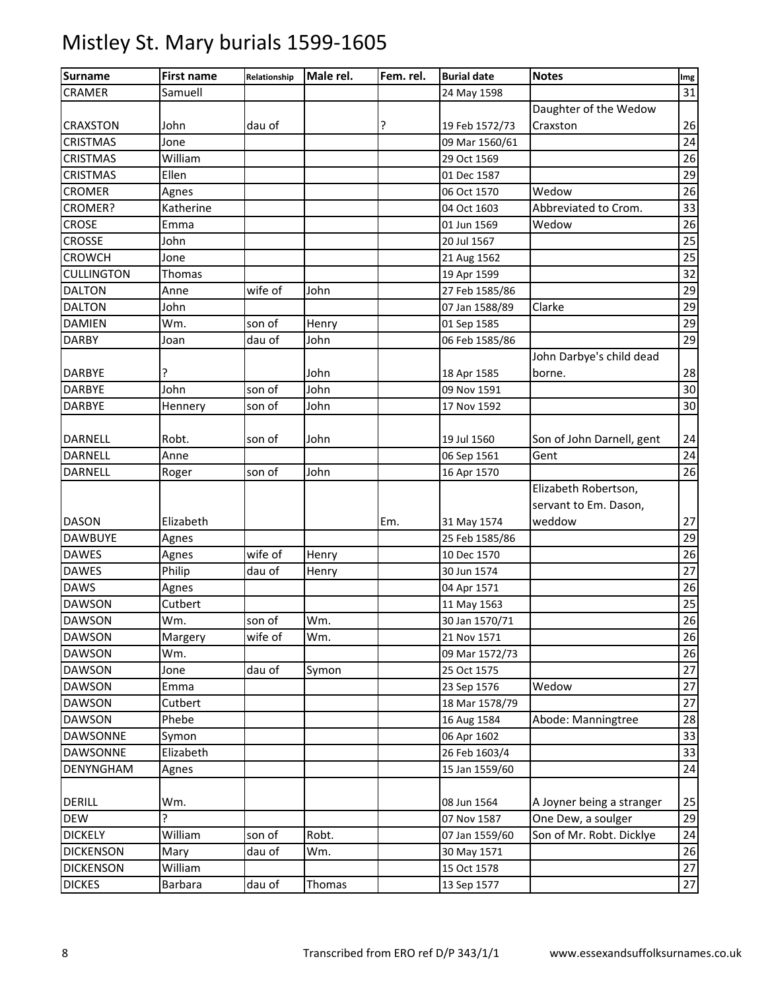#### Surname Tirst name Relationship Male rel. Fem. rel. Burial date Notes International Img CRAMER Samuell 24 May 1598 31 CRAXSTON John dau of ? 19 Feb 1572/73 Daughter of the Wedow Craxston 26 CRISTMAS Jone 09 Mar 1560/61 24 CRISTMAS William 29 Oct 1569 26 CRISTMAS Ellen 01 Dec 1587 29 CROMER Agnes 06 Oct 1570 Wedow 26 CROMER? Katherine 04 Oct 1603 Abbreviated to Crom. 33 CROSE Emma 01 Jun 1569 Wedow 26 CROSSE John 20 Jul 1567 25 CROWCH Jone 21 Aug 1562 25 CULLINGTON Thomas 19 Apr 1599 232 DALTON Anne wife of John 27 Feb 1585/86 29 DALTON John 07 Jan 1588/89 Clarke 29 DAMIEN Wm. son of Henry 101 Sep 1585 29 DARBY Joan dau of John 06 Feb 1585/86 29 DARBYE |? | | |John | | 18 Apr 1585 John Darbye's child dead borne. 28 DARBYE John son of John 09 Nov 1591 30 DARBYE Hennery son of John 17 Nov 1592 30 DARNELL Robt. son of John 19 Jul 1560 Son of John Darnell, gent 24 DARNELL Anne 06 Sep 1561 Gent 24 DARNELL Roger son of John 16 Apr 1570 26 DASON Elizabeth Em. 31 May 1574 Elizabeth Robertson, servant to Em. Dason, weddow 27 DAWBUYE Agnes 25 Feb 1585/86 29 DAWES Agnes wife of Henry 10 Dec 1570 26 DAWES Philip dau of Henry 1 30 Jun 1574 27 DAWS Agnes 04 Apr 1571 26 DAWSON Cutbert 11 May 1563 25 DAWSON Wm. son of Wm. 30 Jan 1570/71 26 DAWSON Margery wife of Wm. 1 21 Nov 1571 26 DAWSON Wm. 09 Mar 1572/73 26 DAWSON Jone dau of Symon 25 Oct 1575 27 DAWSON Emma 23 Sep 1576 Wedow 27 DAWSON Cutbert 18 Mar 1578/79 27 DAWSON Phebe 16 Aug 1584 Abode: Manningtree 28 DAWSONNE Symon 06 Apr 1602 33 DAWSONNE Elizabeth 26 Feb 1603/4 33 DENYNGHAM Agnes 15 Jan 1559/60 24 DERILL Wm. 08 Jun 1564 A Joyner being a stranger 25 DEW ? 07 Nov 1587 One Dew, a soulger 29 DICKELY William son of Robt. 07 Jan 1559/60 Son of Mr. Robt. Dicklye 24 DICKENSON Mary dau of Wm. 30 May 1571 26 DICKENSON William 15 Oct 1578 27 DICKES Barbara dau of Thomas 13 Sep 1577 27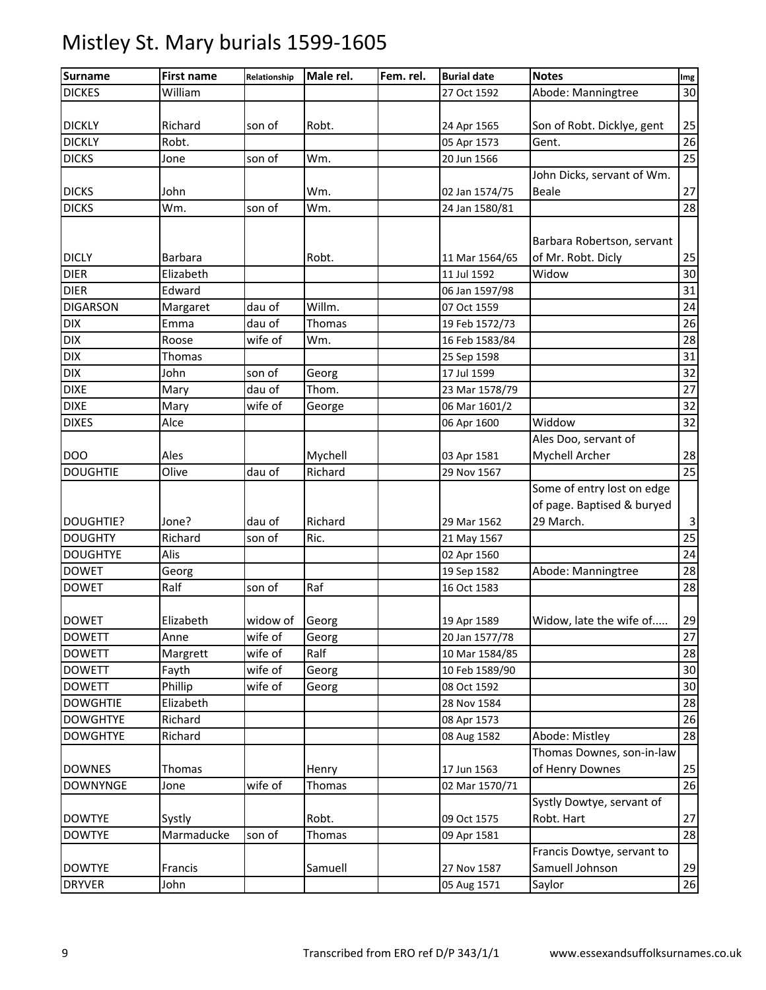| <b>Surname</b>   | <b>First name</b> | Relationship | Male rel. | Fem. rel. | <b>Burial date</b> | <b>Notes</b>                                  | Img          |
|------------------|-------------------|--------------|-----------|-----------|--------------------|-----------------------------------------------|--------------|
| <b>DICKES</b>    | William           |              |           |           | 27 Oct 1592        | Abode: Manningtree                            | 30           |
|                  |                   |              |           |           |                    |                                               |              |
| <b>DICKLY</b>    | Richard           | son of       | Robt.     |           | 24 Apr 1565        | Son of Robt. Dicklye, gent                    | 25           |
| <b>DICKLY</b>    | Robt.             |              |           |           | 05 Apr 1573        | Gent.                                         | 26           |
| <b>DICKS</b>     | Jone              | son of       | Wm.       |           | 20 Jun 1566        |                                               | 25           |
|                  |                   |              |           |           |                    | John Dicks, servant of Wm.                    |              |
| <b>DICKS</b>     | John              |              | Wm.       |           | 02 Jan 1574/75     | <b>Beale</b>                                  | 27           |
| <b>DICKS</b>     | Wm.               | son of       | Wm.       |           | 24 Jan 1580/81     |                                               | 28           |
|                  |                   |              |           |           |                    |                                               |              |
|                  |                   |              |           |           |                    | Barbara Robertson, servant                    |              |
| <b>DICLY</b>     | <b>Barbara</b>    |              | Robt.     |           | 11 Mar 1564/65     | of Mr. Robt. Dicly                            | 25           |
| <b>DIER</b>      | Elizabeth         |              |           |           | 11 Jul 1592        | Widow                                         | 30           |
| <b>DIER</b>      | Edward            |              |           |           | 06 Jan 1597/98     |                                               | 31           |
| <b>DIGARSON</b>  | Margaret          | dau of       | Willm.    |           | 07 Oct 1559        |                                               | 24           |
| <b>DIX</b>       | Emma              | dau of       | Thomas    |           | 19 Feb 1572/73     |                                               | 26           |
| <b>DIX</b>       | Roose             | wife of      | Wm.       |           | 16 Feb 1583/84     |                                               | 28           |
| <b>DIX</b>       | Thomas            |              |           |           | 25 Sep 1598        |                                               | 31           |
| <b>DIX</b>       | John              | son of       | Georg     |           | 17 Jul 1599        |                                               | 32           |
| <b>DIXE</b>      | Mary              | dau of       | Thom.     |           | 23 Mar 1578/79     |                                               | 27           |
| <b>DIXE</b>      | Mary              | wife of      | George    |           | 06 Mar 1601/2      |                                               | 32           |
| <b>DIXES</b>     | Alce              |              |           |           | 06 Apr 1600        | Widdow                                        | 32           |
|                  |                   |              |           |           |                    | Ales Doo, servant of                          |              |
| <b>DOO</b>       | Ales              |              | Mychell   |           | 03 Apr 1581        | Mychell Archer                                | 28           |
| <b>DOUGHTIE</b>  | Olive             | dau of       | Richard   |           | 29 Nov 1567        |                                               | 25           |
|                  |                   |              |           |           |                    | Some of entry lost on edge                    |              |
|                  |                   |              |           |           |                    | of page. Baptised & buryed                    |              |
| <b>DOUGHTIE?</b> | Jone?             | dau of       | Richard   |           | 29 Mar 1562        | 29 March.                                     | $\mathbf{3}$ |
| <b>DOUGHTY</b>   | Richard           | son of       | Ric.      |           | 21 May 1567        |                                               | 25           |
| <b>DOUGHTYE</b>  | Alis              |              |           |           | 02 Apr 1560        |                                               | 24           |
| <b>DOWET</b>     | Georg             |              |           |           | 19 Sep 1582        | Abode: Manningtree                            | 28           |
| <b>DOWET</b>     | Ralf              | son of       | Raf       |           | 16 Oct 1583        |                                               | 28           |
|                  |                   |              |           |           |                    |                                               |              |
| <b>DOWET</b>     | Elizabeth         | widow of     | Georg     |           | 19 Apr 1589        | Widow, late the wife of                       | 29           |
| <b>DOWETT</b>    | Anne              | wife of      | Georg     |           | 20 Jan 1577/78     |                                               | 27           |
| <b>DOWETT</b>    | Margrett          | wife of      | Ralf      |           | 10 Mar 1584/85     |                                               | 28           |
| <b>DOWETT</b>    | Fayth             | wife of      | Georg     |           | 10 Feb 1589/90     |                                               | 30           |
| <b>DOWETT</b>    | Phillip           | wife of      | Georg     |           | 08 Oct 1592        |                                               | 30           |
| <b>DOWGHTIE</b>  | Elizabeth         |              |           |           | 28 Nov 1584        |                                               | 28           |
| <b>DOWGHTYE</b>  | Richard           |              |           |           | 08 Apr 1573        |                                               | 26           |
| <b>DOWGHTYE</b>  | Richard           |              |           |           | 08 Aug 1582        | Abode: Mistley                                | 28           |
|                  |                   |              |           |           |                    | Thomas Downes, son-in-law                     |              |
| <b>DOWNES</b>    | Thomas            |              | Henry     |           | 17 Jun 1563        | of Henry Downes                               | 25           |
| <b>DOWNYNGE</b>  | Jone              | wife of      | Thomas    |           | 02 Mar 1570/71     |                                               | 26           |
|                  |                   |              |           |           |                    | Systly Dowtye, servant of                     |              |
| <b>DOWTYE</b>    | Systly            |              | Robt.     |           | 09 Oct 1575        | Robt. Hart                                    | 27<br>28     |
| <b>DOWTYE</b>    | Marmaducke        | son of       | Thomas    |           | 09 Apr 1581        |                                               |              |
| <b>DOWTYE</b>    | Francis           |              | Samuell   |           | 27 Nov 1587        | Francis Dowtye, servant to<br>Samuell Johnson |              |
|                  | John              |              |           |           |                    |                                               | 29           |
| <b>DRYVER</b>    |                   |              |           |           | 05 Aug 1571        | Saylor                                        | 26           |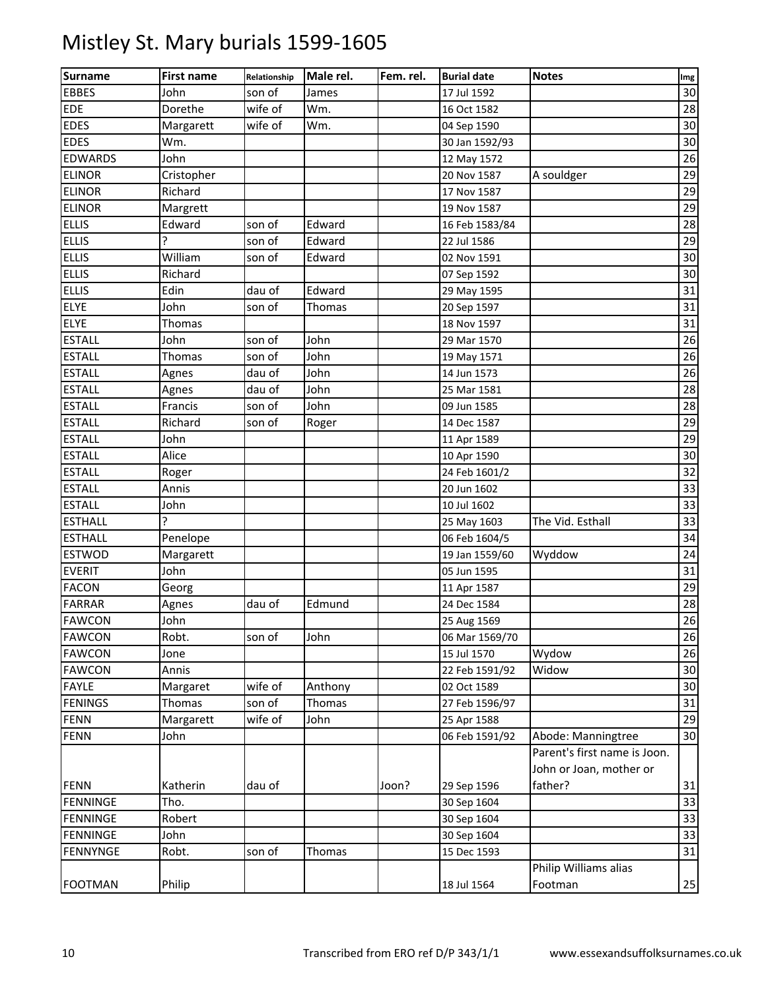| <b>Surname</b>  | <b>First name</b> | Relationship | Male rel. | Fem. rel. | <b>Burial date</b> | <b>Notes</b>                 | Img |
|-----------------|-------------------|--------------|-----------|-----------|--------------------|------------------------------|-----|
| <b>EBBES</b>    | John              | son of       | James     |           | 17 Jul 1592        |                              | 30  |
| <b>EDE</b>      | Dorethe           | wife of      | Wm.       |           | 16 Oct 1582        |                              | 28  |
| <b>EDES</b>     | Margarett         | wife of      | Wm.       |           | 04 Sep 1590        |                              | 30  |
| <b>EDES</b>     | Wm.               |              |           |           | 30 Jan 1592/93     |                              | 30  |
| <b>EDWARDS</b>  | John              |              |           |           | 12 May 1572        |                              | 26  |
| <b>ELINOR</b>   | Cristopher        |              |           |           | 20 Nov 1587        | A souldger                   | 29  |
| <b>ELINOR</b>   | Richard           |              |           |           | 17 Nov 1587        |                              | 29  |
| <b>ELINOR</b>   | Margrett          |              |           |           | 19 Nov 1587        |                              | 29  |
| <b>ELLIS</b>    | Edward            | son of       | Edward    |           | 16 Feb 1583/84     |                              | 28  |
| <b>ELLIS</b>    | ς                 | son of       | Edward    |           | 22 Jul 1586        |                              | 29  |
| <b>ELLIS</b>    | William           | son of       | Edward    |           | 02 Nov 1591        |                              | 30  |
| <b>ELLIS</b>    | Richard           |              |           |           | 07 Sep 1592        |                              | 30  |
| <b>ELLIS</b>    | Edin              | dau of       | Edward    |           | 29 May 1595        |                              | 31  |
| ELYE            | John              | son of       | Thomas    |           | 20 Sep 1597        |                              | 31  |
| <b>ELYE</b>     | Thomas            |              |           |           | 18 Nov 1597        |                              | 31  |
| <b>ESTALL</b>   | John              | son of       | John      |           | 29 Mar 1570        |                              | 26  |
| <b>ESTALL</b>   | Thomas            | son of       | John      |           | 19 May 1571        |                              | 26  |
| <b>ESTALL</b>   | Agnes             | dau of       | John      |           | 14 Jun 1573        |                              | 26  |
| <b>ESTALL</b>   | Agnes             | dau of       | John      |           | 25 Mar 1581        |                              | 28  |
| <b>ESTALL</b>   | Francis           | son of       | John      |           | 09 Jun 1585        |                              | 28  |
| <b>ESTALL</b>   | Richard           | son of       | Roger     |           | 14 Dec 1587        |                              | 29  |
| <b>ESTALL</b>   | John              |              |           |           | 11 Apr 1589        |                              | 29  |
| <b>ESTALL</b>   | Alice             |              |           |           | 10 Apr 1590        |                              | 30  |
| <b>ESTALL</b>   | Roger             |              |           |           | 24 Feb 1601/2      |                              | 32  |
| <b>ESTALL</b>   | Annis             |              |           |           | 20 Jun 1602        |                              | 33  |
| <b>ESTALL</b>   | John              |              |           |           | 10 Jul 1602        |                              | 33  |
| <b>ESTHALL</b>  | Ç                 |              |           |           | 25 May 1603        | The Vid. Esthall             | 33  |
| <b>ESTHALL</b>  | Penelope          |              |           |           | 06 Feb 1604/5      |                              | 34  |
| ESTWOD          | Margarett         |              |           |           | 19 Jan 1559/60     | Wyddow                       | 24  |
| <b>EVERIT</b>   | John              |              |           |           | 05 Jun 1595        |                              | 31  |
| <b>FACON</b>    | Georg             |              |           |           | 11 Apr 1587        |                              | 29  |
| <b>FARRAR</b>   | Agnes             | dau of       | Edmund    |           | 24 Dec 1584        |                              | 28  |
| <b>FAWCON</b>   | John              |              |           |           | 25 Aug 1569        |                              | 26  |
| <b>FAWCON</b>   | Robt.             | son of       | John      |           | 06 Mar 1569/70     |                              | 26  |
| <b>FAWCON</b>   | Jone              |              |           |           | 15 Jul 1570        | Wydow                        | 26  |
| <b>FAWCON</b>   | Annis             |              |           |           | 22 Feb 1591/92     | Widow                        | 30  |
| <b>FAYLE</b>    | Margaret          | wife of      | Anthony   |           | 02 Oct 1589        |                              | 30  |
| <b>FENINGS</b>  | Thomas            | son of       | Thomas    |           | 27 Feb 1596/97     |                              | 31  |
| <b>FENN</b>     | Margarett         | wife of      | John      |           | 25 Apr 1588        |                              | 29  |
| <b>FENN</b>     | John              |              |           |           | 06 Feb 1591/92     | Abode: Manningtree           | 30  |
|                 |                   |              |           |           |                    | Parent's first name is Joon. |     |
|                 |                   |              |           |           |                    | John or Joan, mother or      |     |
| <b>FENN</b>     | Katherin          | dau of       |           | Joon?     | 29 Sep 1596        | father?                      | 31  |
| <b>FENNINGE</b> | Tho.              |              |           |           | 30 Sep 1604        |                              | 33  |
| <b>FENNINGE</b> | Robert            |              |           |           | 30 Sep 1604        |                              | 33  |
| <b>FENNINGE</b> | John              |              |           |           | 30 Sep 1604        |                              | 33  |
| <b>FENNYNGE</b> | Robt.             | son of       | Thomas    |           | 15 Dec 1593        |                              | 31  |
|                 |                   |              |           |           |                    | Philip Williams alias        |     |
| <b>FOOTMAN</b>  | Philip            |              |           |           | 18 Jul 1564        | Footman                      | 25  |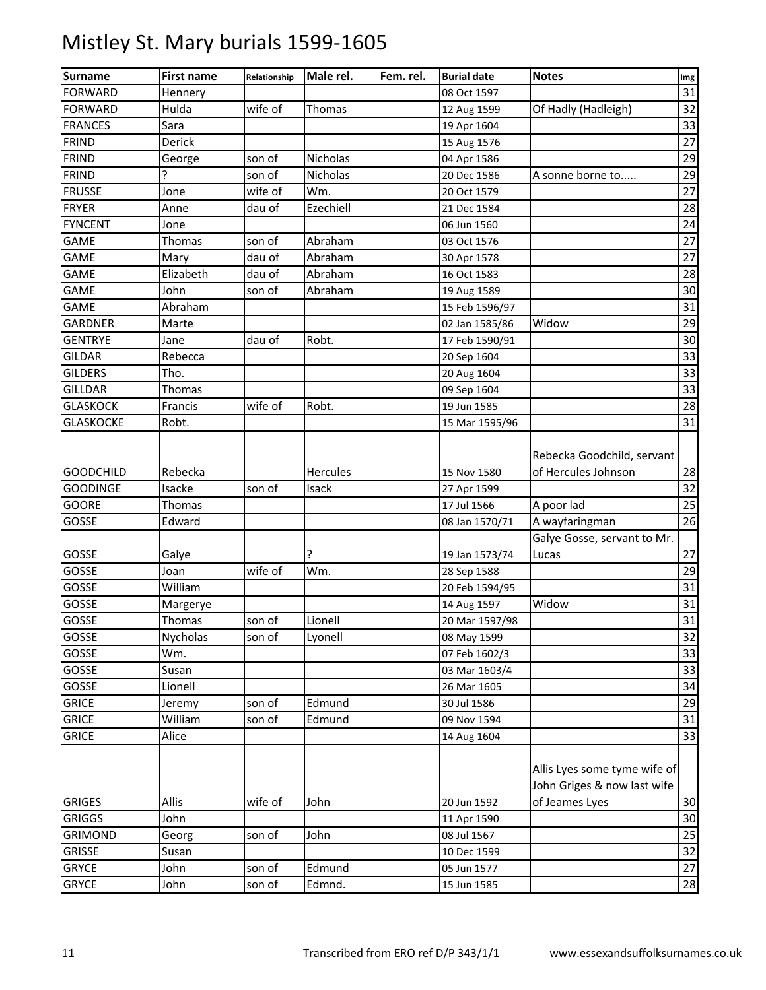| <b>Surname</b>   | <b>First name</b> | Relationship | Male rel.       | Fem. rel. | <b>Burial date</b> | <b>Notes</b>                                                | Img |
|------------------|-------------------|--------------|-----------------|-----------|--------------------|-------------------------------------------------------------|-----|
| <b>FORWARD</b>   | Hennery           |              |                 |           | 08 Oct 1597        |                                                             | 31  |
| <b>FORWARD</b>   | Hulda             | wife of      | Thomas          |           | 12 Aug 1599        | Of Hadly (Hadleigh)                                         | 32  |
| <b>FRANCES</b>   | Sara              |              |                 |           | 19 Apr 1604        |                                                             | 33  |
| <b>FRIND</b>     | Derick            |              |                 |           | 15 Aug 1576        |                                                             | 27  |
| <b>FRIND</b>     | George            | son of       | Nicholas        |           | 04 Apr 1586        |                                                             | 29  |
| <b>FRIND</b>     | ŗ                 | son of       | Nicholas        |           | 20 Dec 1586        | A sonne borne to                                            | 29  |
| <b>FRUSSE</b>    | Jone              | wife of      | Wm.             |           | 20 Oct 1579        |                                                             | 27  |
| <b>FRYER</b>     | Anne              | dau of       | Ezechiell       |           | 21 Dec 1584        |                                                             | 28  |
| <b>FYNCENT</b>   | Jone              |              |                 |           | 06 Jun 1560        |                                                             | 24  |
| <b>GAME</b>      | Thomas            | son of       | Abraham         |           | 03 Oct 1576        |                                                             | 27  |
| <b>GAME</b>      | Mary              | dau of       | Abraham         |           | 30 Apr 1578        |                                                             | 27  |
| <b>GAME</b>      | Elizabeth         | dau of       | Abraham         |           | 16 Oct 1583        |                                                             | 28  |
| <b>GAME</b>      | John              | son of       | Abraham         |           | 19 Aug 1589        |                                                             | 30  |
| <b>GAME</b>      | Abraham           |              |                 |           | 15 Feb 1596/97     |                                                             | 31  |
| <b>GARDNER</b>   | Marte             |              |                 |           | 02 Jan 1585/86     | Widow                                                       | 29  |
| <b>GENTRYE</b>   | Jane              | dau of       | Robt.           |           | 17 Feb 1590/91     |                                                             | 30  |
| <b>GILDAR</b>    | Rebecca           |              |                 |           | 20 Sep 1604        |                                                             | 33  |
| <b>GILDERS</b>   | Tho.              |              |                 |           | 20 Aug 1604        |                                                             | 33  |
| <b>GILLDAR</b>   | Thomas            |              |                 |           | 09 Sep 1604        |                                                             | 33  |
| <b>GLASKOCK</b>  | Francis           | wife of      | Robt.           |           | 19 Jun 1585        |                                                             | 28  |
| <b>GLASKOCKE</b> | Robt.             |              |                 |           | 15 Mar 1595/96     |                                                             | 31  |
|                  |                   |              |                 |           |                    | Rebecka Goodchild, servant                                  |     |
| <b>GOODCHILD</b> | Rebecka           |              | <b>Hercules</b> |           | 15 Nov 1580        | of Hercules Johnson                                         | 28  |
| <b>GOODINGE</b>  | Isacke            | son of       | Isack           |           | 27 Apr 1599        |                                                             | 32  |
| <b>GOORE</b>     | Thomas            |              |                 |           | 17 Jul 1566        | A poor lad                                                  | 25  |
| GOSSE            | Edward            |              |                 |           | 08 Jan 1570/71     | A wayfaringman                                              | 26  |
|                  |                   |              |                 |           |                    | Galye Gosse, servant to Mr.                                 |     |
| GOSSE            | Galye             |              |                 |           | 19 Jan 1573/74     | Lucas                                                       | 27  |
| GOSSE            | Joan              | wife of      | Wm.             |           | 28 Sep 1588        |                                                             | 29  |
| GOSSE            | William           |              |                 |           | 20 Feb 1594/95     |                                                             | 31  |
| GOSSE            | Margerye          |              |                 |           | 14 Aug 1597        | Widow                                                       | 31  |
| <b>GOSSE</b>     | Thomas            | son of       | Lionell         |           | 20 Mar 1597/98     |                                                             | 31  |
| GOSSE            | <b>Nycholas</b>   | son of       | Lyonell         |           | 08 May 1599        |                                                             | 32  |
| GOSSE            | Wm.               |              |                 |           | 07 Feb 1602/3      |                                                             | 33  |
| GOSSE            | Susan             |              |                 |           | 03 Mar 1603/4      |                                                             | 33  |
| GOSSE            | Lionell           |              |                 |           | 26 Mar 1605        |                                                             | 34  |
| <b>GRICE</b>     | Jeremy            | son of       | Edmund          |           | 30 Jul 1586        |                                                             | 29  |
| <b>GRICE</b>     | William           | son of       | Edmund          |           | 09 Nov 1594        |                                                             | 31  |
| <b>GRICE</b>     | Alice             |              |                 |           | 14 Aug 1604        |                                                             | 33  |
|                  |                   |              |                 |           |                    | Allis Lyes some tyme wife of<br>John Griges & now last wife |     |
| <b>GRIGES</b>    | Allis             | wife of      | John            |           | 20 Jun 1592        | of Jeames Lyes                                              | 30  |
| <b>GRIGGS</b>    | John              |              |                 |           | 11 Apr 1590        |                                                             | 30  |
| <b>GRIMOND</b>   | Georg             | son of       | John            |           | 08 Jul 1567        |                                                             | 25  |
| <b>GRISSE</b>    | Susan             |              |                 |           | 10 Dec 1599        |                                                             | 32  |
| <b>GRYCE</b>     | John              | son of       | Edmund          |           | 05 Jun 1577        |                                                             | 27  |
| <b>GRYCE</b>     | John              | son of       | Edmnd.          |           | 15 Jun 1585        |                                                             | 28  |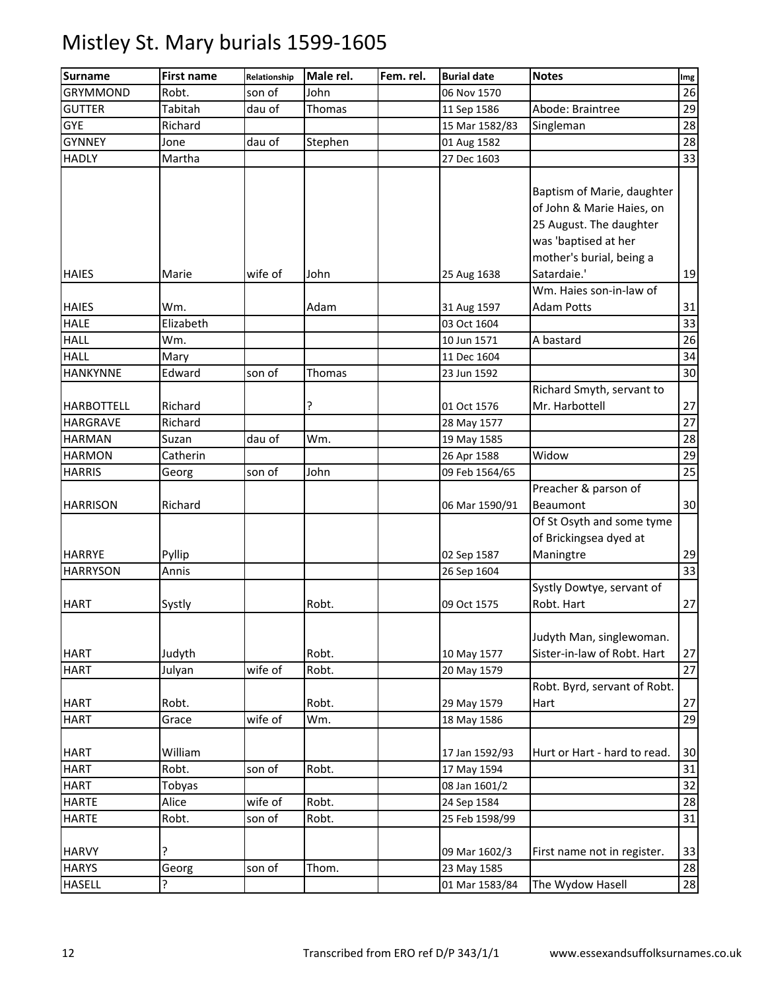| 26<br><b>GRYMMOND</b><br>Robt.<br>John<br>son of<br>06 Nov 1570<br><b>GUTTER</b><br>Tabitah<br>dau of<br>Thomas<br>Abode: Braintree<br>11 Sep 1586<br><b>GYE</b><br>28<br>Richard<br>15 Mar 1582/83<br>Singleman<br>28<br><b>GYNNEY</b><br>dau of<br>Stephen<br>01 Aug 1582<br>Jone<br>33<br><b>HADLY</b><br>Martha<br>27 Dec 1603<br>Baptism of Marie, daughter<br>of John & Marie Haies, on<br>25 August. The daughter<br>was 'baptised at her<br>mother's burial, being a<br>Satardaie.'<br>19<br><b>HAIES</b><br>Marie<br>wife of<br>John<br>25 Aug 1638<br>Wm. Haies son-in-law of<br>31<br>Wm.<br>Adam<br><b>Adam Potts</b><br>31 Aug 1597<br>33<br><b>HALE</b><br>Elizabeth<br>03 Oct 1604<br>A bastard<br>26<br>Wm.<br>10 Jun 1571<br>Mary<br>11 Dec 1604<br>Edward<br>son of<br>30<br>Thomas<br>23 Jun 1592<br>Richard Smyth, servant to<br>Mr. Harbottell<br>Richard<br>?<br>01 Oct 1576<br>27<br>Richard<br>28 May 1577<br>dau of<br>Wm.<br>19 May 1585<br>Suzan<br>29<br>Widow<br><b>HARMON</b><br>Catherin<br>26 Apr 1588<br>25<br>son of<br>John<br>09 Feb 1564/65<br>Georg<br>Preacher & parson of<br>Richard<br>Beaumont<br>06 Mar 1590/91<br>Of St Osyth and some tyme<br>of Brickingsea dyed at<br>Pyllip<br>Maningtre<br>02 Sep 1587<br>33<br><b>HARRYSON</b><br>Annis<br>26 Sep 1604<br>Systly Dowtye, servant of<br>Robt. Hart<br>Robt.<br>Systly<br>09 Oct 1575<br>Judyth Man, singlewoman.<br>Sister-in-law of Robt. Hart<br>Robt.<br>Judyth<br>10 May 1577<br>wife of<br>27<br>Robt.<br>Julyan<br>20 May 1579<br>Robt. Byrd, servant of Robt.<br><b>HART</b><br>Robt.<br>Robt.<br>29 May 1579<br>27<br>Hart<br>wife of<br>29<br><b>HART</b><br>Wm.<br>Grace<br>18 May 1586<br>William<br>Hurt or Hart - hard to read.<br>17 Jan 1592/93<br>30<br>31<br>Robt.<br>Robt.<br>son of<br>17 May 1594<br>32<br>Tobyas<br>08 Jan 1601/2<br>wife of<br>28<br><b>HARTE</b><br>Alice<br>Robt.<br>24 Sep 1584<br>31<br>son of<br>Robt.<br>Robt.<br>25 Feb 1598/99<br><b>HARVY</b><br>?<br>First name not in register.<br>33<br>09 Mar 1602/3<br>son of<br>28<br><b>HARYS</b><br>Thom.<br>Georg<br>23 May 1585 | <b>Surname</b>             | <b>First name</b> | Relationship | Male rel. | Fem. rel. | <b>Burial date</b> | <b>Notes</b>     | Img |
|---------------------------------------------------------------------------------------------------------------------------------------------------------------------------------------------------------------------------------------------------------------------------------------------------------------------------------------------------------------------------------------------------------------------------------------------------------------------------------------------------------------------------------------------------------------------------------------------------------------------------------------------------------------------------------------------------------------------------------------------------------------------------------------------------------------------------------------------------------------------------------------------------------------------------------------------------------------------------------------------------------------------------------------------------------------------------------------------------------------------------------------------------------------------------------------------------------------------------------------------------------------------------------------------------------------------------------------------------------------------------------------------------------------------------------------------------------------------------------------------------------------------------------------------------------------------------------------------------------------------------------------------------------------------------------------------------------------------------------------------------------------------------------------------------------------------------------------------------------------------------------------------------------------------------------------------------------------------------------------------------------------------------------------------------------------------------------------------------------------------------|----------------------------|-------------------|--------------|-----------|-----------|--------------------|------------------|-----|
|                                                                                                                                                                                                                                                                                                                                                                                                                                                                                                                                                                                                                                                                                                                                                                                                                                                                                                                                                                                                                                                                                                                                                                                                                                                                                                                                                                                                                                                                                                                                                                                                                                                                                                                                                                                                                                                                                                                                                                                                                                                                                                                           |                            |                   |              |           |           |                    |                  |     |
|                                                                                                                                                                                                                                                                                                                                                                                                                                                                                                                                                                                                                                                                                                                                                                                                                                                                                                                                                                                                                                                                                                                                                                                                                                                                                                                                                                                                                                                                                                                                                                                                                                                                                                                                                                                                                                                                                                                                                                                                                                                                                                                           |                            |                   |              |           |           |                    |                  | 29  |
|                                                                                                                                                                                                                                                                                                                                                                                                                                                                                                                                                                                                                                                                                                                                                                                                                                                                                                                                                                                                                                                                                                                                                                                                                                                                                                                                                                                                                                                                                                                                                                                                                                                                                                                                                                                                                                                                                                                                                                                                                                                                                                                           |                            |                   |              |           |           |                    |                  |     |
|                                                                                                                                                                                                                                                                                                                                                                                                                                                                                                                                                                                                                                                                                                                                                                                                                                                                                                                                                                                                                                                                                                                                                                                                                                                                                                                                                                                                                                                                                                                                                                                                                                                                                                                                                                                                                                                                                                                                                                                                                                                                                                                           |                            |                   |              |           |           |                    |                  |     |
|                                                                                                                                                                                                                                                                                                                                                                                                                                                                                                                                                                                                                                                                                                                                                                                                                                                                                                                                                                                                                                                                                                                                                                                                                                                                                                                                                                                                                                                                                                                                                                                                                                                                                                                                                                                                                                                                                                                                                                                                                                                                                                                           |                            |                   |              |           |           |                    |                  |     |
|                                                                                                                                                                                                                                                                                                                                                                                                                                                                                                                                                                                                                                                                                                                                                                                                                                                                                                                                                                                                                                                                                                                                                                                                                                                                                                                                                                                                                                                                                                                                                                                                                                                                                                                                                                                                                                                                                                                                                                                                                                                                                                                           |                            |                   |              |           |           |                    |                  |     |
|                                                                                                                                                                                                                                                                                                                                                                                                                                                                                                                                                                                                                                                                                                                                                                                                                                                                                                                                                                                                                                                                                                                                                                                                                                                                                                                                                                                                                                                                                                                                                                                                                                                                                                                                                                                                                                                                                                                                                                                                                                                                                                                           |                            |                   |              |           |           |                    |                  |     |
|                                                                                                                                                                                                                                                                                                                                                                                                                                                                                                                                                                                                                                                                                                                                                                                                                                                                                                                                                                                                                                                                                                                                                                                                                                                                                                                                                                                                                                                                                                                                                                                                                                                                                                                                                                                                                                                                                                                                                                                                                                                                                                                           |                            |                   |              |           |           |                    |                  |     |
|                                                                                                                                                                                                                                                                                                                                                                                                                                                                                                                                                                                                                                                                                                                                                                                                                                                                                                                                                                                                                                                                                                                                                                                                                                                                                                                                                                                                                                                                                                                                                                                                                                                                                                                                                                                                                                                                                                                                                                                                                                                                                                                           | <b>HAIES</b>               |                   |              |           |           |                    |                  |     |
|                                                                                                                                                                                                                                                                                                                                                                                                                                                                                                                                                                                                                                                                                                                                                                                                                                                                                                                                                                                                                                                                                                                                                                                                                                                                                                                                                                                                                                                                                                                                                                                                                                                                                                                                                                                                                                                                                                                                                                                                                                                                                                                           |                            |                   |              |           |           |                    |                  |     |
|                                                                                                                                                                                                                                                                                                                                                                                                                                                                                                                                                                                                                                                                                                                                                                                                                                                                                                                                                                                                                                                                                                                                                                                                                                                                                                                                                                                                                                                                                                                                                                                                                                                                                                                                                                                                                                                                                                                                                                                                                                                                                                                           | <b>HALL</b>                |                   |              |           |           |                    |                  |     |
|                                                                                                                                                                                                                                                                                                                                                                                                                                                                                                                                                                                                                                                                                                                                                                                                                                                                                                                                                                                                                                                                                                                                                                                                                                                                                                                                                                                                                                                                                                                                                                                                                                                                                                                                                                                                                                                                                                                                                                                                                                                                                                                           | <b>HALL</b>                |                   |              |           |           |                    |                  | 34  |
|                                                                                                                                                                                                                                                                                                                                                                                                                                                                                                                                                                                                                                                                                                                                                                                                                                                                                                                                                                                                                                                                                                                                                                                                                                                                                                                                                                                                                                                                                                                                                                                                                                                                                                                                                                                                                                                                                                                                                                                                                                                                                                                           | <b>HANKYNNE</b>            |                   |              |           |           |                    |                  |     |
|                                                                                                                                                                                                                                                                                                                                                                                                                                                                                                                                                                                                                                                                                                                                                                                                                                                                                                                                                                                                                                                                                                                                                                                                                                                                                                                                                                                                                                                                                                                                                                                                                                                                                                                                                                                                                                                                                                                                                                                                                                                                                                                           | <b>HARBOTTELL</b>          |                   |              |           |           |                    |                  | 27  |
|                                                                                                                                                                                                                                                                                                                                                                                                                                                                                                                                                                                                                                                                                                                                                                                                                                                                                                                                                                                                                                                                                                                                                                                                                                                                                                                                                                                                                                                                                                                                                                                                                                                                                                                                                                                                                                                                                                                                                                                                                                                                                                                           | <b>HARGRAVE</b>            |                   |              |           |           |                    |                  |     |
|                                                                                                                                                                                                                                                                                                                                                                                                                                                                                                                                                                                                                                                                                                                                                                                                                                                                                                                                                                                                                                                                                                                                                                                                                                                                                                                                                                                                                                                                                                                                                                                                                                                                                                                                                                                                                                                                                                                                                                                                                                                                                                                           | <b>HARMAN</b>              |                   |              |           |           |                    |                  | 28  |
|                                                                                                                                                                                                                                                                                                                                                                                                                                                                                                                                                                                                                                                                                                                                                                                                                                                                                                                                                                                                                                                                                                                                                                                                                                                                                                                                                                                                                                                                                                                                                                                                                                                                                                                                                                                                                                                                                                                                                                                                                                                                                                                           |                            |                   |              |           |           |                    |                  |     |
|                                                                                                                                                                                                                                                                                                                                                                                                                                                                                                                                                                                                                                                                                                                                                                                                                                                                                                                                                                                                                                                                                                                                                                                                                                                                                                                                                                                                                                                                                                                                                                                                                                                                                                                                                                                                                                                                                                                                                                                                                                                                                                                           | <b>HARRIS</b>              |                   |              |           |           |                    |                  |     |
|                                                                                                                                                                                                                                                                                                                                                                                                                                                                                                                                                                                                                                                                                                                                                                                                                                                                                                                                                                                                                                                                                                                                                                                                                                                                                                                                                                                                                                                                                                                                                                                                                                                                                                                                                                                                                                                                                                                                                                                                                                                                                                                           | <b>HARRISON</b>            |                   |              |           |           |                    |                  | 30  |
|                                                                                                                                                                                                                                                                                                                                                                                                                                                                                                                                                                                                                                                                                                                                                                                                                                                                                                                                                                                                                                                                                                                                                                                                                                                                                                                                                                                                                                                                                                                                                                                                                                                                                                                                                                                                                                                                                                                                                                                                                                                                                                                           | <b>HARRYE</b>              |                   |              |           |           |                    |                  | 29  |
|                                                                                                                                                                                                                                                                                                                                                                                                                                                                                                                                                                                                                                                                                                                                                                                                                                                                                                                                                                                                                                                                                                                                                                                                                                                                                                                                                                                                                                                                                                                                                                                                                                                                                                                                                                                                                                                                                                                                                                                                                                                                                                                           |                            |                   |              |           |           |                    |                  |     |
|                                                                                                                                                                                                                                                                                                                                                                                                                                                                                                                                                                                                                                                                                                                                                                                                                                                                                                                                                                                                                                                                                                                                                                                                                                                                                                                                                                                                                                                                                                                                                                                                                                                                                                                                                                                                                                                                                                                                                                                                                                                                                                                           | <b>HART</b>                |                   |              |           |           |                    |                  | 27  |
|                                                                                                                                                                                                                                                                                                                                                                                                                                                                                                                                                                                                                                                                                                                                                                                                                                                                                                                                                                                                                                                                                                                                                                                                                                                                                                                                                                                                                                                                                                                                                                                                                                                                                                                                                                                                                                                                                                                                                                                                                                                                                                                           | <b>HART</b><br><b>HART</b> |                   |              |           |           |                    |                  | 27  |
|                                                                                                                                                                                                                                                                                                                                                                                                                                                                                                                                                                                                                                                                                                                                                                                                                                                                                                                                                                                                                                                                                                                                                                                                                                                                                                                                                                                                                                                                                                                                                                                                                                                                                                                                                                                                                                                                                                                                                                                                                                                                                                                           |                            |                   |              |           |           |                    |                  |     |
|                                                                                                                                                                                                                                                                                                                                                                                                                                                                                                                                                                                                                                                                                                                                                                                                                                                                                                                                                                                                                                                                                                                                                                                                                                                                                                                                                                                                                                                                                                                                                                                                                                                                                                                                                                                                                                                                                                                                                                                                                                                                                                                           |                            |                   |              |           |           |                    |                  |     |
|                                                                                                                                                                                                                                                                                                                                                                                                                                                                                                                                                                                                                                                                                                                                                                                                                                                                                                                                                                                                                                                                                                                                                                                                                                                                                                                                                                                                                                                                                                                                                                                                                                                                                                                                                                                                                                                                                                                                                                                                                                                                                                                           |                            |                   |              |           |           |                    |                  |     |
|                                                                                                                                                                                                                                                                                                                                                                                                                                                                                                                                                                                                                                                                                                                                                                                                                                                                                                                                                                                                                                                                                                                                                                                                                                                                                                                                                                                                                                                                                                                                                                                                                                                                                                                                                                                                                                                                                                                                                                                                                                                                                                                           | <b>HART</b>                |                   |              |           |           |                    |                  |     |
|                                                                                                                                                                                                                                                                                                                                                                                                                                                                                                                                                                                                                                                                                                                                                                                                                                                                                                                                                                                                                                                                                                                                                                                                                                                                                                                                                                                                                                                                                                                                                                                                                                                                                                                                                                                                                                                                                                                                                                                                                                                                                                                           | <b>HART</b>                |                   |              |           |           |                    |                  |     |
|                                                                                                                                                                                                                                                                                                                                                                                                                                                                                                                                                                                                                                                                                                                                                                                                                                                                                                                                                                                                                                                                                                                                                                                                                                                                                                                                                                                                                                                                                                                                                                                                                                                                                                                                                                                                                                                                                                                                                                                                                                                                                                                           | <b>HART</b>                |                   |              |           |           |                    |                  |     |
|                                                                                                                                                                                                                                                                                                                                                                                                                                                                                                                                                                                                                                                                                                                                                                                                                                                                                                                                                                                                                                                                                                                                                                                                                                                                                                                                                                                                                                                                                                                                                                                                                                                                                                                                                                                                                                                                                                                                                                                                                                                                                                                           |                            |                   |              |           |           |                    |                  |     |
|                                                                                                                                                                                                                                                                                                                                                                                                                                                                                                                                                                                                                                                                                                                                                                                                                                                                                                                                                                                                                                                                                                                                                                                                                                                                                                                                                                                                                                                                                                                                                                                                                                                                                                                                                                                                                                                                                                                                                                                                                                                                                                                           | <b>HARTE</b>               |                   |              |           |           |                    |                  |     |
|                                                                                                                                                                                                                                                                                                                                                                                                                                                                                                                                                                                                                                                                                                                                                                                                                                                                                                                                                                                                                                                                                                                                                                                                                                                                                                                                                                                                                                                                                                                                                                                                                                                                                                                                                                                                                                                                                                                                                                                                                                                                                                                           |                            |                   |              |           |           |                    |                  |     |
|                                                                                                                                                                                                                                                                                                                                                                                                                                                                                                                                                                                                                                                                                                                                                                                                                                                                                                                                                                                                                                                                                                                                                                                                                                                                                                                                                                                                                                                                                                                                                                                                                                                                                                                                                                                                                                                                                                                                                                                                                                                                                                                           |                            |                   |              |           |           |                    |                  |     |
|                                                                                                                                                                                                                                                                                                                                                                                                                                                                                                                                                                                                                                                                                                                                                                                                                                                                                                                                                                                                                                                                                                                                                                                                                                                                                                                                                                                                                                                                                                                                                                                                                                                                                                                                                                                                                                                                                                                                                                                                                                                                                                                           | <b>HASELL</b>              | ?                 |              |           |           | 01 Mar 1583/84     | The Wydow Hasell | 28  |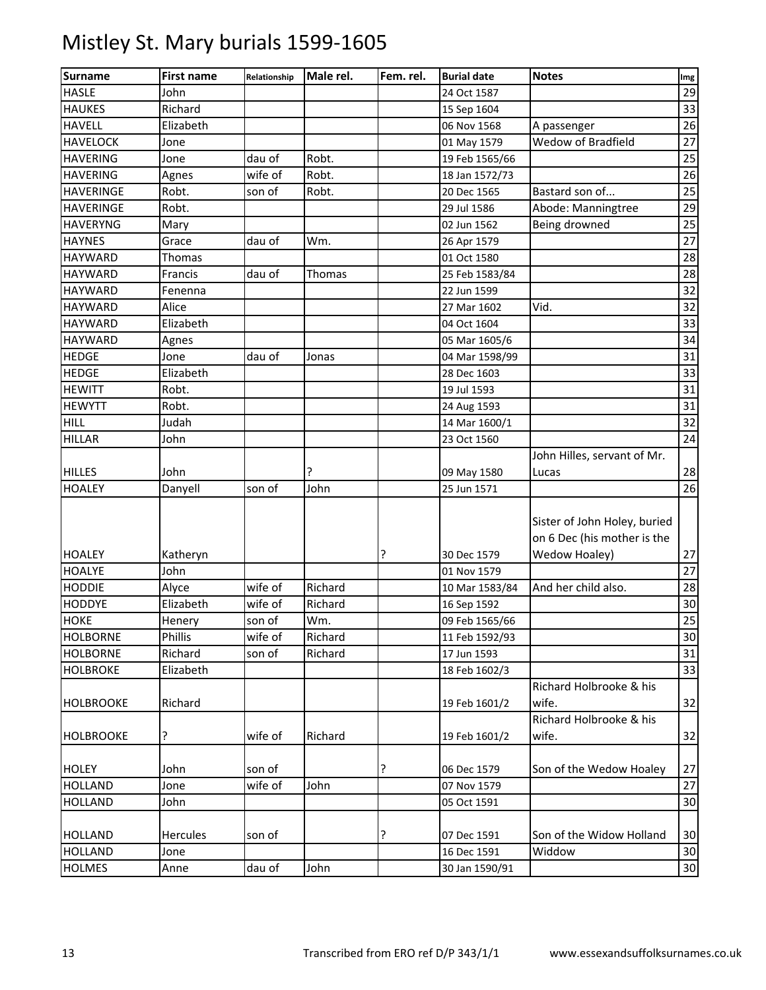| <b>Surname</b>   | <b>First name</b> | Relationship | Male rel. | Fem. rel. | <b>Burial date</b> | <b>Notes</b>                 | Img             |
|------------------|-------------------|--------------|-----------|-----------|--------------------|------------------------------|-----------------|
| <b>HASLE</b>     | John              |              |           |           | 24 Oct 1587        |                              | 29              |
| <b>HAUKES</b>    | Richard           |              |           |           | 15 Sep 1604        |                              | 33              |
| <b>HAVELL</b>    | Elizabeth         |              |           |           | 06 Nov 1568        | A passenger                  | 26              |
| <b>HAVELOCK</b>  | Jone              |              |           |           | 01 May 1579        | Wedow of Bradfield           | 27              |
| <b>HAVERING</b>  | Jone              | dau of       | Robt.     |           | 19 Feb 1565/66     |                              | 25              |
| <b>HAVERING</b>  | Agnes             | wife of      | Robt.     |           | 18 Jan 1572/73     |                              | 26              |
| <b>HAVERINGE</b> | Robt.             | son of       | Robt.     |           | 20 Dec 1565        | Bastard son of               | 25              |
| <b>HAVERINGE</b> | Robt.             |              |           |           | 29 Jul 1586        | Abode: Manningtree           | 29              |
| <b>HAVERYNG</b>  | Mary              |              |           |           | 02 Jun 1562        | Being drowned                | 25              |
| <b>HAYNES</b>    | Grace             | dau of       | Wm.       |           | 26 Apr 1579        |                              | 27              |
| <b>HAYWARD</b>   | Thomas            |              |           |           | 01 Oct 1580        |                              | 28              |
| <b>HAYWARD</b>   | Francis           | dau of       | Thomas    |           | 25 Feb 1583/84     |                              | 28              |
| <b>HAYWARD</b>   | Fenenna           |              |           |           | 22 Jun 1599        |                              | 32              |
| <b>HAYWARD</b>   | Alice             |              |           |           | 27 Mar 1602        | Vid.                         | 32              |
| <b>HAYWARD</b>   | Elizabeth         |              |           |           | 04 Oct 1604        |                              | 33              |
| <b>HAYWARD</b>   | Agnes             |              |           |           | 05 Mar 1605/6      |                              | 34              |
| <b>HEDGE</b>     | Jone              | dau of       | Jonas     |           | 04 Mar 1598/99     |                              | 31              |
| <b>HEDGE</b>     | Elizabeth         |              |           |           | 28 Dec 1603        |                              | 33              |
| <b>HEWITT</b>    | Robt.             |              |           |           | 19 Jul 1593        |                              | 31              |
| <b>HEWYTT</b>    | Robt.             |              |           |           | 24 Aug 1593        |                              | 31              |
| <b>HILL</b>      | Judah             |              |           |           | 14 Mar 1600/1      |                              | 32              |
| <b>HILLAR</b>    | John              |              |           |           | 23 Oct 1560        |                              | 24              |
|                  |                   |              |           |           |                    | John Hilles, servant of Mr.  |                 |
| <b>HILLES</b>    | John              |              | ?         |           | 09 May 1580        | Lucas                        | 28              |
| <b>HOALEY</b>    | Danyell           | son of       | John      |           | 25 Jun 1571        |                              | 26              |
|                  |                   |              |           |           |                    | Sister of John Holey, buried |                 |
|                  |                   |              |           |           |                    | on 6 Dec (his mother is the  |                 |
| <b>HOALEY</b>    | Katheryn          |              |           | ŗ         | 30 Dec 1579        | Wedow Hoaley)                | 27              |
| <b>HOALYE</b>    | John              |              |           |           | 01 Nov 1579        |                              | 27              |
| <b>HODDIE</b>    | Alyce             | wife of      | Richard   |           | 10 Mar 1583/84     | And her child also.          | 28              |
| <b>HODDYE</b>    | Elizabeth         | wife of      | Richard   |           | 16 Sep 1592        |                              | 30              |
| <b>HOKE</b>      | Henery            | son of       | Wm.       |           | 09 Feb 1565/66     |                              | 25              |
| <b>HOLBORNE</b>  | Phillis           | wife of      | Richard   |           | 11 Feb 1592/93     |                              | $30\,$          |
| <b>HOLBORNE</b>  | Richard           | son of       | Richard   |           | 17 Jun 1593        |                              | 31              |
| <b>HOLBROKE</b>  | Elizabeth         |              |           |           | 18 Feb 1602/3      |                              | 33              |
|                  |                   |              |           |           |                    | Richard Holbrooke & his      |                 |
| <b>HOLBROOKE</b> | Richard           |              |           |           | 19 Feb 1601/2      | wife.                        | 32              |
|                  |                   |              |           |           |                    | Richard Holbrooke & his      |                 |
| <b>HOLBROOKE</b> | ŗ                 | wife of      | Richard   |           | 19 Feb 1601/2      | wife.                        | 32              |
| <b>HOLEY</b>     | John              | son of       |           | ?         | 06 Dec 1579        | Son of the Wedow Hoaley      | 27              |
| <b>HOLLAND</b>   | Jone              | wife of      | John      |           | 07 Nov 1579        |                              | 27              |
| <b>HOLLAND</b>   | John              |              |           |           | 05 Oct 1591        |                              | 30              |
|                  |                   |              |           |           |                    |                              |                 |
| <b>HOLLAND</b>   | Hercules          | son of       |           | ?         | 07 Dec 1591        | Son of the Widow Holland     | 30              |
| <b>HOLLAND</b>   | Jone              |              |           |           | 16 Dec 1591        | Widdow                       | 30              |
| <b>HOLMES</b>    | Anne              | dau of       | John      |           | 30 Jan 1590/91     |                              | 30 <sup>°</sup> |
|                  |                   |              |           |           |                    |                              |                 |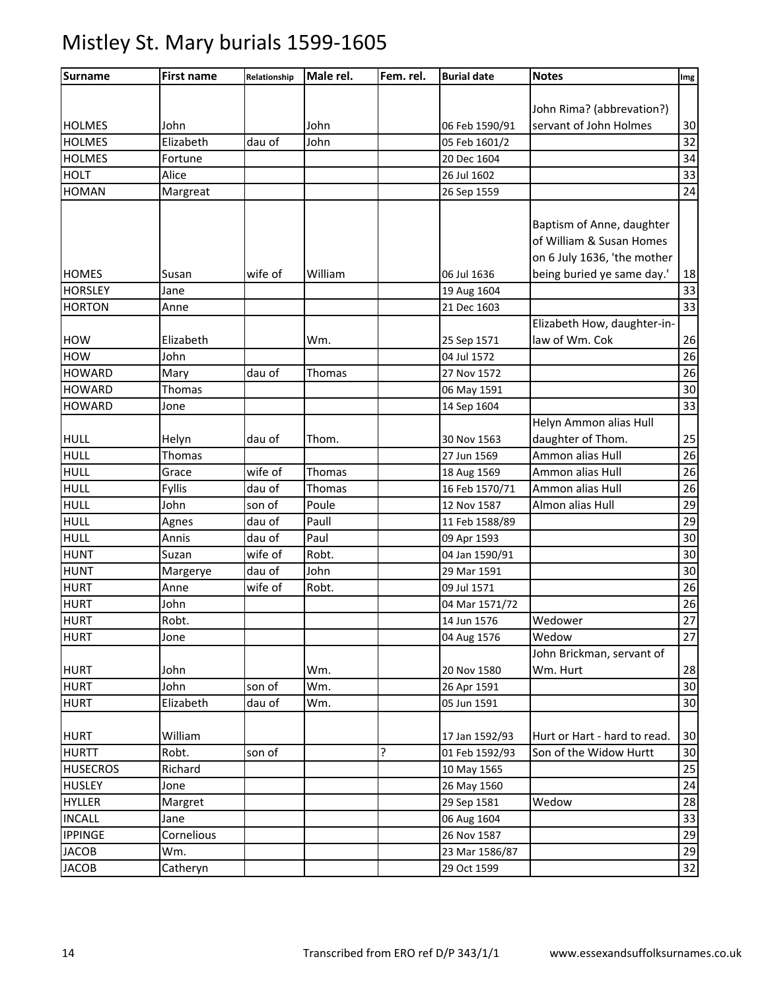| <b>Surname</b>  | <b>First name</b> | Relationship | Male rel.     | Fem. rel. | <b>Burial date</b> | <b>Notes</b>                 | Img |
|-----------------|-------------------|--------------|---------------|-----------|--------------------|------------------------------|-----|
|                 |                   |              |               |           |                    |                              |     |
|                 |                   |              |               |           |                    | John Rima? (abbrevation?)    |     |
| <b>HOLMES</b>   | John              |              | John          |           | 06 Feb 1590/91     | servant of John Holmes       | 30  |
| <b>HOLMES</b>   | Elizabeth         | dau of       | John          |           | 05 Feb 1601/2      |                              | 32  |
| <b>HOLMES</b>   | Fortune           |              |               |           | 20 Dec 1604        |                              | 34  |
| <b>HOLT</b>     | Alice             |              |               |           | 26 Jul 1602        |                              | 33  |
| <b>HOMAN</b>    | Margreat          |              |               |           | 26 Sep 1559        |                              | 24  |
|                 |                   |              |               |           |                    |                              |     |
|                 |                   |              |               |           |                    | Baptism of Anne, daughter    |     |
|                 |                   |              |               |           |                    | of William & Susan Homes     |     |
|                 |                   |              |               |           |                    | on 6 July 1636, 'the mother  |     |
| <b>HOMES</b>    | Susan             | wife of      | William       |           | 06 Jul 1636        | being buried ye same day.'   | 18  |
| <b>HORSLEY</b>  | Jane              |              |               |           | 19 Aug 1604        |                              | 33  |
| <b>HORTON</b>   | Anne              |              |               |           | 21 Dec 1603        |                              | 33  |
|                 |                   |              |               |           |                    | Elizabeth How, daughter-in-  |     |
| <b>HOW</b>      | Elizabeth         |              | Wm.           |           | 25 Sep 1571        | law of Wm. Cok               | 26  |
| <b>HOW</b>      | John              |              |               |           | 04 Jul 1572        |                              | 26  |
| <b>HOWARD</b>   | Mary              | dau of       | <b>Thomas</b> |           | 27 Nov 1572        |                              | 26  |
| <b>HOWARD</b>   | <b>Thomas</b>     |              |               |           | 06 May 1591        |                              | 30  |
| <b>HOWARD</b>   | Jone              |              |               |           | 14 Sep 1604        |                              | 33  |
|                 |                   |              |               |           |                    | Helyn Ammon alias Hull       |     |
| <b>HULL</b>     | Helyn             | dau of       | Thom.         |           | 30 Nov 1563        | daughter of Thom.            | 25  |
| <b>HULL</b>     | Thomas            |              |               |           | 27 Jun 1569        | Ammon alias Hull             | 26  |
| <b>HULL</b>     | Grace             | wife of      | Thomas        |           | 18 Aug 1569        | Ammon alias Hull             | 26  |
| <b>HULL</b>     | <b>Fyllis</b>     | dau of       | Thomas        |           | 16 Feb 1570/71     | Ammon alias Hull             | 26  |
| <b>HULL</b>     | John              | son of       | Poule         |           | 12 Nov 1587        | Almon alias Hull             | 29  |
| <b>HULL</b>     | Agnes             | dau of       | Paull         |           | 11 Feb 1588/89     |                              | 29  |
| <b>HULL</b>     | Annis             | dau of       | Paul          |           | 09 Apr 1593        |                              | 30  |
| <b>HUNT</b>     | Suzan             | wife of      | Robt.         |           | 04 Jan 1590/91     |                              | 30  |
| <b>HUNT</b>     | Margerye          | dau of       | John          |           | 29 Mar 1591        |                              | 30  |
| <b>HURT</b>     | Anne              | wife of      | Robt.         |           | 09 Jul 1571        |                              | 26  |
| <b>HURT</b>     | John              |              |               |           | 04 Mar 1571/72     |                              | 26  |
| <b>HURT</b>     | Robt.             |              |               |           | 14 Jun 1576        | Wedower                      | 27  |
| <b>HURT</b>     | Jone              |              |               |           | 04 Aug 1576        | Wedow                        | 27  |
|                 |                   |              |               |           |                    | John Brickman, servant of    |     |
| <b>HURT</b>     | John              |              | Wm.           |           | 20 Nov 1580        | Wm. Hurt                     | 28  |
| <b>HURT</b>     | John              | son of       | Wm.           |           | 26 Apr 1591        |                              | 30  |
| <b>HURT</b>     | Elizabeth         | dau of       | Wm.           |           | 05 Jun 1591        |                              | 30  |
|                 |                   |              |               |           |                    |                              |     |
| <b>HURT</b>     | William           |              |               |           | 17 Jan 1592/93     | Hurt or Hart - hard to read. | 30  |
| <b>HURTT</b>    | Robt.             | son of       |               | ŗ         | 01 Feb 1592/93     | Son of the Widow Hurtt       | 30  |
| <b>HUSECROS</b> | Richard           |              |               |           | 10 May 1565        |                              | 25  |
| <b>HUSLEY</b>   | Jone              |              |               |           | 26 May 1560        |                              | 24  |
| <b>HYLLER</b>   | Margret           |              |               |           | 29 Sep 1581        | Wedow                        | 28  |
| <b>INCALL</b>   | Jane              |              |               |           | 06 Aug 1604        |                              | 33  |
| <b>IPPINGE</b>  | Cornelious        |              |               |           | 26 Nov 1587        |                              | 29  |
| <b>JACOB</b>    | Wm.               |              |               |           | 23 Mar 1586/87     |                              | 29  |
| <b>JACOB</b>    | Catheryn          |              |               |           | 29 Oct 1599        |                              | 32  |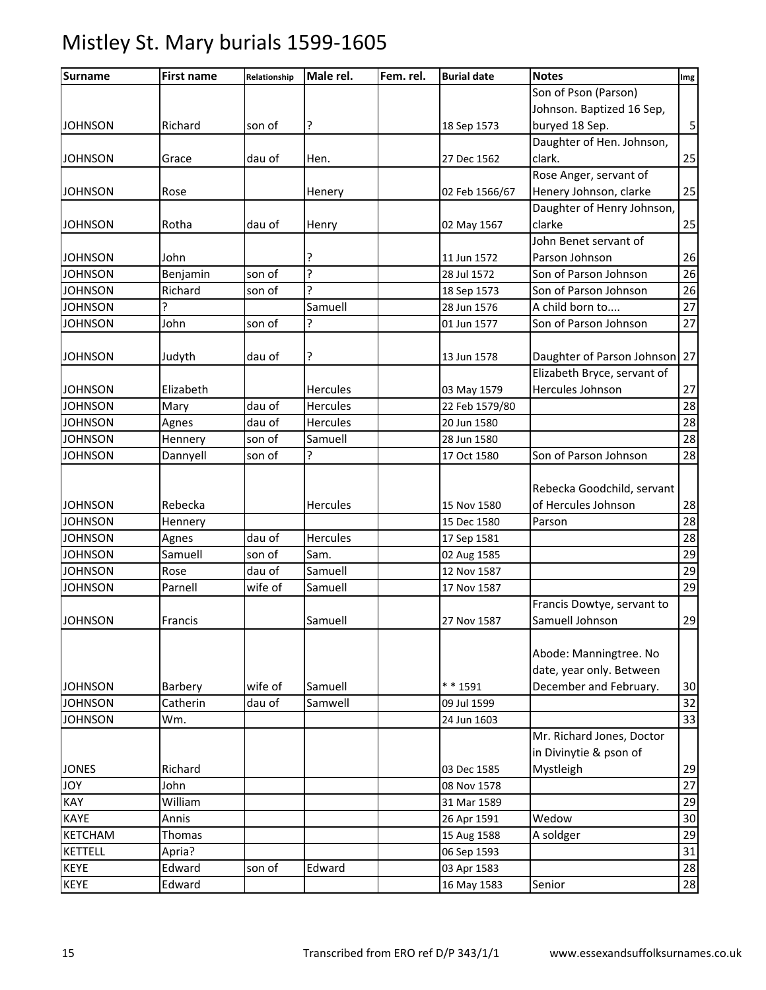| <b>Surname</b> | <b>First name</b> | Relationship | Male rel.       | Fem. rel. | <b>Burial date</b> | <b>Notes</b>                  | Img                     |
|----------------|-------------------|--------------|-----------------|-----------|--------------------|-------------------------------|-------------------------|
|                |                   |              |                 |           |                    | Son of Pson (Parson)          |                         |
|                |                   |              |                 |           |                    | Johnson. Baptized 16 Sep,     |                         |
| <b>JOHNSON</b> | Richard           | son of       | ?               |           | 18 Sep 1573        | buryed 18 Sep.                | $\overline{\mathbf{5}}$ |
|                |                   |              |                 |           |                    | Daughter of Hen. Johnson,     |                         |
| <b>JOHNSON</b> | Grace             | dau of       | Hen.            |           | 27 Dec 1562        | clark.                        | 25                      |
|                |                   |              |                 |           |                    | Rose Anger, servant of        |                         |
| <b>JOHNSON</b> | Rose              |              | Henery          |           | 02 Feb 1566/67     | Henery Johnson, clarke        | 25                      |
|                |                   |              |                 |           |                    | Daughter of Henry Johnson,    |                         |
| <b>JOHNSON</b> | Rotha             | dau of       | Henry           |           | 02 May 1567        | clarke                        | 25                      |
|                |                   |              |                 |           |                    | John Benet servant of         |                         |
| <b>JOHNSON</b> | John              |              |                 |           | 11 Jun 1572        | Parson Johnson                | 26                      |
| <b>JOHNSON</b> | Benjamin          | son of       | ς               |           | 28 Jul 1572        | Son of Parson Johnson         | 26                      |
| <b>JOHNSON</b> | Richard           | son of       | ς               |           | 18 Sep 1573        | Son of Parson Johnson         | 26                      |
| <b>JOHNSON</b> | ?                 |              | Samuell         |           | 28 Jun 1576        | A child born to               | 27                      |
| <b>JOHNSON</b> | John              | son of       | ŗ               |           | 01 Jun 1577        | Son of Parson Johnson         | 27                      |
|                |                   |              |                 |           |                    |                               |                         |
| <b>JOHNSON</b> | Judyth            | dau of       | ?               |           | 13 Jun 1578        | Daughter of Parson Johnson 27 |                         |
|                |                   |              |                 |           |                    | Elizabeth Bryce, servant of   |                         |
| <b>JOHNSON</b> | Elizabeth         |              | <b>Hercules</b> |           | 03 May 1579        | Hercules Johnson              | 27                      |
| <b>JOHNSON</b> | Mary              | dau of       | <b>Hercules</b> |           | 22 Feb 1579/80     |                               | 28                      |
| <b>JOHNSON</b> | Agnes             | dau of       | Hercules        |           | 20 Jun 1580        |                               | 28                      |
| <b>JOHNSON</b> | Hennery           | son of       | Samuell         |           | 28 Jun 1580        |                               | 28                      |
| <b>JOHNSON</b> | Dannyell          | son of       | ς               |           | 17 Oct 1580        | Son of Parson Johnson         | 28                      |
|                |                   |              |                 |           |                    |                               |                         |
|                |                   |              |                 |           |                    | Rebecka Goodchild, servant    |                         |
| <b>JOHNSON</b> | Rebecka           |              | Hercules        |           | 15 Nov 1580        | of Hercules Johnson           | 28                      |
| <b>JOHNSON</b> | Hennery           |              |                 |           | 15 Dec 1580        | Parson                        | 28                      |
| <b>JOHNSON</b> | Agnes             | dau of       | Hercules        |           | 17 Sep 1581        |                               | 28                      |
| <b>JOHNSON</b> | Samuell           | son of       | Sam.            |           | 02 Aug 1585        |                               | 29                      |
| <b>JOHNSON</b> | Rose              | dau of       | Samuell         |           | 12 Nov 1587        |                               | 29                      |
| <b>JOHNSON</b> | Parnell           | wife of      | Samuell         |           | 17 Nov 1587        |                               | 29                      |
|                |                   |              |                 |           |                    | Francis Dowtye, servant to    |                         |
| <b>JOHNSON</b> | Francis           |              | Samuell         |           | 27 Nov 1587        | Samuell Johnson               | 29                      |
|                |                   |              |                 |           |                    |                               |                         |
|                |                   |              |                 |           |                    | Abode: Manningtree. No        |                         |
|                |                   |              |                 |           |                    | date, year only. Between      |                         |
| <b>JOHNSON</b> | Barbery           | wife of      | Samuell         |           | $* * 1591$         | December and February.        | 30                      |
| <b>JOHNSON</b> | Catherin          | dau of       | Samwell         |           | 09 Jul 1599        |                               | 32                      |
| <b>JOHNSON</b> | Wm.               |              |                 |           | 24 Jun 1603        |                               | 33                      |
|                |                   |              |                 |           |                    | Mr. Richard Jones, Doctor     |                         |
|                |                   |              |                 |           |                    | in Divinytie & pson of        |                         |
| <b>JONES</b>   | Richard           |              |                 |           | 03 Dec 1585        | Mystleigh                     | 29                      |
| <b>JOY</b>     | John              |              |                 |           | 08 Nov 1578        |                               | 27                      |
| KAY            | William           |              |                 |           | 31 Mar 1589        |                               | 29                      |
| KAYE           | Annis             |              |                 |           | 26 Apr 1591        | Wedow                         | 30                      |
| <b>KETCHAM</b> | Thomas            |              |                 |           | 15 Aug 1588        | A soldger                     | 29                      |
| <b>KETTELL</b> | Apria?            |              |                 |           | 06 Sep 1593        |                               | 31                      |
| KEYE           | Edward            | son of       | Edward          |           | 03 Apr 1583        |                               | 28                      |
| <b>KEYE</b>    | Edward            |              |                 |           | 16 May 1583        | Senior                        | 28                      |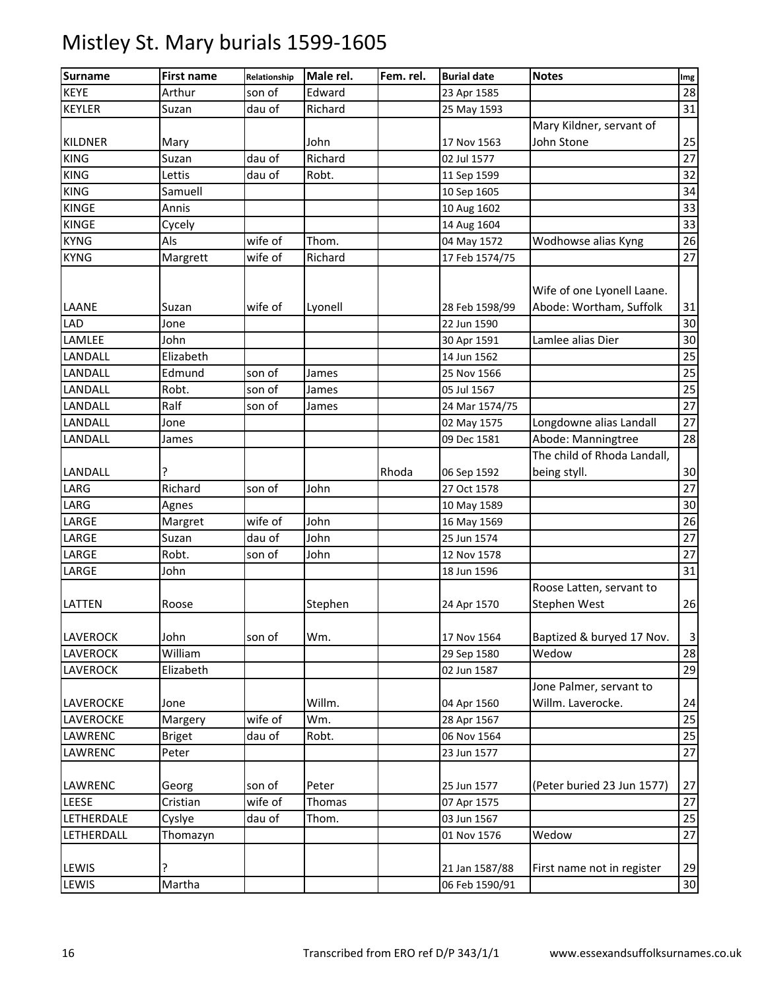| <b>Surname</b>  | <b>First name</b> | Relationship | Male rel. | Fem. rel. | <b>Burial date</b>               | <b>Notes</b>                                          | Img                   |
|-----------------|-------------------|--------------|-----------|-----------|----------------------------------|-------------------------------------------------------|-----------------------|
| <b>KEYE</b>     | Arthur            | son of       | Edward    |           | 23 Apr 1585                      |                                                       | 28                    |
| <b>KEYLER</b>   | Suzan             | dau of       | Richard   |           | 25 May 1593                      |                                                       | 31                    |
|                 |                   |              |           |           |                                  | Mary Kildner, servant of                              |                       |
| <b>KILDNER</b>  | Mary              |              | John      |           | 17 Nov 1563                      | John Stone                                            | 25                    |
| <b>KING</b>     | Suzan             | dau of       | Richard   |           | 02 Jul 1577                      |                                                       | 27                    |
| <b>KING</b>     | Lettis            | dau of       | Robt.     |           | 11 Sep 1599                      |                                                       | 32                    |
| <b>KING</b>     | Samuell           |              |           |           | 10 Sep 1605                      |                                                       | 34                    |
| <b>KINGE</b>    | Annis             |              |           |           | 10 Aug 1602                      |                                                       | 33                    |
| <b>KINGE</b>    | Cycely            |              |           |           | 14 Aug 1604                      |                                                       | $\overline{33}$       |
| <b>KYNG</b>     | Als               | wife of      | Thom.     |           | 04 May 1572                      | Wodhowse alias Kyng                                   | 26                    |
| <b>KYNG</b>     | Margrett          | wife of      | Richard   |           | 17 Feb 1574/75                   |                                                       | 27                    |
| LAANE           | Suzan             | wife of      | Lyonell   |           | 28 Feb 1598/99                   | Wife of one Lyonell Laane.<br>Abode: Wortham, Suffolk | 31                    |
| LAD             | Jone              |              |           |           | 22 Jun 1590                      |                                                       | 30                    |
| LAMLEE          | John              |              |           |           | 30 Apr 1591                      | Lamlee alias Dier                                     | 30                    |
| LANDALL         | Elizabeth         |              |           |           | 14 Jun 1562                      |                                                       | 25                    |
| LANDALL         | Edmund            | son of       | James     |           | 25 Nov 1566                      |                                                       | 25                    |
| LANDALL         | Robt.             | son of       | James     |           | 05 Jul 1567                      |                                                       | $\overline{25}$       |
| LANDALL         | Ralf              | son of       | James     |           | 24 Mar 1574/75                   |                                                       | 27                    |
| LANDALL         | Jone              |              |           |           | 02 May 1575                      | Longdowne alias Landall                               | $\overline{27}$       |
| LANDALL         | James             |              |           |           | 09 Dec 1581                      | Abode: Manningtree                                    | 28                    |
|                 |                   |              |           |           |                                  | The child of Rhoda Landall,                           |                       |
| LANDALL         | ?                 |              |           | Rhoda     | 06 Sep 1592                      | being styll.                                          | 30                    |
| LARG            | Richard           | son of       | John      |           | 27 Oct 1578                      |                                                       | 27                    |
| LARG            | Agnes             |              |           |           | 10 May 1589                      |                                                       | 30                    |
| LARGE           | Margret           | wife of      | John      |           | 16 May 1569                      |                                                       | 26                    |
| LARGE           | Suzan             | dau of       | John      |           | 25 Jun 1574                      |                                                       | 27                    |
| LARGE           | Robt.             | son of       | John      |           | 12 Nov 1578                      |                                                       | 27                    |
| LARGE           | John              |              |           |           | 18 Jun 1596                      |                                                       | 31                    |
| LATTEN          | Roose             |              | Stephen   |           | 24 Apr 1570                      | Roose Latten, servant to<br>Stephen West              | 26                    |
| LAVEROCK        | John              | son of       | Wm.       |           | 17 Nov 1564                      | Baptized & buryed 17 Nov.                             | $\overline{3}$        |
| LAVEROCK        | William           |              |           |           | 29 Sep 1580                      | Wedow                                                 | 28                    |
| <b>LAVEROCK</b> | Elizabeth         |              |           |           | 02 Jun 1587                      |                                                       | 29                    |
| LAVEROCKE       | Jone              |              | Willm.    |           | 04 Apr 1560                      | Jone Palmer, servant to<br>Willm. Laverocke.          | 24                    |
| LAVEROCKE       | Margery           | wife of      | Wm.       |           | 28 Apr 1567                      |                                                       | 25                    |
| LAWRENC         | <b>Briget</b>     | dau of       | Robt.     |           | 06 Nov 1564                      |                                                       | 25                    |
| LAWRENC         | Peter             |              |           |           | 23 Jun 1577                      |                                                       | 27                    |
|                 |                   |              |           |           |                                  |                                                       |                       |
| LAWRENC         | Georg             | son of       | Peter     |           | 25 Jun 1577                      | (Peter buried 23 Jun 1577)                            | 27                    |
| LEESE           | Cristian          | wife of      | Thomas    |           | 07 Apr 1575                      |                                                       | 27                    |
| LETHERDALE      | Cyslye            | dau of       | Thom.     |           | 03 Jun 1567                      |                                                       | 25                    |
| LETHERDALL      | Thomazyn          |              |           |           | 01 Nov 1576                      | Wedow                                                 | 27                    |
| LEWIS<br>LEWIS  | ŗ<br>Martha       |              |           |           | 21 Jan 1587/88<br>06 Feb 1590/91 | First name not in register                            | 29<br>30 <sub>o</sub> |
|                 |                   |              |           |           |                                  |                                                       |                       |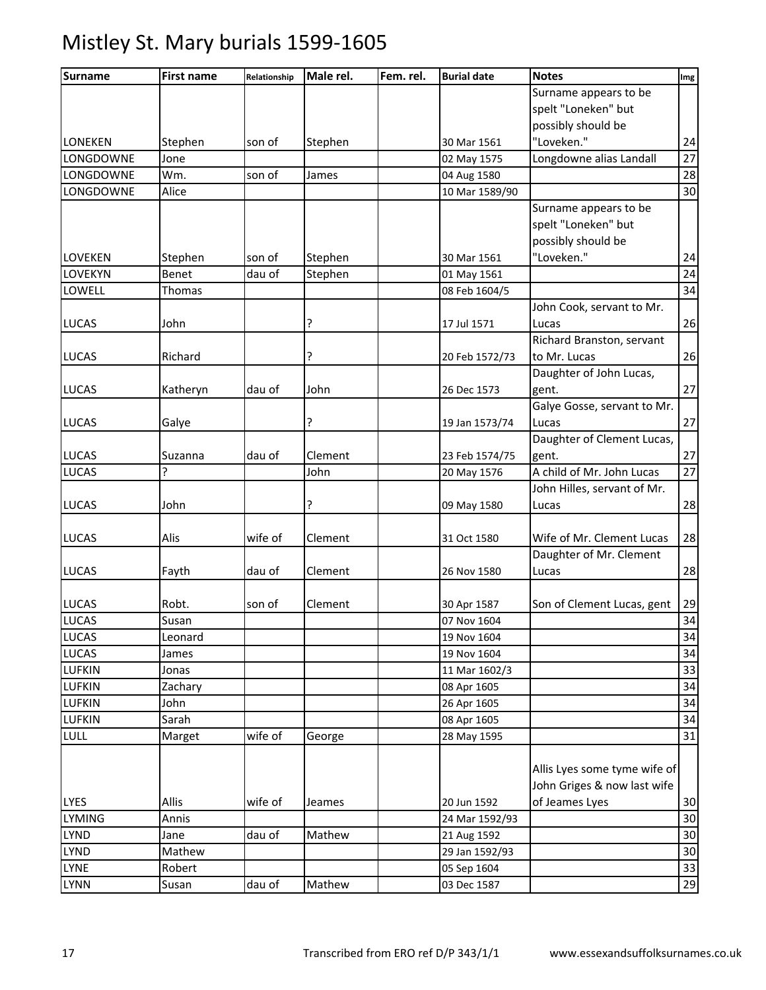| <b>Surname</b> | <b>First name</b> | Relationship | Male rel. | Fem. rel. | <b>Burial date</b> | <b>Notes</b>                 | Img |
|----------------|-------------------|--------------|-----------|-----------|--------------------|------------------------------|-----|
|                |                   |              |           |           |                    | Surname appears to be        |     |
|                |                   |              |           |           |                    | spelt "Loneken" but          |     |
|                |                   |              |           |           |                    | possibly should be           |     |
| <b>LONEKEN</b> | Stephen           | son of       | Stephen   |           | 30 Mar 1561        | "Loveken."                   | 24  |
| LONGDOWNE      | Jone              |              |           |           | 02 May 1575        | Longdowne alias Landall      | 27  |
| LONGDOWNE      | Wm.               | son of       | James     |           | 04 Aug 1580        |                              | 28  |
| LONGDOWNE      | Alice             |              |           |           | 10 Mar 1589/90     |                              | 30  |
|                |                   |              |           |           |                    | Surname appears to be        |     |
|                |                   |              |           |           |                    | spelt "Loneken" but          |     |
|                |                   |              |           |           |                    | possibly should be           |     |
| LOVEKEN        | Stephen           | son of       | Stephen   |           | 30 Mar 1561        | "Loveken."                   | 24  |
| LOVEKYN        | <b>Benet</b>      | dau of       | Stephen   |           | 01 May 1561        |                              | 24  |
| LOWELL         | Thomas            |              |           |           | 08 Feb 1604/5      |                              | 34  |
|                |                   |              |           |           |                    | John Cook, servant to Mr.    |     |
| <b>LUCAS</b>   | John              |              | ?         |           | 17 Jul 1571        | Lucas                        | 26  |
|                |                   |              |           |           |                    | Richard Branston, servant    |     |
| <b>LUCAS</b>   | Richard           |              | ?         |           | 20 Feb 1572/73     | to Mr. Lucas                 | 26  |
|                |                   |              |           |           |                    | Daughter of John Lucas,      |     |
| <b>LUCAS</b>   | Katheryn          | dau of       | John      |           | 26 Dec 1573        | gent.                        | 27  |
|                |                   |              |           |           |                    | Galye Gosse, servant to Mr.  |     |
| <b>LUCAS</b>   | Galye             |              | ?         |           | 19 Jan 1573/74     | Lucas                        | 27  |
|                |                   |              |           |           |                    | Daughter of Clement Lucas,   |     |
| <b>LUCAS</b>   | Suzanna           | dau of       | Clement   |           | 23 Feb 1574/75     | gent.                        | 27  |
| <b>LUCAS</b>   | ?                 |              | John      |           | 20 May 1576        | A child of Mr. John Lucas    | 27  |
|                |                   |              |           |           |                    | John Hilles, servant of Mr.  |     |
| <b>LUCAS</b>   | John              |              | ?         |           | 09 May 1580        | Lucas                        | 28  |
|                |                   |              |           |           |                    |                              |     |
| <b>LUCAS</b>   | Alis              | wife of      | Clement   |           | 31 Oct 1580        | Wife of Mr. Clement Lucas    | 28  |
|                |                   |              |           |           |                    | Daughter of Mr. Clement      |     |
| <b>LUCAS</b>   | Fayth             | dau of       | Clement   |           | 26 Nov 1580        | Lucas                        | 28  |
|                |                   |              |           |           |                    |                              |     |
| <b>LUCAS</b>   | Robt.             | son of       | Clement   |           | 30 Apr 1587        | Son of Clement Lucas, gent   | 29  |
| <b>LUCAS</b>   | Susan             |              |           |           | 07 Nov 1604        |                              | 34  |
| <b>LUCAS</b>   | Leonard           |              |           |           | 19 Nov 1604        |                              | 34  |
| <b>LUCAS</b>   | James             |              |           |           | 19 Nov 1604        |                              | 34  |
| <b>LUFKIN</b>  | Jonas             |              |           |           | 11 Mar 1602/3      |                              | 33  |
| <b>LUFKIN</b>  | Zachary           |              |           |           | 08 Apr 1605        |                              | 34  |
| <b>LUFKIN</b>  | John              |              |           |           | 26 Apr 1605        |                              | 34  |
| <b>LUFKIN</b>  | Sarah             |              |           |           | 08 Apr 1605        |                              | 34  |
| LULL           | Marget            | wife of      | George    |           | 28 May 1595        |                              | 31  |
|                |                   |              |           |           |                    |                              |     |
|                |                   |              |           |           |                    | Allis Lyes some tyme wife of |     |
|                |                   |              |           |           |                    | John Griges & now last wife  |     |
| <b>LYES</b>    | Allis             | wife of      | Jeames    |           | 20 Jun 1592        | of Jeames Lyes               | 30  |
| <b>LYMING</b>  | Annis             |              |           |           | 24 Mar 1592/93     |                              | 30  |
| <b>LYND</b>    | Jane              | dau of       | Mathew    |           | 21 Aug 1592        |                              | 30  |
| LYND           | Mathew            |              |           |           | 29 Jan 1592/93     |                              | 30  |
| <b>LYNE</b>    | Robert            |              |           |           | 05 Sep 1604        |                              | 33  |
| <b>LYNN</b>    | Susan             | dau of       | Mathew    |           | 03 Dec 1587        |                              | 29  |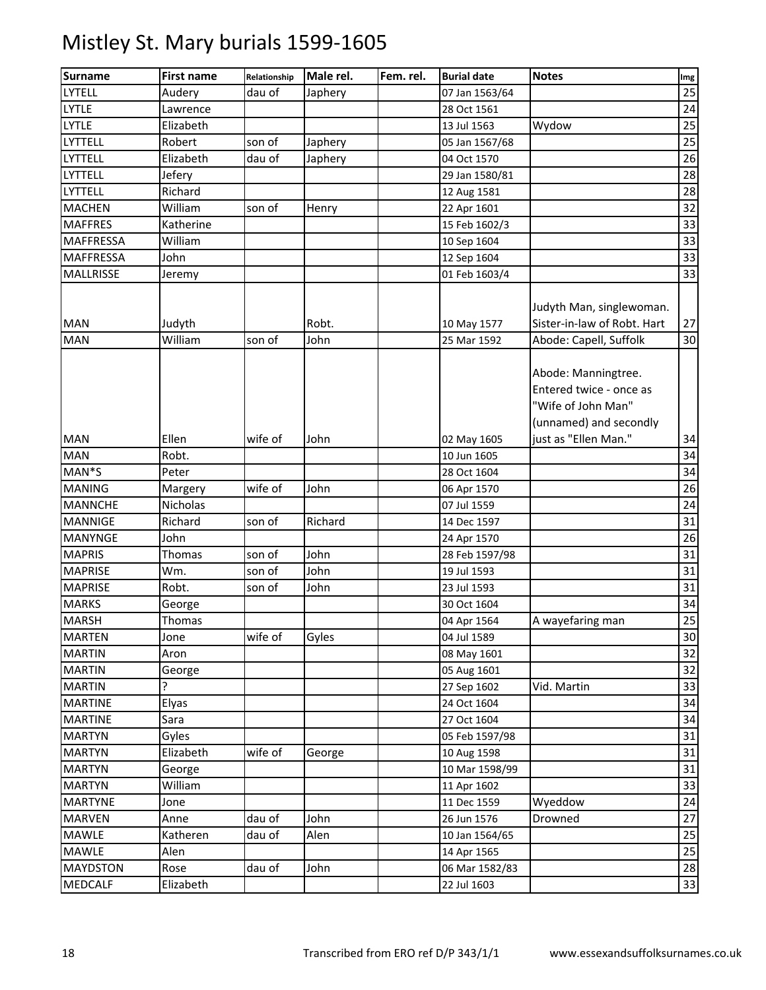| <b>Surname</b>   | <b>First name</b> | Relationship | Male rel. | Fem. rel. | <b>Burial date</b> | <b>Notes</b>                                                                                   | Img |
|------------------|-------------------|--------------|-----------|-----------|--------------------|------------------------------------------------------------------------------------------------|-----|
| LYTELL           | Audery            | dau of       | Japhery   |           | 07 Jan 1563/64     |                                                                                                | 25  |
| <b>LYTLE</b>     | Lawrence          |              |           |           | 28 Oct 1561        |                                                                                                | 24  |
| <b>LYTLE</b>     | Elizabeth         |              |           |           | 13 Jul 1563        | Wydow                                                                                          | 25  |
| LYTTELL          | Robert            | son of       | Japhery   |           | 05 Jan 1567/68     |                                                                                                | 25  |
| LYTTELL          | Elizabeth         | dau of       | Japhery   |           | 04 Oct 1570        |                                                                                                | 26  |
| LYTTELL          | Jefery            |              |           |           | 29 Jan 1580/81     |                                                                                                | 28  |
| LYTTELL          | Richard           |              |           |           | 12 Aug 1581        |                                                                                                | 28  |
| <b>MACHEN</b>    | William           | son of       | Henry     |           | 22 Apr 1601        |                                                                                                | 32  |
| <b>MAFFRES</b>   | Katherine         |              |           |           | 15 Feb 1602/3      |                                                                                                | 33  |
| <b>MAFFRESSA</b> | William           |              |           |           | 10 Sep 1604        |                                                                                                | 33  |
| <b>MAFFRESSA</b> | John              |              |           |           | 12 Sep 1604        |                                                                                                | 33  |
| MALLRISSE        | Jeremy            |              |           |           | 01 Feb 1603/4      |                                                                                                | 33  |
| <b>MAN</b>       | Judyth            |              | Robt.     |           | 10 May 1577        | Judyth Man, singlewoman.<br>Sister-in-law of Robt. Hart                                        | 27  |
| <b>MAN</b>       | William           | son of       | John      |           | 25 Mar 1592        | Abode: Capell, Suffolk                                                                         | 30  |
|                  |                   |              |           |           |                    | Abode: Manningtree.<br>Entered twice - once as<br>"Wife of John Man"<br>(unnamed) and secondly |     |
| MAN              | Ellen             | wife of      | John      |           | 02 May 1605        | just as "Ellen Man."                                                                           | 34  |
| <b>MAN</b>       | Robt.             |              |           |           | 10 Jun 1605        |                                                                                                | 34  |
| MAN*S            | Peter             |              |           |           | 28 Oct 1604        |                                                                                                | 34  |
| <b>MANING</b>    | Margery           | wife of      | John      |           | 06 Apr 1570        |                                                                                                | 26  |
| <b>MANNCHE</b>   | Nicholas          |              |           |           | 07 Jul 1559        |                                                                                                | 24  |
| <b>MANNIGE</b>   | Richard           | son of       | Richard   |           | 14 Dec 1597        |                                                                                                | 31  |
| <b>MANYNGE</b>   | John              |              |           |           | 24 Apr 1570        |                                                                                                | 26  |
| <b>MAPRIS</b>    | Thomas            | son of       | John      |           | 28 Feb 1597/98     |                                                                                                | 31  |
| <b>MAPRISE</b>   | Wm.               | son of       | John      |           | 19 Jul 1593        |                                                                                                | 31  |
| <b>MAPRISE</b>   | Robt.             | son of       | John      |           | 23 Jul 1593        |                                                                                                | 31  |
| <b>MARKS</b>     | George            |              |           |           | 30 Oct 1604        |                                                                                                | 34  |
| <b>MARSH</b>     | Thomas            |              |           |           | 04 Apr 1564        | A wayefaring man                                                                               | 25  |
| <b>MARTEN</b>    | Jone              | wife of      | Gyles     |           | 04 Jul 1589        |                                                                                                | 30  |
| <b>MARTIN</b>    | Aron              |              |           |           | 08 May 1601        |                                                                                                | 32  |
| <b>MARTIN</b>    | George            |              |           |           | 05 Aug 1601        |                                                                                                | 32  |
| <b>MARTIN</b>    | C                 |              |           |           | 27 Sep 1602        | Vid. Martin                                                                                    | 33  |
| <b>MARTINE</b>   | Elyas             |              |           |           | 24 Oct 1604        |                                                                                                | 34  |
| <b>MARTINE</b>   | Sara              |              |           |           | 27 Oct 1604        |                                                                                                | 34  |
| <b>MARTYN</b>    | Gyles             |              |           |           | 05 Feb 1597/98     |                                                                                                | 31  |
| <b>MARTYN</b>    | Elizabeth         | wife of      | George    |           | 10 Aug 1598        |                                                                                                | 31  |
| <b>MARTYN</b>    | George            |              |           |           | 10 Mar 1598/99     |                                                                                                | 31  |
| <b>MARTYN</b>    | William           |              |           |           | 11 Apr 1602        |                                                                                                | 33  |
| <b>MARTYNE</b>   | Jone              |              |           |           | 11 Dec 1559        | Wyeddow                                                                                        | 24  |
| <b>MARVEN</b>    | Anne              | dau of       | John      |           | 26 Jun 1576        | Drowned                                                                                        | 27  |
| <b>MAWLE</b>     | Katheren          | dau of       | Alen      |           | 10 Jan 1564/65     |                                                                                                | 25  |
| <b>MAWLE</b>     | Alen              |              |           |           | 14 Apr 1565        |                                                                                                | 25  |
| <b>MAYDSTON</b>  | Rose              | dau of       | John      |           | 06 Mar 1582/83     |                                                                                                | 28  |
| MEDCALF          | Elizabeth         |              |           |           | 22 Jul 1603        |                                                                                                | 33  |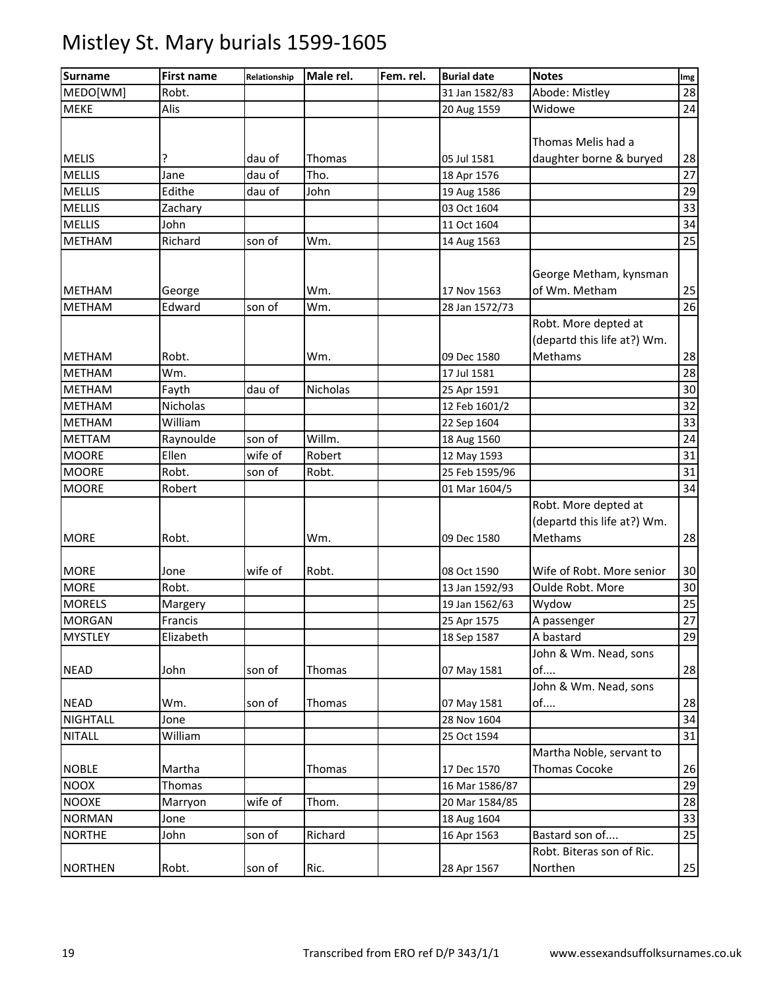| <b>Surname</b> | <b>First name</b> | Relationship | Male rel. | Fem. rel. | <b>Burial date</b> | <b>Notes</b>                | Img |
|----------------|-------------------|--------------|-----------|-----------|--------------------|-----------------------------|-----|
| MEDO[WM]       | Robt.             |              |           |           | 31 Jan 1582/83     | Abode: Mistley              | 28  |
| <b>MEKE</b>    | Alis              |              |           |           | 20 Aug 1559        | Widowe                      | 24  |
|                |                   |              |           |           |                    |                             |     |
|                |                   |              |           |           |                    | Thomas Melis had a          |     |
| <b>MELIS</b>   | ?                 | dau of       | Thomas    |           | 05 Jul 1581        | daughter borne & buryed     | 28  |
| <b>MELLIS</b>  | Jane              | dau of       | Tho.      |           | 18 Apr 1576        |                             | 27  |
| <b>MELLIS</b>  | Edithe            | dau of       | John      |           | 19 Aug 1586        |                             | 29  |
| <b>MELLIS</b>  | Zachary           |              |           |           | 03 Oct 1604        |                             | 33  |
| <b>MELLIS</b>  | John              |              |           |           | 11 Oct 1604        |                             | 34  |
| <b>METHAM</b>  | Richard           | son of       | Wm.       |           | 14 Aug 1563        |                             | 25  |
|                |                   |              |           |           |                    |                             |     |
|                |                   |              |           |           |                    | George Metham, kynsman      |     |
| <b>METHAM</b>  | George            |              | Wm.       |           | 17 Nov 1563        | of Wm. Metham               | 25  |
| <b>METHAM</b>  | Edward            | son of       | Wm.       |           | 28 Jan 1572/73     |                             | 26  |
|                |                   |              |           |           |                    | Robt. More depted at        |     |
|                |                   |              |           |           |                    | (departd this life at?) Wm. |     |
| <b>METHAM</b>  | Robt.             |              | Wm.       |           | 09 Dec 1580        | Methams                     | 28  |
| <b>METHAM</b>  | Wm.               |              |           |           | 17 Jul 1581        |                             | 28  |
| <b>METHAM</b>  | Fayth             | dau of       | Nicholas  |           | 25 Apr 1591        |                             | 30  |
| <b>METHAM</b>  | Nicholas          |              |           |           | 12 Feb 1601/2      |                             | 32  |
| <b>METHAM</b>  | William           |              |           |           | 22 Sep 1604        |                             | 33  |
| <b>METTAM</b>  | Raynoulde         | son of       | Willm.    |           | 18 Aug 1560        |                             | 24  |
| <b>MOORE</b>   | Ellen             | wife of      | Robert    |           | 12 May 1593        |                             | 31  |
| <b>MOORE</b>   | Robt.             | son of       | Robt.     |           | 25 Feb 1595/96     |                             | 31  |
| <b>MOORE</b>   | Robert            |              |           |           | 01 Mar 1604/5      |                             | 34  |
|                |                   |              |           |           |                    | Robt. More depted at        |     |
|                |                   |              |           |           |                    | (departd this life at?) Wm. |     |
| <b>MORE</b>    | Robt.             |              | Wm.       |           | 09 Dec 1580        | Methams                     | 28  |
|                |                   |              |           |           |                    |                             |     |
| <b>MORE</b>    | Jone              | wife of      | Robt.     |           | 08 Oct 1590        | Wife of Robt. More senior   | 30  |
| <b>MORE</b>    | Robt.             |              |           |           | 13 Jan 1592/93     | Oulde Robt. More            | 30  |
| <b>MORELS</b>  | Margery           |              |           |           | 19 Jan 1562/63     | Wydow                       | 25  |
| <b>MORGAN</b>  | Francis           |              |           |           | 25 Apr 1575        | A passenger                 | 27  |
| <b>MYSTLEY</b> | Elizabeth         |              |           |           | 18 Sep 1587        | A bastard                   | 29  |
|                |                   |              |           |           |                    | John & Wm. Nead, sons       |     |
| <b>NEAD</b>    | John              | son of       | Thomas    |           | 07 May 1581        | of                          | 28  |
|                |                   |              |           |           |                    | John & Wm. Nead, sons       |     |
| <b>NEAD</b>    | Wm.               | son of       | Thomas    |           | 07 May 1581        | of                          | 28  |
| NIGHTALL       | Jone              |              |           |           | 28 Nov 1604        |                             | 34  |
| <b>NITALL</b>  | William           |              |           |           | 25 Oct 1594        |                             | 31  |
|                |                   |              |           |           |                    | Martha Noble, servant to    |     |
| <b>NOBLE</b>   | Martha            |              | Thomas    |           | 17 Dec 1570        | <b>Thomas Cocoke</b>        | 26  |
| <b>NOOX</b>    | Thomas            |              |           |           | 16 Mar 1586/87     |                             | 29  |
| <b>NOOXE</b>   | Marryon           | wife of      | Thom.     |           | 20 Mar 1584/85     |                             | 28  |
| <b>NORMAN</b>  | Jone              |              |           |           | 18 Aug 1604        |                             | 33  |
| <b>NORTHE</b>  | John              | son of       | Richard   |           | 16 Apr 1563        | Bastard son of              | 25  |
|                |                   |              |           |           |                    | Robt. Biteras son of Ric.   |     |
| <b>NORTHEN</b> | Robt.             | son of       | Ric.      |           | 28 Apr 1567        | Northen                     | 25  |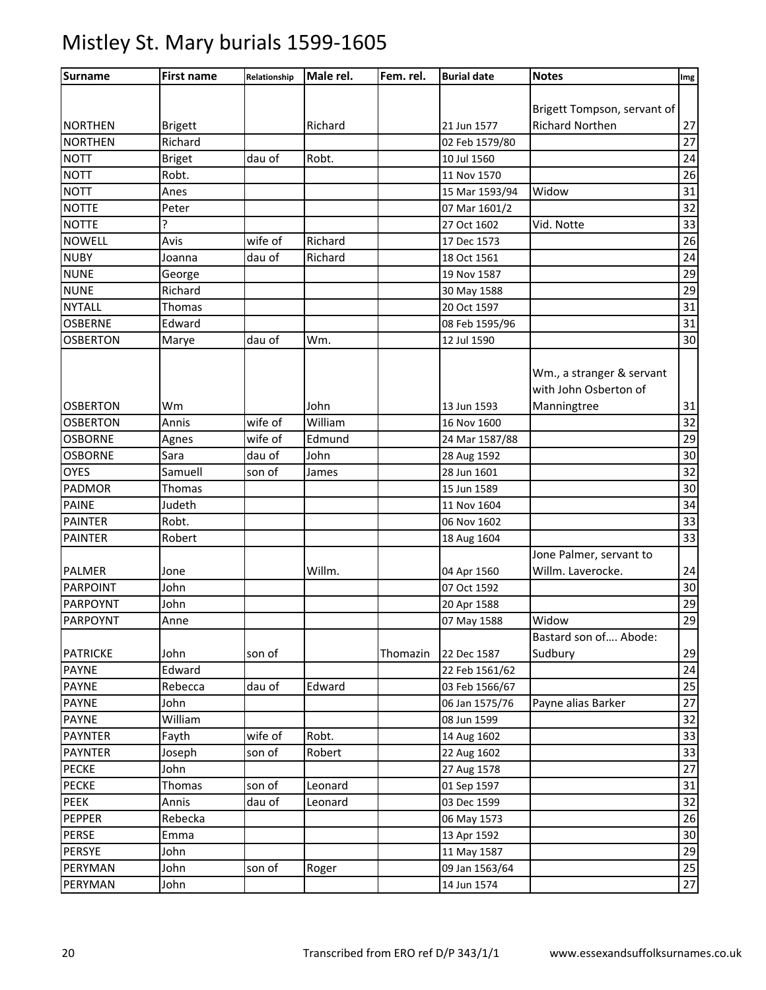| Surname         | <b>First name</b> | Relationship | Male rel. | Fem. rel. | <b>Burial date</b> | <b>Notes</b>                                                      | Img |
|-----------------|-------------------|--------------|-----------|-----------|--------------------|-------------------------------------------------------------------|-----|
|                 |                   |              |           |           |                    |                                                                   |     |
|                 |                   |              |           |           |                    | Brigett Tompson, servant of                                       |     |
| <b>NORTHEN</b>  | <b>Brigett</b>    |              | Richard   |           | 21 Jun 1577        | <b>Richard Northen</b>                                            | 27  |
| <b>NORTHEN</b>  | Richard           |              |           |           | 02 Feb 1579/80     |                                                                   | 27  |
| <b>NOTT</b>     | <b>Briget</b>     | dau of       | Robt.     |           | 10 Jul 1560        |                                                                   | 24  |
| <b>NOTT</b>     | Robt.             |              |           |           | 11 Nov 1570        |                                                                   | 26  |
| <b>NOTT</b>     | Anes              |              |           |           | 15 Mar 1593/94     | Widow                                                             | 31  |
| <b>NOTTE</b>    | Peter             |              |           |           | 07 Mar 1601/2      |                                                                   | 32  |
| <b>NOTTE</b>    |                   |              |           |           | 27 Oct 1602        | Vid. Notte                                                        | 33  |
| <b>NOWELL</b>   | Avis              | wife of      | Richard   |           | 17 Dec 1573        |                                                                   | 26  |
| <b>NUBY</b>     | Joanna            | dau of       | Richard   |           | 18 Oct 1561        |                                                                   | 24  |
| <b>NUNE</b>     | George            |              |           |           | 19 Nov 1587        |                                                                   | 29  |
| <b>NUNE</b>     | Richard           |              |           |           | 30 May 1588        |                                                                   | 29  |
| <b>NYTALL</b>   | Thomas            |              |           |           | 20 Oct 1597        |                                                                   | 31  |
| <b>OSBERNE</b>  | Edward            |              |           |           | 08 Feb 1595/96     |                                                                   | 31  |
| <b>OSBERTON</b> | Marye             | dau of       | Wm.       |           | 12 Jul 1590        |                                                                   | 30  |
| <b>OSBERTON</b> | Wm                |              | John      |           | 13 Jun 1593        | Wm., a stranger & servant<br>with John Osberton of<br>Manningtree | 31  |
| <b>OSBERTON</b> | Annis             | wife of      | William   |           | 16 Nov 1600        |                                                                   | 32  |
| <b>OSBORNE</b>  | Agnes             | wife of      | Edmund    |           | 24 Mar 1587/88     |                                                                   | 29  |
| <b>OSBORNE</b>  | Sara              | dau of       | John      |           | 28 Aug 1592        |                                                                   | 30  |
| <b>OYES</b>     | Samuell           | son of       | James     |           | 28 Jun 1601        |                                                                   | 32  |
| PADMOR          | <b>Thomas</b>     |              |           |           | 15 Jun 1589        |                                                                   | 30  |
| <b>PAINE</b>    | Judeth            |              |           |           | 11 Nov 1604        |                                                                   | 34  |
| <b>PAINTER</b>  | Robt.             |              |           |           | 06 Nov 1602        |                                                                   | 33  |
| <b>PAINTER</b>  | Robert            |              |           |           | 18 Aug 1604        |                                                                   | 33  |
|                 |                   |              |           |           |                    | Jone Palmer, servant to                                           |     |
| <b>PALMER</b>   | Jone              |              | Willm.    |           | 04 Apr 1560        | Willm. Laverocke.                                                 | 24  |
| <b>PARPOINT</b> | John              |              |           |           | 07 Oct 1592        |                                                                   | 30  |
| PARPOYNT        | John              |              |           |           | 20 Apr 1588        |                                                                   | 29  |
| <b>PARPOYNT</b> | Anne              |              |           |           | 07 May 1588        | Widow                                                             | 29  |
|                 |                   |              |           |           |                    | Bastard son of Abode:                                             |     |
| <b>PATRICKE</b> | John              | son of       |           | Thomazin  | 22 Dec 1587        | Sudbury                                                           | 29  |
| <b>PAYNE</b>    | Edward            |              |           |           | 22 Feb 1561/62     |                                                                   | 24  |
| <b>PAYNE</b>    | Rebecca           | dau of       | Edward    |           | 03 Feb 1566/67     |                                                                   | 25  |
| <b>PAYNE</b>    | John              |              |           |           | 06 Jan 1575/76     | Payne alias Barker                                                | 27  |
| <b>PAYNE</b>    | William           |              |           |           | 08 Jun 1599        |                                                                   | 32  |
| <b>PAYNTER</b>  | Fayth             | wife of      | Robt.     |           | 14 Aug 1602        |                                                                   | 33  |
| <b>PAYNTER</b>  | Joseph            | son of       | Robert    |           | 22 Aug 1602        |                                                                   | 33  |
| <b>PECKE</b>    | John              |              |           |           | 27 Aug 1578        |                                                                   | 27  |
| <b>PECKE</b>    | Thomas            | son of       | Leonard   |           | 01 Sep 1597        |                                                                   | 31  |
| PEEK            | Annis             | dau of       | Leonard   |           | 03 Dec 1599        |                                                                   | 32  |
| <b>PEPPER</b>   | Rebecka           |              |           |           | 06 May 1573        |                                                                   | 26  |
| PERSE           | Emma              |              |           |           | 13 Apr 1592        |                                                                   | 30  |
| PERSYE          | John              |              |           |           | 11 May 1587        |                                                                   | 29  |
| PERYMAN         | John              | son of       |           |           | 09 Jan 1563/64     |                                                                   | 25  |
| PERYMAN         |                   |              | Roger     |           |                    |                                                                   | 27  |
|                 | John              |              |           |           | 14 Jun 1574        |                                                                   |     |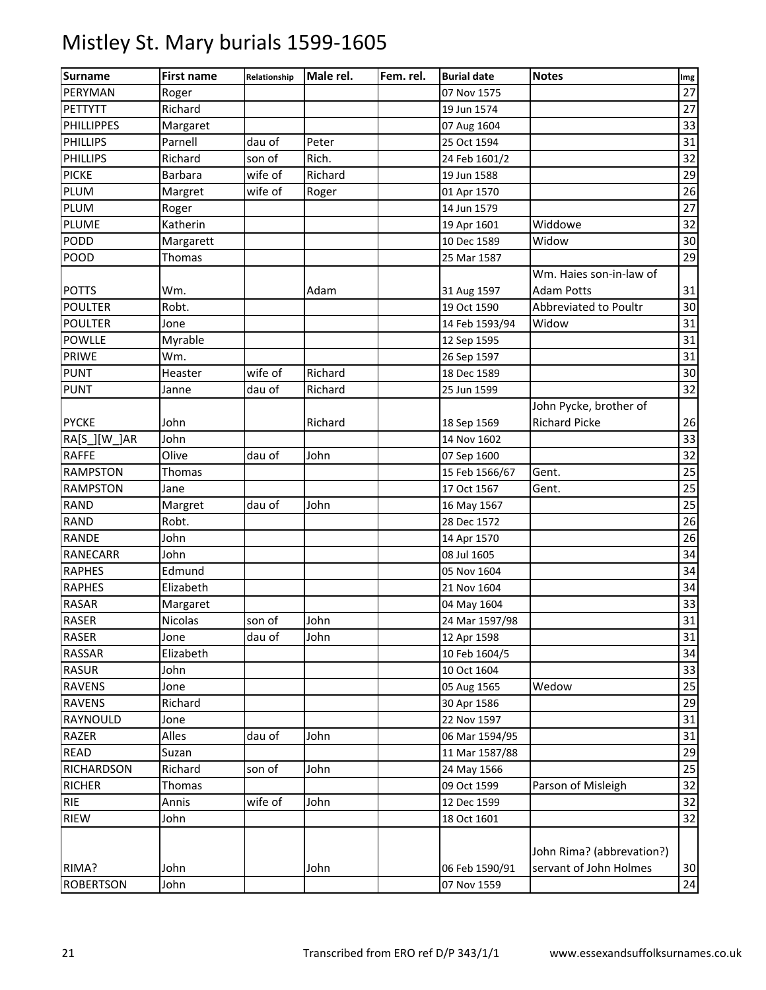| <b>Surname</b>    | <b>First name</b> | Relationship | Male rel. | Fem. rel. | <b>Burial date</b> | <b>Notes</b>              | Img    |
|-------------------|-------------------|--------------|-----------|-----------|--------------------|---------------------------|--------|
| PERYMAN           | Roger             |              |           |           | 07 Nov 1575        |                           | 27     |
| PETTYTT           | Richard           |              |           |           | 19 Jun 1574        |                           | 27     |
| <b>PHILLIPPES</b> | Margaret          |              |           |           | 07 Aug 1604        |                           | 33     |
| <b>PHILLIPS</b>   | Parnell           | dau of       | Peter     |           | 25 Oct 1594        |                           | 31     |
| <b>PHILLIPS</b>   | Richard           | son of       | Rich.     |           | 24 Feb 1601/2      |                           | 32     |
| <b>PICKE</b>      | <b>Barbara</b>    | wife of      | Richard   |           | 19 Jun 1588        |                           | 29     |
| <b>PLUM</b>       | Margret           | wife of      | Roger     |           | 01 Apr 1570        |                           | 26     |
| <b>PLUM</b>       | Roger             |              |           |           | 14 Jun 1579        |                           | 27     |
| PLUME             | Katherin          |              |           |           | 19 Apr 1601        | Widdowe                   | 32     |
| PODD              | Margarett         |              |           |           | 10 Dec 1589        | Widow                     | 30     |
| POOD              | Thomas            |              |           |           | 25 Mar 1587        |                           | 29     |
|                   |                   |              |           |           |                    | Wm. Haies son-in-law of   |        |
| <b>POTTS</b>      | Wm.               |              | Adam      |           | 31 Aug 1597        | <b>Adam Potts</b>         | 31     |
| <b>POULTER</b>    | Robt.             |              |           |           | 19 Oct 1590        | Abbreviated to Poultr     | 30     |
| <b>POULTER</b>    | Jone              |              |           |           | 14 Feb 1593/94     | Widow                     | 31     |
| <b>POWLLE</b>     | Myrable           |              |           |           | 12 Sep 1595        |                           | 31     |
| <b>PRIWE</b>      | Wm.               |              |           |           | 26 Sep 1597        |                           | 31     |
| <b>PUNT</b>       | Heaster           | wife of      | Richard   |           | 18 Dec 1589        |                           | 30     |
| <b>PUNT</b>       | Janne             | dau of       | Richard   |           | 25 Jun 1599        |                           | 32     |
|                   |                   |              |           |           |                    | John Pycke, brother of    |        |
| <b>PYCKE</b>      | John              |              | Richard   |           | 18 Sep 1569        | <b>Richard Picke</b>      | 26     |
| RA[S ][W ]AR      | John              |              |           |           | 14 Nov 1602        |                           | 33     |
| <b>RAFFE</b>      | Olive             | dau of       | John      |           | 07 Sep 1600        |                           | 32     |
| <b>RAMPSTON</b>   | Thomas            |              |           |           | 15 Feb 1566/67     | Gent.                     | 25     |
| <b>RAMPSTON</b>   | Jane              |              |           |           | 17 Oct 1567        | Gent.                     | 25     |
| <b>RAND</b>       | Margret           | dau of       | John      |           | 16 May 1567        |                           | 25     |
| <b>RAND</b>       | Robt.             |              |           |           | 28 Dec 1572        |                           | 26     |
| <b>RANDE</b>      | John              |              |           |           | 14 Apr 1570        |                           | 26     |
| <b>RANECARR</b>   | John              |              |           |           | 08 Jul 1605        |                           | 34     |
| <b>RAPHES</b>     | Edmund            |              |           |           | 05 Nov 1604        |                           | 34     |
| <b>RAPHES</b>     | Elizabeth         |              |           |           | 21 Nov 1604        |                           | 34     |
| <b>RASAR</b>      | Margaret          |              |           |           | 04 May 1604        |                           | 33     |
| <b>RASER</b>      | <b>Nicolas</b>    | son of       | John      |           | 24 Mar 1597/98     |                           | 31     |
| <b>RASER</b>      | Jone              | dau of       | John      |           | 12 Apr 1598        |                           | $31\,$ |
| <b>RASSAR</b>     | Elizabeth         |              |           |           | 10 Feb 1604/5      |                           | 34     |
| <b>RASUR</b>      | John              |              |           |           | 10 Oct 1604        |                           | 33     |
| <b>RAVENS</b>     | Jone              |              |           |           | 05 Aug 1565        | Wedow                     | 25     |
| <b>RAVENS</b>     | Richard           |              |           |           | 30 Apr 1586        |                           | 29     |
| RAYNOULD          | Jone              |              |           |           | 22 Nov 1597        |                           | 31     |
| <b>RAZER</b>      | Alles             | dau of       | John      |           | 06 Mar 1594/95     |                           | 31     |
| <b>READ</b>       | Suzan             |              |           |           | 11 Mar 1587/88     |                           | 29     |
| <b>RICHARDSON</b> | Richard           | son of       | John      |           | 24 May 1566        |                           | 25     |
| <b>RICHER</b>     | Thomas            |              |           |           | 09 Oct 1599        | Parson of Misleigh        | 32     |
| <b>RIE</b>        | Annis             | wife of      | John      |           | 12 Dec 1599        |                           | 32     |
| <b>RIEW</b>       | John              |              |           |           | 18 Oct 1601        |                           | 32     |
|                   |                   |              |           |           |                    |                           |        |
|                   |                   |              |           |           |                    | John Rima? (abbrevation?) |        |
| RIMA?             | John              |              | John      |           | 06 Feb 1590/91     | servant of John Holmes    | 30     |
| <b>ROBERTSON</b>  | John              |              |           |           | 07 Nov 1559        |                           | 24     |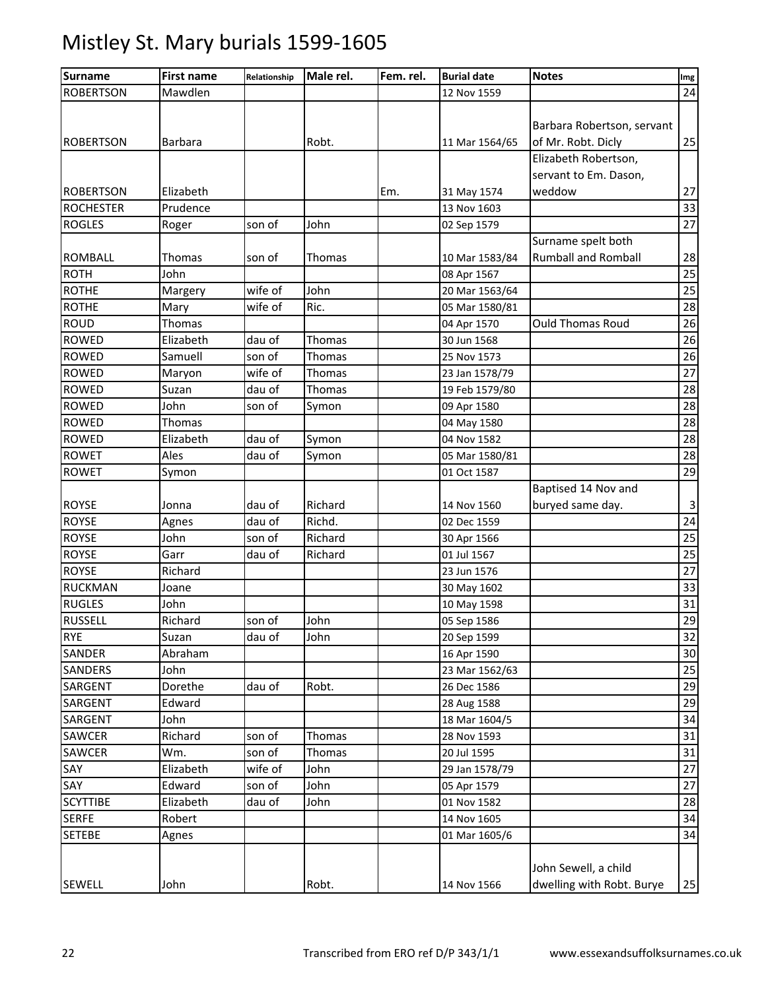| <b>Surname</b>   | <b>First name</b> | Relationship | Male rel. | Fem. rel. | <b>Burial date</b> | <b>Notes</b>               | Img             |
|------------------|-------------------|--------------|-----------|-----------|--------------------|----------------------------|-----------------|
| <b>ROBERTSON</b> | Mawdlen           |              |           |           | 12 Nov 1559        |                            | 24              |
|                  |                   |              |           |           |                    |                            |                 |
|                  |                   |              |           |           |                    | Barbara Robertson, servant |                 |
| <b>ROBERTSON</b> | Barbara           |              | Robt.     |           | 11 Mar 1564/65     | of Mr. Robt. Dicly         | 25              |
|                  |                   |              |           |           |                    | Elizabeth Robertson,       |                 |
|                  |                   |              |           |           |                    | servant to Em. Dason,      |                 |
| <b>ROBERTSON</b> | Elizabeth         |              |           | Em.       | 31 May 1574        | weddow                     | 27              |
| <b>ROCHESTER</b> | Prudence          |              |           |           | 13 Nov 1603        |                            | 33              |
| <b>ROGLES</b>    | Roger             | son of       | John      |           | 02 Sep 1579        |                            | $\overline{27}$ |
|                  |                   |              |           |           |                    | Surname spelt both         |                 |
| <b>ROMBALL</b>   | Thomas            | son of       | Thomas    |           | 10 Mar 1583/84     | <b>Rumball and Romball</b> | 28              |
| <b>ROTH</b>      | John              |              |           |           | 08 Apr 1567        |                            | 25              |
| <b>ROTHE</b>     | Margery           | wife of      | John      |           | 20 Mar 1563/64     |                            | 25              |
| <b>ROTHE</b>     | Mary              | wife of      | Ric.      |           | 05 Mar 1580/81     |                            | 28              |
| <b>ROUD</b>      | Thomas            |              |           |           | 04 Apr 1570        | <b>Ould Thomas Roud</b>    | 26              |
| ROWED            | Elizabeth         | dau of       | Thomas    |           | 30 Jun 1568        |                            | 26              |
| <b>ROWED</b>     | Samuell           | son of       | Thomas    |           | 25 Nov 1573        |                            | 26              |
| <b>ROWED</b>     | Maryon            | wife of      | Thomas    |           | 23 Jan 1578/79     |                            | 27              |
| <b>ROWED</b>     | Suzan             | dau of       | Thomas    |           | 19 Feb 1579/80     |                            | $\overline{28}$ |
| <b>ROWED</b>     | John              | son of       | Symon     |           | 09 Apr 1580        |                            | 28              |
| <b>ROWED</b>     | Thomas            |              |           |           | 04 May 1580        |                            | $\overline{28}$ |
| <b>ROWED</b>     | Elizabeth         | dau of       | Symon     |           | 04 Nov 1582        |                            | 28              |
| <b>ROWET</b>     | Ales              | dau of       | Symon     |           | 05 Mar 1580/81     |                            | 28              |
| <b>ROWET</b>     | Symon             |              |           |           | 01 Oct 1587        |                            | 29              |
|                  |                   |              |           |           |                    | Baptised 14 Nov and        |                 |
| <b>ROYSE</b>     | Jonna             | dau of       | Richard   |           | 14 Nov 1560        | buryed same day.           | $\mathbf{3}$    |
| <b>ROYSE</b>     | Agnes             | dau of       | Richd.    |           | 02 Dec 1559        |                            | 24              |
| <b>ROYSE</b>     | John              | son of       | Richard   |           | 30 Apr 1566        |                            | 25              |
| <b>ROYSE</b>     | Garr              | dau of       | Richard   |           | 01 Jul 1567        |                            | $\overline{25}$ |
| <b>ROYSE</b>     | Richard           |              |           |           | 23 Jun 1576        |                            | 27              |
| <b>RUCKMAN</b>   | Joane             |              |           |           | 30 May 1602        |                            | 33              |
| <b>RUGLES</b>    | John              |              |           |           | 10 May 1598        |                            | 31              |
| <b>RUSSELL</b>   | Richard           | son of       | John      |           | 05 Sep 1586        |                            | 29              |
| <b>RYE</b>       | Suzan             | dau of       | John      |           | 20 Sep 1599        |                            | 32              |
| SANDER           | Abraham           |              |           |           | 16 Apr 1590        |                            | 30              |
| SANDERS          | John              |              |           |           | 23 Mar 1562/63     |                            | 25              |
| SARGENT          | Dorethe           | dau of       | Robt.     |           | 26 Dec 1586        |                            | 29              |
| SARGENT          | Edward            |              |           |           | 28 Aug 1588        |                            | 29              |
| SARGENT          | John              |              |           |           | 18 Mar 1604/5      |                            | 34              |
| SAWCER           | Richard           | son of       | Thomas    |           | 28 Nov 1593        |                            | 31              |
| SAWCER           | Wm.               | son of       | Thomas    |           | 20 Jul 1595        |                            | 31              |
| SAY              | Elizabeth         | wife of      | John      |           | 29 Jan 1578/79     |                            | 27              |
| SAY              | Edward            | son of       | John      |           | 05 Apr 1579        |                            | 27              |
| <b>SCYTTIBE</b>  | Elizabeth         | dau of       | John      |           | 01 Nov 1582        |                            | 28              |
| <b>SERFE</b>     | Robert            |              |           |           | 14 Nov 1605        |                            | 34              |
| <b>SETEBE</b>    | Agnes             |              |           |           | 01 Mar 1605/6      |                            | 34              |
|                  |                   |              |           |           |                    |                            |                 |
|                  |                   |              |           |           |                    | John Sewell, a child       |                 |
| <b>SEWELL</b>    | John              |              | Robt.     |           | 14 Nov 1566        | dwelling with Robt. Burye  | 25              |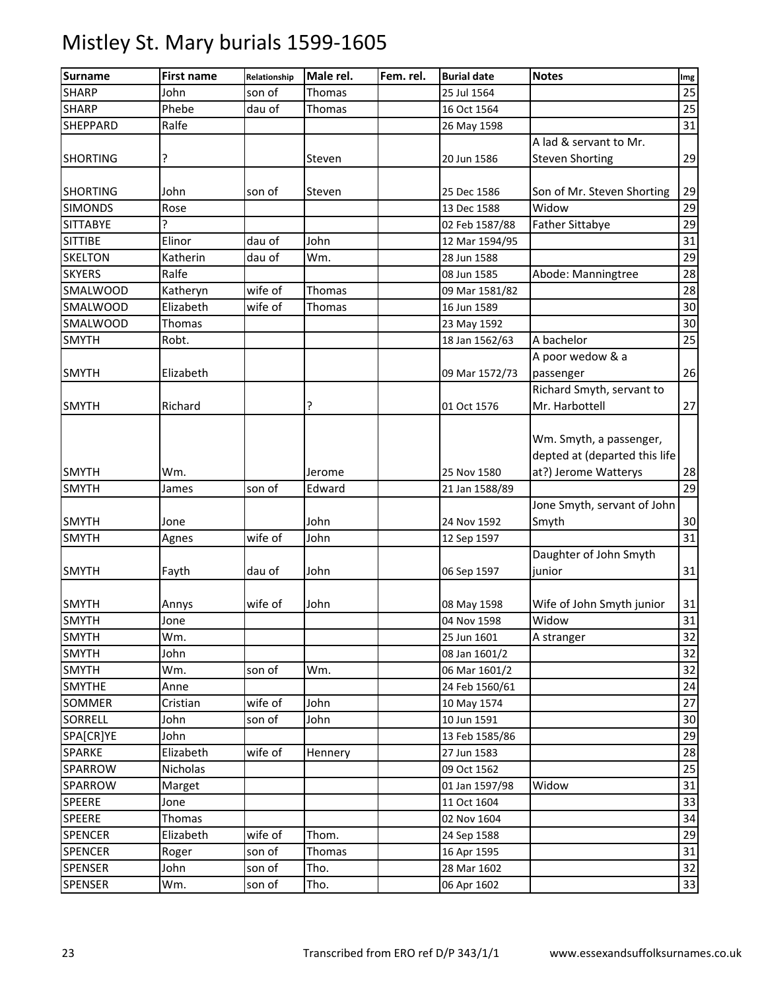| <b>Surname</b>  | <b>First name</b> | Relationship | Male rel. | Fem. rel. | <b>Burial date</b> | <b>Notes</b>                  | Img |
|-----------------|-------------------|--------------|-----------|-----------|--------------------|-------------------------------|-----|
| <b>SHARP</b>    | John              | son of       | Thomas    |           | 25 Jul 1564        |                               | 25  |
| <b>SHARP</b>    | Phebe             | dau of       | Thomas    |           | 16 Oct 1564        |                               | 25  |
| SHEPPARD        | Ralfe             |              |           |           | 26 May 1598        |                               | 31  |
|                 |                   |              |           |           |                    | A lad & servant to Mr.        |     |
| <b>SHORTING</b> | ?                 |              | Steven    |           | 20 Jun 1586        | <b>Steven Shorting</b>        | 29  |
|                 |                   |              |           |           |                    |                               |     |
| <b>SHORTING</b> | John              | son of       | Steven    |           | 25 Dec 1586        | Son of Mr. Steven Shorting    | 29  |
| <b>SIMONDS</b>  | Rose              |              |           |           | 13 Dec 1588        | Widow                         | 29  |
| <b>SITTABYE</b> | ç                 |              |           |           | 02 Feb 1587/88     | <b>Father Sittabye</b>        | 29  |
| <b>SITTIBE</b>  | Elinor            | dau of       | John      |           | 12 Mar 1594/95     |                               | 31  |
| <b>SKELTON</b>  | Katherin          | dau of       | Wm.       |           | 28 Jun 1588        |                               | 29  |
| <b>SKYERS</b>   | Ralfe             |              |           |           | 08 Jun 1585        | Abode: Manningtree            | 28  |
| SMALWOOD        | Katheryn          | wife of      | Thomas    |           | 09 Mar 1581/82     |                               | 28  |
| SMALWOOD        | Elizabeth         | wife of      | Thomas    |           | 16 Jun 1589        |                               | 30  |
| SMALWOOD        | <b>Thomas</b>     |              |           |           | 23 May 1592        |                               | 30  |
| <b>SMYTH</b>    | Robt.             |              |           |           | 18 Jan 1562/63     | A bachelor                    | 25  |
|                 |                   |              |           |           |                    | A poor wedow & a              |     |
| <b>SMYTH</b>    | Elizabeth         |              |           |           | 09 Mar 1572/73     | passenger                     | 26  |
|                 |                   |              |           |           |                    | Richard Smyth, servant to     |     |
| <b>SMYTH</b>    | Richard           |              | ?         |           | 01 Oct 1576        | Mr. Harbottell                | 27  |
|                 |                   |              |           |           |                    |                               |     |
|                 |                   |              |           |           |                    | Wm. Smyth, a passenger,       |     |
|                 |                   |              |           |           |                    | depted at (departed this life |     |
| <b>SMYTH</b>    | Wm.               |              | Jerome    |           | 25 Nov 1580        | at?) Jerome Watterys          | 28  |
| <b>SMYTH</b>    | James             | son of       | Edward    |           | 21 Jan 1588/89     |                               | 29  |
|                 |                   |              |           |           |                    | Jone Smyth, servant of John   |     |
| <b>SMYTH</b>    | Jone              |              | John      |           | 24 Nov 1592        | Smyth                         | 30  |
| <b>SMYTH</b>    | Agnes             | wife of      | John      |           | 12 Sep 1597        |                               | 31  |
|                 |                   |              |           |           |                    | Daughter of John Smyth        |     |
| <b>SMYTH</b>    | Fayth             | dau of       | John      |           | 06 Sep 1597        | junior                        | 31  |
|                 |                   |              |           |           |                    |                               |     |
| <b>SMYTH</b>    | Annys             | wife of      | John      |           | 08 May 1598        | Wife of John Smyth junior     | 31  |
| <b>SMYTH</b>    | Jone              |              |           |           | 04 Nov 1598        | Widow                         | 31  |
| <b>SMYTH</b>    | Wm.               |              |           |           | 25 Jun 1601        | A stranger                    | 32  |
| <b>SMYTH</b>    | John              |              |           |           | 08 Jan 1601/2      |                               | 32  |
| <b>SMYTH</b>    | Wm.               | son of       | Wm.       |           | 06 Mar 1601/2      |                               | 32  |
| <b>SMYTHE</b>   | Anne              |              |           |           | 24 Feb 1560/61     |                               | 24  |
| SOMMER          | Cristian          | wife of      | John      |           | 10 May 1574        |                               | 27  |
| <b>SORRELL</b>  | John              | son of       | John      |           | 10 Jun 1591        |                               | 30  |
| SPA[CR]YE       | John              |              |           |           | 13 Feb 1585/86     |                               | 29  |
| <b>SPARKE</b>   | Elizabeth         | wife of      | Hennery   |           | 27 Jun 1583        |                               | 28  |
| SPARROW         | Nicholas          |              |           |           | 09 Oct 1562        |                               | 25  |
| SPARROW         | Marget            |              |           |           | 01 Jan 1597/98     | Widow                         | 31  |
| <b>SPEERE</b>   | Jone              |              |           |           | 11 Oct 1604        |                               | 33  |
| <b>SPEERE</b>   | Thomas            |              |           |           | 02 Nov 1604        |                               | 34  |
| <b>SPENCER</b>  | Elizabeth         | wife of      | Thom.     |           | 24 Sep 1588        |                               | 29  |
| <b>SPENCER</b>  | Roger             | son of       | Thomas    |           | 16 Apr 1595        |                               | 31  |
| <b>SPENSER</b>  | John              | son of       | Tho.      |           | 28 Mar 1602        |                               | 32  |
| <b>SPENSER</b>  | Wm.               | son of       | Tho.      |           | 06 Apr 1602        |                               | 33  |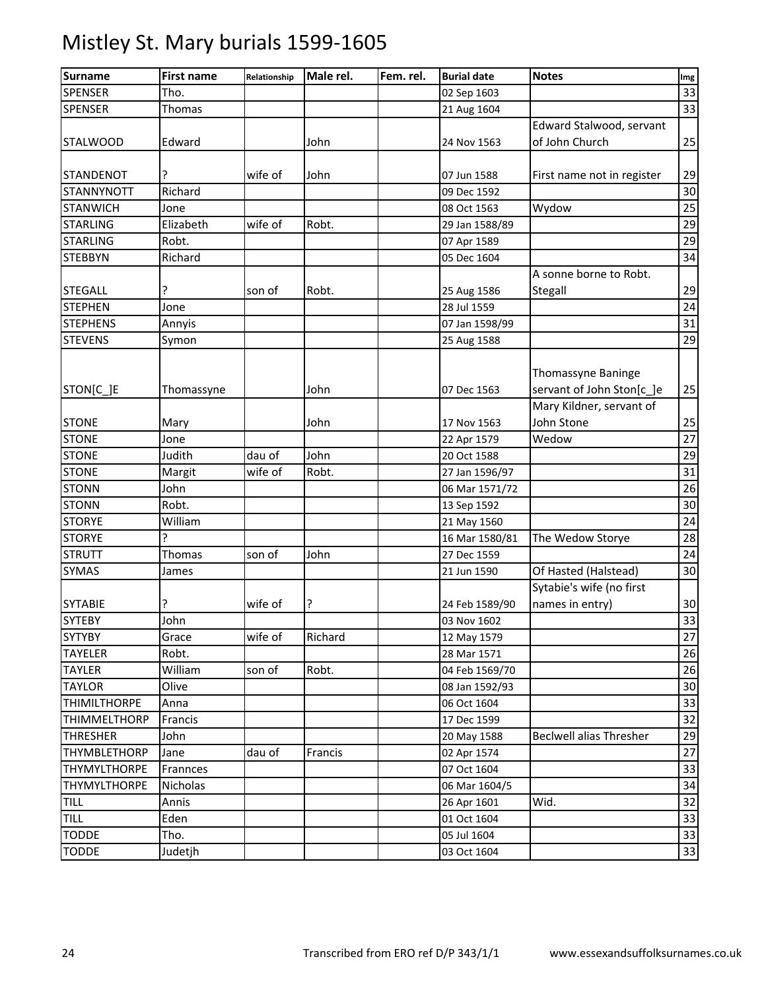| <b>Surname</b>      | <b>First name</b> | Relationship | Male rel. | Fem. rel. | <b>Burial date</b>            | <b>Notes</b>               | Img             |
|---------------------|-------------------|--------------|-----------|-----------|-------------------------------|----------------------------|-----------------|
| <b>SPENSER</b>      | Tho.              |              |           |           | 02 Sep 1603                   |                            | 33              |
| <b>SPENSER</b>      | Thomas            |              |           |           | 21 Aug 1604                   |                            | 33              |
|                     |                   |              |           |           |                               | Edward Stalwood, servant   |                 |
| <b>STALWOOD</b>     | Edward            |              | John      |           | 24 Nov 1563                   | of John Church             | 25              |
| <b>STANDENOT</b>    | ŗ                 | wife of      | John      |           | 07 Jun 1588                   | First name not in register | 29              |
| <b>STANNYNOTT</b>   | Richard           |              |           |           | 09 Dec 1592                   |                            | 30              |
| <b>STANWICH</b>     | Jone              |              |           |           | 08 Oct 1563                   | Wydow                      | 25              |
| <b>STARLING</b>     | Elizabeth         | wife of      | Robt.     |           | 29 Jan 1588/89                |                            | 29              |
| <b>STARLING</b>     | Robt.             |              |           |           | 07 Apr 1589                   |                            | 29              |
| <b>STEBBYN</b>      | Richard           |              |           |           | 05 Dec 1604                   |                            | 34              |
|                     |                   |              |           |           |                               | A sonne borne to Robt.     |                 |
| <b>STEGALL</b>      | ŗ                 | son of       | Robt.     |           | 25 Aug 1586                   | Stegall                    | 29              |
| <b>STEPHEN</b>      | Jone              |              |           |           | 28 Jul 1559                   |                            | $\overline{24}$ |
| <b>STEPHENS</b>     | Annyis            |              |           |           | 07 Jan 1598/99                |                            | 31              |
| <b>STEVENS</b>      | Symon             |              |           |           | 25 Aug 1588                   |                            | 29              |
|                     |                   |              |           |           |                               |                            |                 |
|                     |                   |              |           |           |                               | Thomassyne Baninge         |                 |
| STON[C_]E           | Thomassyne        |              | John      |           | 07 Dec 1563                   | servant of John Ston[c_]e  | 25              |
|                     |                   |              |           |           |                               | Mary Kildner, servant of   |                 |
| <b>STONE</b>        | Mary              |              | John      |           | 17 Nov 1563                   | John Stone                 | 25              |
| <b>STONE</b>        | Jone              |              |           |           | 22 Apr 1579                   | Wedow                      | 27              |
| <b>STONE</b>        | Judith            | dau of       | John      |           |                               |                            | 29              |
| <b>STONE</b>        |                   | wife of      | Robt.     |           | 20 Oct 1588<br>27 Jan 1596/97 |                            | $\overline{31}$ |
| <b>STONN</b>        | Margit<br>John    |              |           |           |                               |                            | 26              |
| <b>STONN</b>        | Robt.             |              |           |           | 06 Mar 1571/72                |                            | $\overline{30}$ |
| <b>STORYE</b>       | William           |              |           |           | 13 Sep 1592                   |                            |                 |
|                     | ?                 |              |           |           | 21 May 1560                   |                            | 24              |
| <b>STORYE</b>       | Thomas            |              |           |           | 16 Mar 1580/81                | The Wedow Storye           | 28<br>24        |
| <b>STRUTT</b>       |                   | son of       | John      |           | 27 Dec 1559                   |                            |                 |
| <b>SYMAS</b>        | James             |              |           |           | 21 Jun 1590                   | Of Hasted (Halstead)       | 30              |
|                     |                   |              |           |           |                               | Sytabie's wife (no first   |                 |
| <b>SYTABIE</b>      | ?                 | wife of      | ?         |           | 24 Feb 1589/90                | names in entry)            | 30              |
| <b>SYTEBY</b>       | John              |              |           |           | 03 Nov 1602                   |                            | 33              |
| <b>SYTYBY</b>       | Grace             | wife of      | Richard   |           | 12 May 1579                   |                            | $27\,$          |
| <b>TAYELER</b>      | Robt.             |              |           |           | 28 Mar 1571                   |                            | 26              |
| <b>TAYLER</b>       | William           | son of       | Robt.     |           | 04 Feb 1569/70                |                            | 26              |
| <b>TAYLOR</b>       | Olive             |              |           |           | 08 Jan 1592/93                |                            | 30              |
| <b>THIMILTHORPE</b> | Anna              |              |           |           | 06 Oct 1604                   |                            | 33              |
| THIMMELTHORP        | Francis           |              |           |           | 17 Dec 1599                   |                            | 32              |
| <b>THRESHER</b>     | John              |              |           |           | 20 May 1588                   | Beclwell alias Thresher    | 29              |
| <b>THYMBLETHORP</b> | Jane              | dau of       | Francis   |           | 02 Apr 1574                   |                            | 27              |
| <b>THYMYLTHORPE</b> | Frannces          |              |           |           | 07 Oct 1604                   |                            | 33              |
| <b>THYMYLTHORPE</b> | Nicholas          |              |           |           | 06 Mar 1604/5                 |                            | 34              |
| <b>TILL</b>         | Annis             |              |           |           | 26 Apr 1601                   | Wid.                       | 32              |
| <b>TILL</b>         | Eden              |              |           |           | 01 Oct 1604                   |                            | 33              |
| <b>TODDE</b>        | Tho.              |              |           |           | 05 Jul 1604                   |                            | 33              |
| <b>TODDE</b>        | Judetjh           |              |           |           | 03 Oct 1604                   |                            | 33              |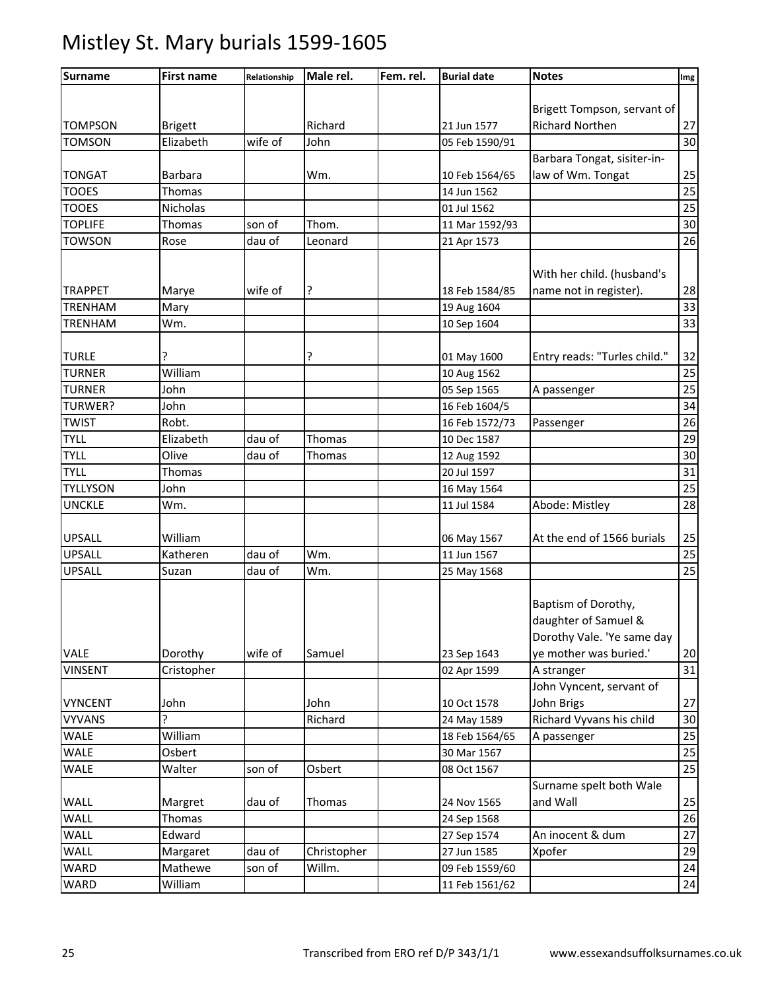#### Surname Tirst name Relationship Male rel. Fem. rel. Burial date Notes International Img TOMPSON Brigett | Richard | 21 Jun 1577 Brigett Tompson, servant of Richard Northen 27 TOMSON Elizabeth wife of John 05 Feb 1590/91 30 TONGAT Barbara Wm. 10 Feb 1564/65 Barbara Tongat, sisiter-inlaw of Wm. Tongat | 25 TOOES Thomas 14 Jun 1562 25 TOOES Nicholas 01 Jul 1562 25 TOPLIFE Thomas son of Thom. 11 Mar 1592/93  $\vert$  30 TOWSON Rose dau of Leonard 21 Apr 1573 26 TRAPPET Marye wife of ? 18 Feb 1584/85 With her child. (husband's name not in register). 28 TRENHAM Mary 19 Aug 1604 33 TRENHAM Wm. 10 Sep 1604 33 TURLE ? ? 01 May 1600 Entry reads: "Turles child." 32 TURNER William 10 Aug 1562 25 TURNER John 05 Sep 1565 A passenger 25 TURWER? JJohn 16 Feb 1604/5 234 TWIST Robt. 16 Feb 1572/73 Passenger 26 TYLL Elizabeth dau of Thomas 10 Dec 1587 29 TYLL Olive dau of Thomas 12 Aug 1592 30 TYLL Thomas 20 Jul 1597 31 TYLLYSON John 16 May 1564 25 UNCKLE Wm. 11 Jul 1584 Abode: Mistley 28 UPSALL William 06 May 1567 At the end of 1566 burials 25 UPSALL Katheren dau of Wm. 11 Jun 1567 25 UPSALL Suzan dau of Wm. 25 May 1568 25 VALE Dorothy wife of Samuel 23 Sep 1643 Baptism of Dorothy, daughter of Samuel & Dorothy Vale. 'Ye same day ye mother was buried.' 20 VINSENT Cristopher 02 Apr 1599 A stranger 31 VYNCENT John John John 10 Oct 1578 John Vyncent, servant of John Brigs 27 VYVANS ? Richard 24 May 1589 Richard Vyvans his child 30 WALE William 19 | 18 Feb 1564/65 A passenger 25 WALE Osbert 30 Mar 1567 25 WALE Walter son of Osbert 08 Oct 1567 25 WALL **Margret** dau of Thomas 1 24 Nov 1565 Surname spelt both Wale and Wall 25 WALL Thomas 24 Sep 1568 26 WALL Edward 27 Sep 1574 An inocent & dum 27 WALL Margaret dau of Christopher 27 Jun 1585 Xpofer 29 <code>WARD</code>  $\begin{array}{|l|} \hline \text{Mathewe} & \text{son of} & \text{William.} \hline \end{array}$   $\begin{array}{|l|} \hline \text{09 Feb 1559/60} & \text{OM.} \hline \end{array}$ WARD William 11 Feb 1561/62 24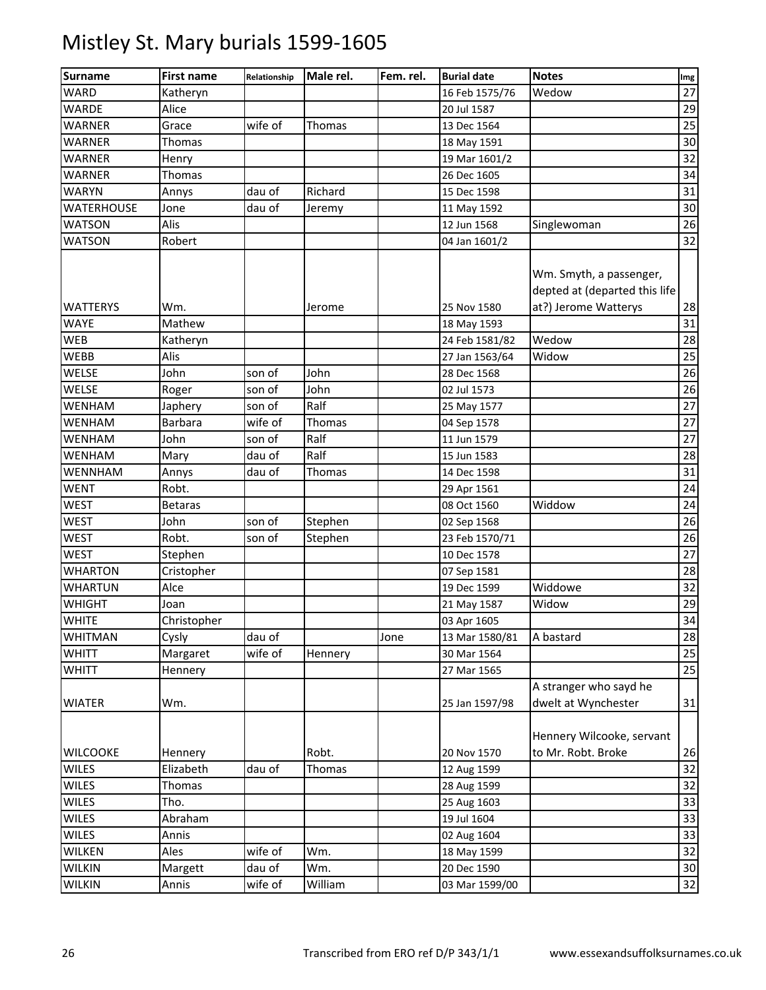| <b>Surname</b>    | <b>First name</b> | Relationship | Male rel. | Fem. rel. | <b>Burial date</b> | <b>Notes</b>                                                                     | Img |
|-------------------|-------------------|--------------|-----------|-----------|--------------------|----------------------------------------------------------------------------------|-----|
| <b>WARD</b>       | Katheryn          |              |           |           | 16 Feb 1575/76     | Wedow                                                                            | 27  |
| <b>WARDE</b>      | Alice             |              |           |           | 20 Jul 1587        |                                                                                  | 29  |
| <b>WARNER</b>     | Grace             | wife of      | Thomas    |           | 13 Dec 1564        |                                                                                  | 25  |
| <b>WARNER</b>     | Thomas            |              |           |           | 18 May 1591        |                                                                                  | 30  |
| <b>WARNER</b>     | Henry             |              |           |           | 19 Mar 1601/2      |                                                                                  | 32  |
| <b>WARNER</b>     | Thomas            |              |           |           | 26 Dec 1605        |                                                                                  | 34  |
| <b>WARYN</b>      | Annys             | dau of       | Richard   |           | 15 Dec 1598        |                                                                                  | 31  |
| <b>WATERHOUSE</b> | Jone              | dau of       | Jeremy    |           | 11 May 1592        |                                                                                  | 30  |
| <b>WATSON</b>     | Alis              |              |           |           | 12 Jun 1568        | Singlewoman                                                                      | 26  |
| <b>WATSON</b>     | Robert            |              |           |           | 04 Jan 1601/2      |                                                                                  | 32  |
| <b>WATTERYS</b>   | Wm.               |              | Jerome    |           | 25 Nov 1580        | Wm. Smyth, a passenger,<br>depted at (departed this life<br>at?) Jerome Watterys | 28  |
| <b>WAYE</b>       | Mathew            |              |           |           | 18 May 1593        |                                                                                  | 31  |
| <b>WEB</b>        | Katheryn          |              |           |           | 24 Feb 1581/82     | Wedow                                                                            | 28  |
| WEBB              | Alis              |              |           |           | 27 Jan 1563/64     | Widow                                                                            | 25  |
| <b>WELSE</b>      | John              | son of       | John      |           | 28 Dec 1568        |                                                                                  | 26  |
| <b>WELSE</b>      | Roger             | son of       | John      |           | 02 Jul 1573        |                                                                                  | 26  |
| <b>WENHAM</b>     | Japhery           | son of       | Ralf      |           | 25 May 1577        |                                                                                  | 27  |
| <b>WENHAM</b>     | <b>Barbara</b>    | wife of      | Thomas    |           | 04 Sep 1578        |                                                                                  | 27  |
| <b>WENHAM</b>     | John              | son of       | Ralf      |           | 11 Jun 1579        |                                                                                  | 27  |
| WENHAM            | Mary              | dau of       | Ralf      |           | 15 Jun 1583        |                                                                                  | 28  |
| WENNHAM           | Annys             | dau of       | Thomas    |           | 14 Dec 1598        |                                                                                  | 31  |
| <b>WENT</b>       | Robt.             |              |           |           | 29 Apr 1561        |                                                                                  | 24  |
| <b>WEST</b>       | <b>Betaras</b>    |              |           |           | 08 Oct 1560        | Widdow                                                                           | 24  |
| <b>WEST</b>       | John              | son of       | Stephen   |           | 02 Sep 1568        |                                                                                  | 26  |
| <b>WEST</b>       | Robt.             | son of       | Stephen   |           | 23 Feb 1570/71     |                                                                                  | 26  |
| <b>WEST</b>       | Stephen           |              |           |           | 10 Dec 1578        |                                                                                  | 27  |
| <b>WHARTON</b>    | Cristopher        |              |           |           | 07 Sep 1581        |                                                                                  | 28  |
| <b>WHARTUN</b>    | Alce              |              |           |           | 19 Dec 1599        | Widdowe                                                                          | 32  |
| <b>WHIGHT</b>     | Joan              |              |           |           | 21 May 1587        | Widow                                                                            | 29  |
| <b>WHITE</b>      | Christopher       |              |           |           | 03 Apr 1605        |                                                                                  | 34  |
| <b>WHITMAN</b>    | Cysly             | dau of       |           | Jone      | 13 Mar 1580/81     | A bastard                                                                        | 28  |
| <b>WHITT</b>      | Margaret          | wife of      | Hennery   |           | 30 Mar 1564        |                                                                                  | 25  |
| <b>WHITT</b>      | Hennery           |              |           |           | 27 Mar 1565        |                                                                                  | 25  |
|                   |                   |              |           |           |                    | A stranger who sayd he                                                           |     |
| <b>WIATER</b>     | Wm.               |              |           |           | 25 Jan 1597/98     | dwelt at Wynchester                                                              | 31  |
|                   |                   |              |           |           |                    | Hennery Wilcooke, servant                                                        |     |
| <b>WILCOOKE</b>   | Hennery           |              | Robt.     |           | 20 Nov 1570        | to Mr. Robt. Broke                                                               | 26  |
| <b>WILES</b>      | Elizabeth         | dau of       | Thomas    |           | 12 Aug 1599        |                                                                                  | 32  |
| <b>WILES</b>      | Thomas            |              |           |           | 28 Aug 1599        |                                                                                  | 32  |
| <b>WILES</b>      | Tho.              |              |           |           | 25 Aug 1603        |                                                                                  | 33  |
| <b>WILES</b>      | Abraham           |              |           |           | 19 Jul 1604        |                                                                                  | 33  |
| <b>WILES</b>      | Annis             |              |           |           | 02 Aug 1604        |                                                                                  | 33  |
| <b>WILKEN</b>     | Ales              | wife of      | Wm.       |           | 18 May 1599        |                                                                                  | 32  |
| <b>WILKIN</b>     | Margett           | dau of       | Wm.       |           | 20 Dec 1590        |                                                                                  | 30  |
| <b>WILKIN</b>     | Annis             | wife of      | William   |           | 03 Mar 1599/00     |                                                                                  | 32  |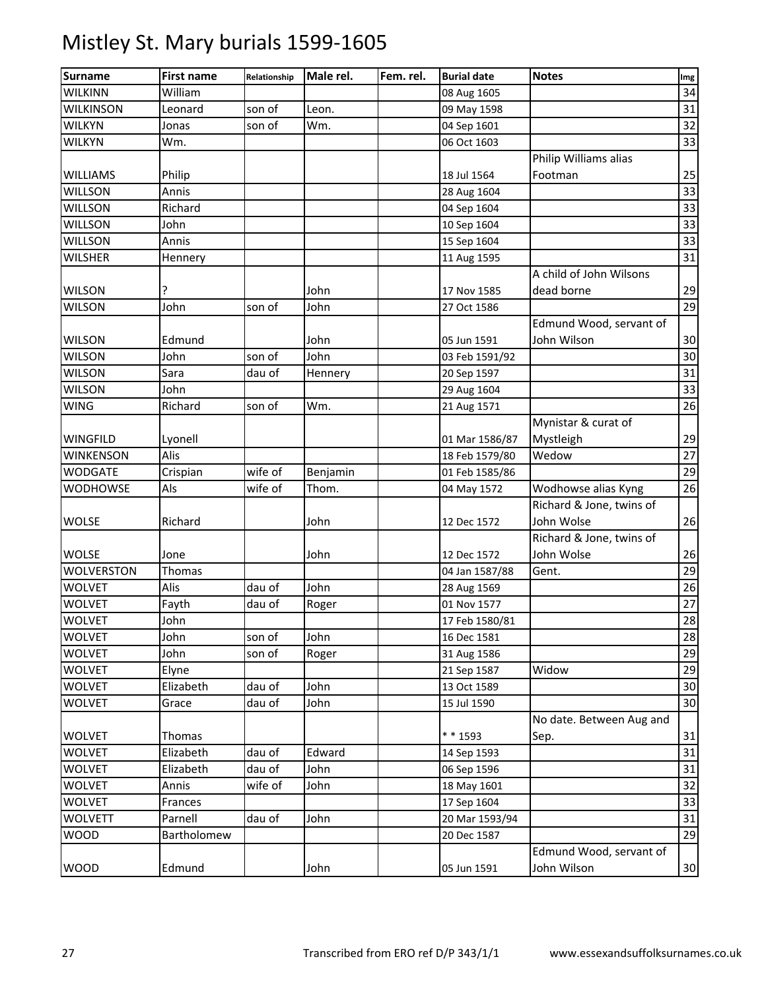| <b>Surname</b>    | <b>First name</b> | Relationship | Male rel. | Fem. rel. | <b>Burial date</b> | <b>Notes</b>             | Img             |
|-------------------|-------------------|--------------|-----------|-----------|--------------------|--------------------------|-----------------|
| <b>WILKINN</b>    | William           |              |           |           | 08 Aug 1605        |                          | 34              |
| <b>WILKINSON</b>  | Leonard           | son of       | Leon.     |           | 09 May 1598        |                          | 31              |
| <b>WILKYN</b>     | Jonas             | son of       | Wm.       |           | 04 Sep 1601        |                          | 32              |
| <b>WILKYN</b>     | Wm.               |              |           |           | 06 Oct 1603        |                          | $\overline{33}$ |
|                   |                   |              |           |           |                    | Philip Williams alias    |                 |
| <b>WILLIAMS</b>   | Philip            |              |           |           | 18 Jul 1564        | Footman                  | 25              |
| <b>WILLSON</b>    | Annis             |              |           |           | 28 Aug 1604        |                          | 33              |
| <b>WILLSON</b>    | Richard           |              |           |           | 04 Sep 1604        |                          | 33              |
| <b>WILLSON</b>    | John              |              |           |           | 10 Sep 1604        |                          | 33              |
| <b>WILLSON</b>    | Annis             |              |           |           | 15 Sep 1604        |                          | 33              |
| <b>WILSHER</b>    | Hennery           |              |           |           | 11 Aug 1595        |                          | 31              |
|                   |                   |              |           |           |                    | A child of John Wilsons  |                 |
| <b>WILSON</b>     | ?                 |              | John      |           | 17 Nov 1585        | dead borne               | 29              |
| <b>WILSON</b>     | John              | son of       | John      |           | 27 Oct 1586        |                          | 29              |
|                   |                   |              |           |           |                    | Edmund Wood, servant of  |                 |
| <b>WILSON</b>     | Edmund            |              | John      |           | 05 Jun 1591        | John Wilson              | 30              |
| <b>WILSON</b>     | John              | son of       | John      |           | 03 Feb 1591/92     |                          | 30              |
| <b>WILSON</b>     | Sara              | dau of       | Hennery   |           | 20 Sep 1597        |                          | 31              |
| <b>WILSON</b>     | John              |              |           |           | 29 Aug 1604        |                          | 33              |
| <b>WING</b>       | Richard           | son of       | Wm.       |           | 21 Aug 1571        |                          | 26              |
|                   |                   |              |           |           |                    | Mynistar & curat of      |                 |
| <b>WINGFILD</b>   | Lyonell           |              |           |           | 01 Mar 1586/87     | Mystleigh                | 29              |
| <b>WINKENSON</b>  | Alis              |              |           |           | 18 Feb 1579/80     | Wedow                    | 27              |
| <b>WODGATE</b>    | Crispian          | wife of      | Benjamin  |           | 01 Feb 1585/86     |                          | 29              |
| WODHOWSE          | Als               | wife of      | Thom.     |           | 04 May 1572        | Wodhowse alias Kyng      | 26              |
|                   |                   |              |           |           |                    | Richard & Jone, twins of |                 |
| <b>WOLSE</b>      | Richard           |              | John      |           | 12 Dec 1572        | John Wolse               | 26              |
|                   |                   |              |           |           |                    | Richard & Jone, twins of |                 |
| <b>WOLSE</b>      | Jone              |              | John      |           | 12 Dec 1572        | John Wolse               | 26              |
| <b>WOLVERSTON</b> | Thomas            |              |           |           | 04 Jan 1587/88     | Gent.                    | 29              |
| <b>WOLVET</b>     | Alis              | dau of       | John      |           | 28 Aug 1569        |                          | 26              |
| <b>WOLVET</b>     | Fayth             | dau of       | Roger     |           | 01 Nov 1577        |                          | $27\,$          |
| <b>WOLVET</b>     | John              |              |           |           | 17 Feb 1580/81     |                          | 28              |
| <b>WOLVET</b>     | John              | son of       | John      |           | 16 Dec 1581        |                          | 28              |
| <b>WOLVET</b>     | John              | son of       | Roger     |           | 31 Aug 1586        |                          | 29              |
| <b>WOLVET</b>     | Elyne             |              |           |           | 21 Sep 1587        | Widow                    | 29              |
| <b>WOLVET</b>     | Elizabeth         | dau of       | John      |           | 13 Oct 1589        |                          | 30              |
| <b>WOLVET</b>     | Grace             | dau of       | John      |           | 15 Jul 1590        |                          | 30              |
|                   |                   |              |           |           |                    | No date. Between Aug and |                 |
| <b>WOLVET</b>     | Thomas            |              |           |           | * * 1593           | Sep.                     | 31              |
| <b>WOLVET</b>     | Elizabeth         | dau of       | Edward    |           | 14 Sep 1593        |                          | 31              |
| <b>WOLVET</b>     | Elizabeth         | dau of       | John      |           | 06 Sep 1596        |                          | 31              |
| <b>WOLVET</b>     | Annis             | wife of      | John      |           | 18 May 1601        |                          | 32              |
| <b>WOLVET</b>     | Frances           |              |           |           | 17 Sep 1604        |                          | 33              |
| <b>WOLVETT</b>    | Parnell           | dau of       | John      |           | 20 Mar 1593/94     |                          | 31              |
| <b>WOOD</b>       | Bartholomew       |              |           |           | 20 Dec 1587        |                          | 29              |
|                   |                   |              |           |           |                    | Edmund Wood, servant of  |                 |
| <b>WOOD</b>       | Edmund            |              | John      |           | 05 Jun 1591        | John Wilson              | 30              |